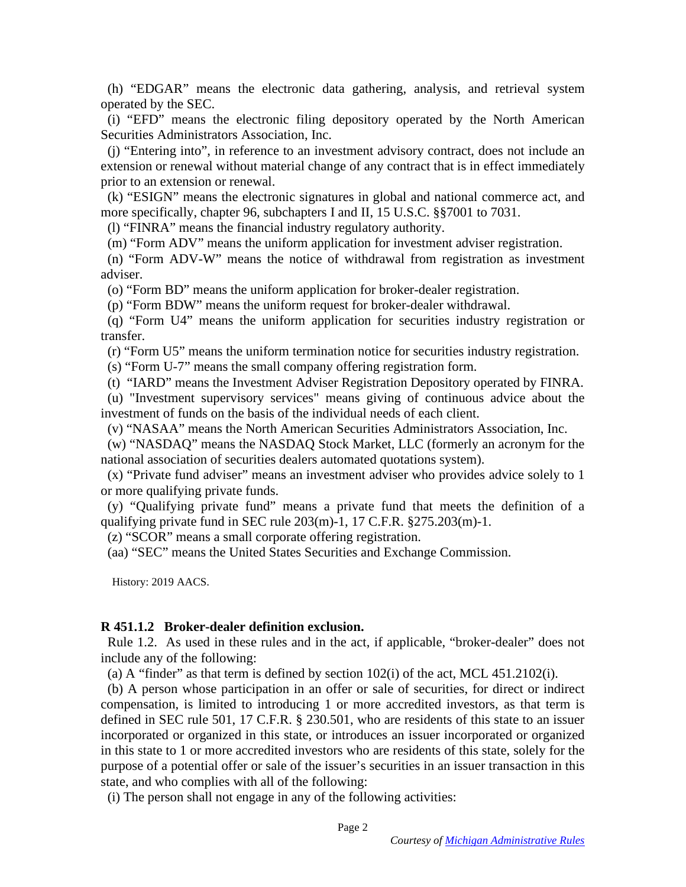(h) "EDGAR" means the electronic data gathering, analysis, and retrieval system (h) "EDGAR" means the electronic data gathering, analysis, and retrieval system operated by the SEC.

(i) "EFD" means the electronic filing depository operated by the North American Securities Administrators Association, Inc.

(j) "Entering into", in reference to an investment advisory contract, does not include an extension or renewal without material change of any contract that is in effect immediately prior to an extension or renewal. operated by the SEC.<br>
(i) "EFD" means the electronic filing depository operated by the North American<br>
Securities Administrators Association, Inc.<br>
(j) "Entering into", in reference to an investment advisory contract, does

(k) "ESIGN" means the electronic signatures in global and national commerce act, and more specifically, chapter 96, subchapters I and II, 15 U.S.C. §§7001 to 7031.

(1) "FINRA" means the financial industry regulatory authority.

(m) "Form ADV" means the uniform application for investment adviser registration. (m) "Form ADV" means the uniform application for investment adviser registration.

(n) "Form ADV-W" means the notice of withdrawal from registration as investment (n) "Form ADV-W" means the notice of withdrawal from registration as investment adviser. adviser.

(o) "Form BD" means the uniform application for broker-dealer registration.

(p) "Form BDW" means the uniform request for broker-dealer withdrawal.

(q) "Form U4" means the uniform application for securities industry registration or transfer. (o) "Form BD" means the uniform application for broker-dealer registration.<br>
(p) "Form BDW" means the uniform request for broker-dealer withdrawal.<br>
(q) "Form U4" means the uniform application for securities industry regi

(r) "Form U5" means the uniform termination notice for securities industry registration.

(s) "Form U-7" means the small company offering registration form.

(t) "IARD" means the Investment Adviser Registration Depository operated by FINRA. (t) "IARD" means the Investment Adviser Registration Depository operated by FINRA.

(u) "Investment supervisory services" means giving of continuous advice about the (u) "Investment supervisory services" means giving of continuous advice about the investment of funds on the basis of the individual needs of each client.

(v) "NASAA" means the North American Securities Administrators Association, Inc.

(w) "NASDAQ" means the NASDAQ Stock Market, LLC (formerly an acronym for the national association of securities dealers automated quotations system).

(x) "Private fund adviser" means an investment adviser who provides advice solely to 1 or more qualifying private funds.

(y) "Qualifying private fund" means a private fund that meets the definition of a qualifying private fund in SEC rule 203(m)-1, 17 C.F.R. §275.203(m)-1. investment of funds on the basis of the individual needs of each client.<br>
(v) "NASAA" means the North American Securities Administrators Association, Inc.<br>
(w) "NASDAQ" means the NASDAQ Stock Market, LLC (formerly an acron

(z) "SCOR" means a small corporate offering registration. (z) "SCOR" means a small corporate offering registration.

(aa) "SEC" means the United States Securities and Exchange Commission. (aa) "SEC" means the United States Securities and Exchange Commission.

History: 2019 AACS. History: 2019 AACS.

#### R 451.1.2 Broker-dealer definition exclusion. **R 451.1.2 Broker-dealer definition exclusion.**

Rule 1.2. As used in these rules and in the act, if applicable, "broker-dealer" does not include any of the following: include any of the following:

(a) A "finder" as that term is defined by section  $102(i)$  of the act, MCL 451.2102(i).

(b) A person whose participation in an offer or sale of securities, for direct or indirect compensation, is limited to introducing 1 or more accredited investors, as that term is defined in SEC rule 501, 17 C.F.R. § 230.501, who are residents of this state to an issuer incorporated or organized in this state, or introduces an issuer incorporated or organized in this state to 1 or more accredited investors who are residents of this state, solely for the purpose of a potential offer or sale of the issuer's securities in an issuer transaction in this state, and who complies with all of the following: (a) A "finder" as that term is defined by section  $102(i)$  of the act, MCL 451.2102(i).<br>
(b) A person whose participation in an offer or sale of securities, for direct or indirect<br>
compensation, is limited to introducing 1 in this state to 1 or more accredited investors who are residents of this state, solely for the purpose of a potential offer or sale of the issuer's securities in an issuer transaction in this state, and who complies with

(i) The person shall not engage in any of the following activities: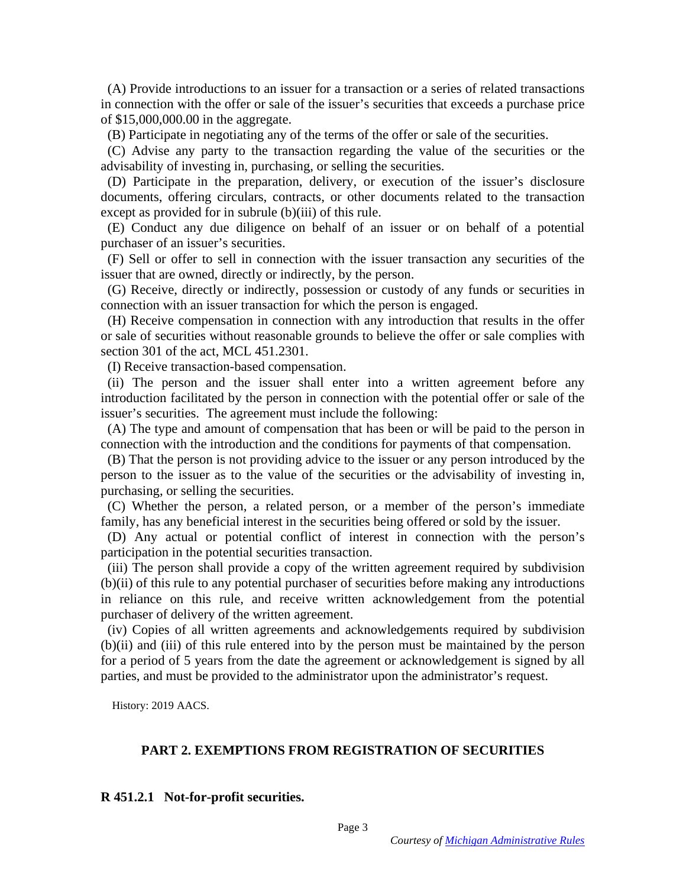(A) Provide introductions to an issuer for a transaction or a series of related transactions (A) Provide introductions to an issuer for a transaction or a series of related transactions in connection with the offer or sale of the issuer's securities that exceeds a purchase price in connection with the offer or sale of the issuer's securities that exceeds a purchase price of \$15,000,000.00 in the aggregate. of \$15,000,000.00 in the aggregate.

(B) Participate in negotiating any of the terms of the offer or sale of the securities.

(C) Advise any party to the transaction regarding the value of the securities or the advisability of investing in, purchasing, or selling the securities.

(D) Participate in the preparation, delivery, or execution of the issuer's disclosure documents, offering circulars, contracts, or other documents related to the transaction except as provided for in subrule (b)(iii) of this rule. (B) Participate in negotiating any of the terms of the offer or sale of the securities.<br>
(C) Advise any party to the transaction regarding the value of the securities or the<br>
advisability of investing in, purchasing, or s

(E) Conduct any due diligence on behalf of an issuer or on behalf of a potential purchaser of an issuer's securities. purchaser of an issuer's securities.

(F) Sell or offer to sell in connection with the issuer transaction any securities of the issuer that are owned, directly or indirectly, by the person.

(G) Receive, directly or indirectly, possession or custody of any funds or securities in connection with an issuer transaction for which the person is engaged.

(H) Receive compensation in connection with any introduction that results in the offer or sale of securities without reasonable grounds to believe the offer or sale complies with section 301 of the act, MCL 451.2301. (F) Sell or offer to sell in connection with the issuer transaction any securities of the issuer that are owned, directly or indirectly, by the person.<br>
(G) Receive, directly or indirectly, possession or custody of any fun

(I) Receive transaction-based compensation.

(ii) The person and the issuer shall enter into a written agreement before any introduction facilitated by the person in connection with the potential offer or sale of the introduction facilitated by the person in connection with the potential offer or sale of the issuer's securities. The agreement must include the following:

(A) The type and amount of compensation that has been or will be paid to the person in connection with the introduction and the conditions for payments of that compensation.

(B) That the person is not providing advice to the issuer or any person introduced by the person to the issuer as to the value of the securities or the advisability of investing in, purchasing, or selling the securities. issuer's securities. The agreement must include the following:<br>
(A) The type and amount of compensation that has been or will be paid to the person in<br>
connection with the introduction and the conditions for payments of th

(C) Whether the person, a related person, or a member of the person's immediate family, has any beneficial interest in the securities being offered or sold by the issuer.

(D) Any actual or potential conflict of interest in connection with the person's (D) Any actual or potential conflict of interest in connection with the person's participation in the potential securities transaction. participation in the potential securities transaction.

(iii) The person shall provide a copy of the written agreement required by subdivision (b)(ii) of this rule to any potential purchaser of securities before making any introductions in reliance on this rule, and receive wri (b)(ii) of this rule to any potential purchaser of securities before making any introductions in reliance on this rule, and receive written acknowledgement from the potential purchaser of delivery of the written agreement.

(iv) Copies of all written agreements and acknowledgements required by subdivision (b)(ii) and (iii) of this rule entered into by the person must be maintained by the person for a period of 5 years from the date the agreement or acknowledgement is signed by all parties, and must be provided to the administrator upon the administrator's request. (iv) Copies of all written agreements and acknowledgements required by subdivision (b)(ii) and (iii) of this rule entered into by the person must be maintained by the person for a period of 5 years from the date the agreem

History: 2019 AACS. History: 2019 AACS.

# PART 2. EXEMPTIONS FROM REGISTRATION OF SECURITIES **PART 2. EXEMPTIONS FROM REGISTRATION OF SECURITIES R 451.2.1 Not-for-profit securities.**

#### R 451.2.1 Not-for-profit securities.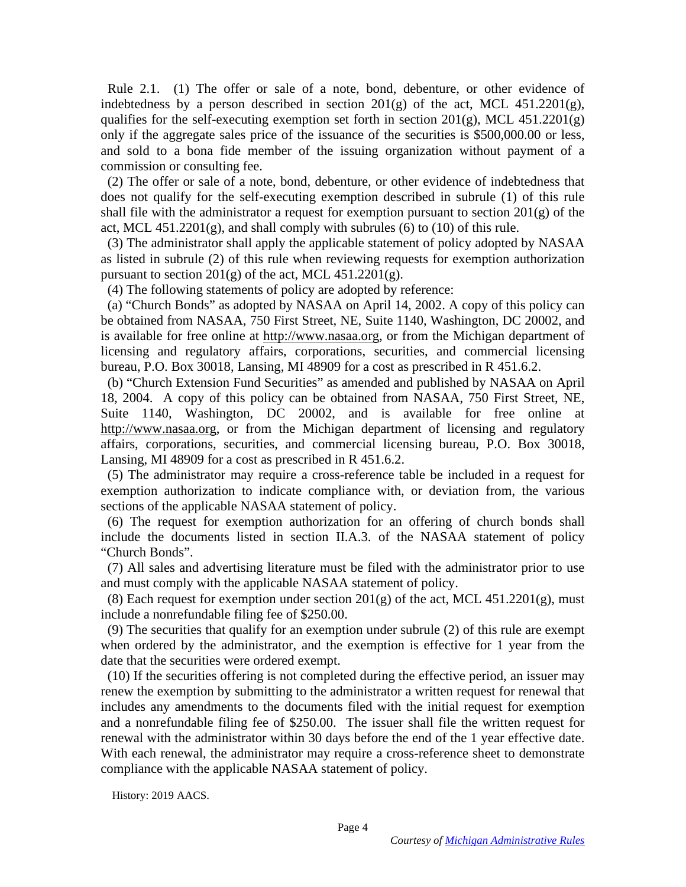Rule 2.1. (1) The offer or sale of a note, bond, debenture, or other evidence of indebtedness by a person described in section  $201(g)$  of the act, MCL  $451.2201(g)$ , qualifies for the self-executing exemption set forth in section  $201(g)$ , MCL  $451.2201(g)$ only if the aggregate sales price of the issuance of the securities is \$500,000.00 or less, and sold to a bona fide member of the issuing organization without payment of a commission or consulting fee. indebtedness by a person described in section  $201(g)$  of the act, MCL  $451.2201(g)$ , qualifies for the self-executing exemption set forth in section  $201(g)$ , MCL  $451.2201(g)$  only if the aggregate sales price of the issuan

(2) The offer or sale of a note, bond, debenture, or other evidence of indebtedness that does not qualify for the self-executing exemption described in subrule (1) of this rule shall file with the administrator a request for exemption pursuant to section  $201(g)$  of the act, MCL  $451.2201(g)$ , and shall comply with subrules (6) to (10) of this rule. (2) The offer or sale of a note, bond, debenture, or other evidence of indebtedness that does not qualify for the self-executing exemption described in subrule (1) of this rule shall file with the administrator a request

(3) The administrator shall apply the applicable statement of policy adopted by NASAA (3) The administrator shall apply the applicable statement of policy adopted by NASAA as listed in subrule (2) of this rule when reviewing requests for exemption authorization<br>pursuant to section  $201(g)$  of the act, MCL  $451.2201(g)$ .<br>(4) The following statements of policy are adopted by reference: pursuant to section  $201(g)$  of the act, MCL 451.2201(g).

(4) The following statements of policy are adopted by reference:

(a) "Church Bonds" as adopted by NASAA on April 14, 2002. A copy of this policy can be obtained from NASAA, 750 First Street, NE, Suite 1140, Washington, DC 20002, and is available for free online at [http://www.nasaa.org,](http://www.nasaa.org/) or from the Michigan department of licensing and regulatory affairs, corporations, securities, and commercial licensing bureau, P.O. Box 30018, Lansing, MI 48909 for a cost as prescribed in R 451.6.2. bureau, P.O. Box 30018, Lansing, MI 48909 for a cost as prescribed in R 451.6.2. (a) "Church Bonds" as adopted by NASAA on April 14, 2002. A copy of this policy can<br>be obtained from NASAA, 750 First Street, NE, Suite 1140, Washington, DC 20002, and<br>is available for free online at http://www.nasaa.org,

(b) "Church Extension Fund Securities" as amended and published by NASAA on April 18, 2004. A copy of this policy can be obtained from NASAA, 750 First Street, NE, 18, 2004. A copy of this policy can be obtained from NASAA, 750 First Street, NE, Suite 1140, Washington, DC 20002, and is available for free online at http://www.nasaa.org, or from the Michigan department of licensing and regulatory affairs, corporations, securities, and commercial licensing bureau, P.O. Box 30018, Lansing, MI 48909 for a cost as prescribed in R 451.6.2. Suite 1140, Washington, DC 20002, and is available for free online at<br>[http://www.nasaa.org,](http://www.nasaa.org/) or from the Michigan department of licensing and regulatory<br>[affairs, corporations,](http://www.nasaa.org/) securities, and commercial licensing bureau, P.

(5) The administrator may require a cross-reference table be included in a request for exemption authorization to indicate compliance with, or deviation from, the various sections of the applicable NASAA statement of policy.

(6) The request for exemption authorization for an offering of church bonds shall include the documents listed in section II.A.3. of the NASAA statement of policy include the documents listed in section II.A.3. of the NASAA statement of policy "Church Bonds". "Church Bonds".

(7) All sales and advertising literature must be filed with the administrator prior to use and must comply with the applicable NASAA statement of policy. (7) All sales and advertising literature must be filed with the administrator prior to use<br>and must comply with the applicable NASAA statement of policy.<br>(8) Each request for exemption under section 201(g) of the act, MCL

(8) Each request for exemption under section  $201(g)$  of the act, MCL 451.2201(g), must include a nonrefundable filing fee of \$250.00.

(9) The securities that qualify for an exemption under subrule (2) of this rule are exempt when ordered by the administrator, and the exemption is effective for 1 year from the date that the securities were ordered exempt. (9) The securities that qualify for an exemption under subrule  $(2)$  of this rule are exempt<br>when ordered by the administrator, and the exemption is effective for 1 year from the<br>date that the securities were ordered exem

(10) If the securities offering is not completed during the effective period, an issuer may renew the exemption by submitting to the administrator a written request for renewal that includes any amendments to the documents filed with the initial request for exemption includes any amendments to the documents filed with the initial request for exemption and a nonrefundable filing fee of \$250.00. The issuer shall file the written request for renewal with the administrator within 30 days before the end of the 1 year effective date. With each renewal, the administrator may require a cross-reference sheet to demonstrate compliance with the applicable NASAA statement of policy. and a nonrefundable filing fee of \$250.00. The issuer shall file the written request for<br>renewal with the administrator within 30 days before the end of the 1 year effective date.<br>With each renewal, the administrator may r

History: 2019 AACS. History: 2019 AACS.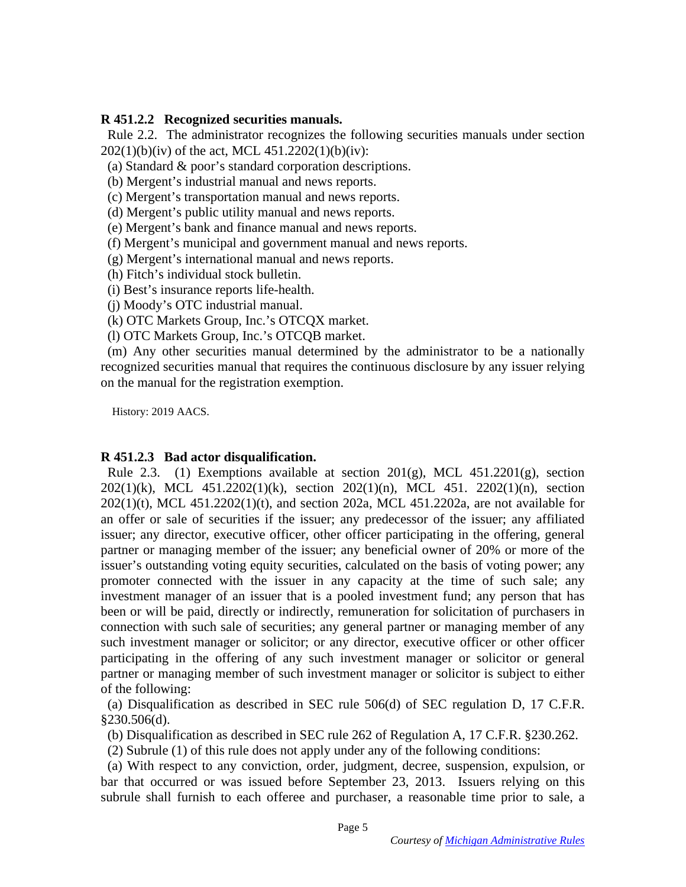### R 451.2.2 Recognized securities manuals. **R 451.2.2 Recognized securities manuals.**

Rule 2.2. The administrator recognizes the following securities manuals under section  $202(1)(b)(iv)$  of the act, MCL 451.2202(1)(b)(iv):  $202(1)(b)(iv)$  of the act, MCL 451.2202(1)(b)(iv):

(a) Standard & poor's standard corporation descriptions.

(b) Mergent's industrial manual and news reports.

(c) Mergent's transportation manual and news reports.

(d) Mergent's public utility manual and news reports.

(a) Standard & poor's standard corporation descriptions.<br>
(b) Mergent's industrial manual and news reports.<br>
(c) Mergent's transportation manual and news reports.<br>
(d) Mergent's public utility manual and news reports.<br>
(e

(f) Mergent's municipal and government manual and news reports. (f) Mergent's municipal and government manual and news reports.

(h) Fitch's individual stock bulletin.

(i) Best's insurance reports life-health.

(j) Moody's OTC industrial manual.

(g) Mergent's international manual and news reports.<br>
(h) Fitch's individual stock bulletin.<br>
(i) Best's insurance reports life-health.<br>
(j) Moody's OTC industrial manual.<br>
(k) OTC Markets Group, Inc.'s OTCQX market. (k) OTC Markets Group, Inc.'s OTCQX market.

(1) OTC Markets Group, Inc.'s OTCQB market.

(m) Any other securities manual determined by the administrator to be a nationally recognized securities manual that requires the continuous disclosure by any issuer relying on the manual for the registration exemption. (1) OTC Markets Group, Inc.'s OTCQB market.<br>
(m) Any other securities manual determined by the administrator to be a nationally<br>
recognized securities manual that requires the continuous disclosure by any issuer relying<br>
o

History: 2019 AACS. History: 2019 AACS.

## R 451.2.3 Bad actor disqualification. **R 451.2.3 Bad actor disqualification.**

Rule 2.3. (1) Exemptions available at section 201(g), MCL  $451.2201(g)$ , section 202(1)(k), MCL 451.2202(1)(k), section 202(1)(n), MCL 451. 2202(1)(n), section 202(1)(t), MCL 451.2202(1)(t), and section 202a, MCL 451.2202a, are not available for an offer or sale of securities if the issuer; any predecessor of the issuer; any affiliated an offer or sale of securities if the issuer; any predecessor of the issuer; any affiliated issuer; any director, executive officer, other officer participating in the offering, general partner or managing member of the issuer; any beneficial owner of 20% or more of the issuer's outstanding voting equity securities, calculated on the basis of voting power; any promoter connected with the issuer in any capacity at the time of such sale; any investment manager of an issuer that is a pooled investment fund; any person that has investment manager of an issuer that is a pooled investment fund; any person that has been or will be paid, directly or indirectly, remuneration for solicitation of purchasers in connection with such sale of securities; any general partner or managing member of any such investment manager or solicitor; or any director, executive officer or other officer participating in the offering of any such investment manager or solicitor or general partner or managing member of such investment manager or solicitor is subject to either partner or managing member of such investment manager or solicitor is subject to either of the following: Rule 2.3. (1) Exemptions available at section 201(g), MCL 451.2201(g), section 202(1)(k), MCL 451.2202(1)(k), section 202(1)(n), MCL 451. 2202(1)(n), section 202(1)(t), MCL 451.2202(1)(t), and section 202a, MCL 451.2202a, issuer; any director, executive officer, other officer participating in the offering, general<br>partner or managing member of the issuer; any beneficial owner of 20% or more of the<br>issuer's outstanding voting equity securiti been or will be paid, directly or indirectly, remuneration for solicitation of purchasers in connection with such sale of securities; any general partner or managing member of any such investment manager or solicitor; or a

(a) Disqualification as described in SEC rule 506(d) of SEC regulation D, 17 C.F.R. §230.506(d).

(b) Disqualification as described in SEC rule 262 of Regulation A, 17 C.F.R. §230.262.

(2) Subrule (1) of this rule does not apply under any of the following conditions:

(a) With respect to any conviction, order, judgment, decree, suspension, expulsion, or bar that occurred or was issued before September 23, 2013. Issuers relying on this subrule shall furnish to each offeree and purchaser, a reasonable time prior to sale, a of the following:<br>
(a) Disqualification as described in SEC rule 506(d) of SEC regulation D, 17 C.F.R.<br>
§230.506(d).<br>
(b) Disqualification as described in SEC rule 262 of Regulation A, 17 C.F.R. §230.262.<br>
(2) Subrule (1)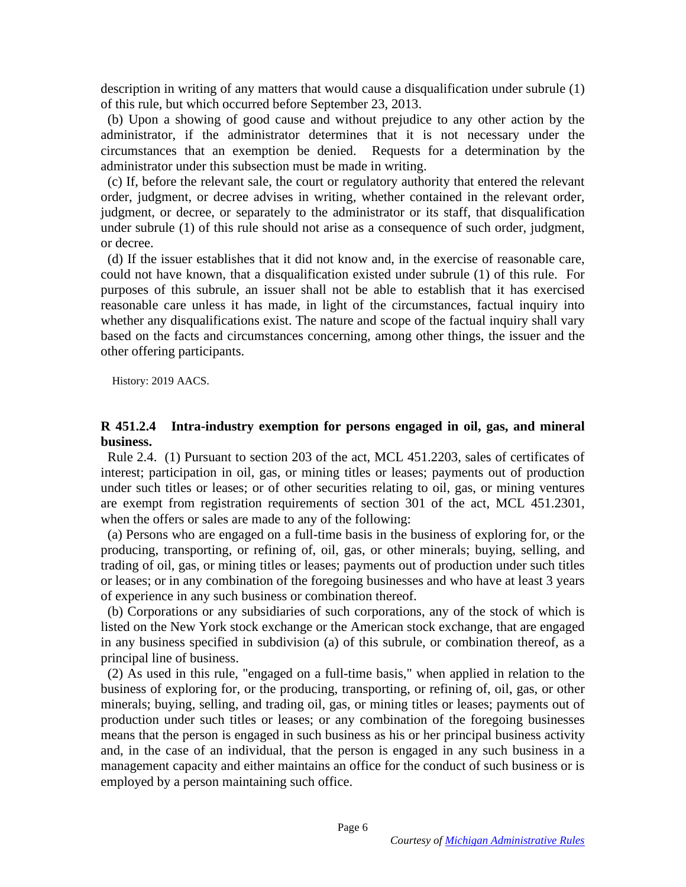description in writing of any matters that would cause a disqualification under subrule (1) description in writing of any matters that would cause a disqualification under subrule (1) of this rule, but which occurred before September 23, 2013.

(b) Upon a showing of good cause and without prejudice to any other action by the administrator, if the administrator determines that it is not necessary under the circumstances that an exemption be denied. Requests for a determination by the administrator under this subsection must be made in writing.

(c) If, before the relevant sale, the court or regulatory authority that entered the relevant order, judgment, or decree advises in writing, whether contained in the relevant order, judgment, or decree, or separately to the administrator or its staff, that disqualification under subrule (1) of this rule should not arise as a consequence of such order, judgment, or decree. or decree. of this rule, but which occurred before September 23, 2013.<br>
(b) Upon a showing of good cause and without prejudice to any other action by the administrator, if the administrator determines that it is not necessary under t

(d) If the issuer establishes that it did not know and, in the exercise of reasonable care, could not have known, that a disqualification existed under subrule (1) of this rule. For purposes of this subrule, an issuer shall not be able to establish that it has exercised reasonable care unless it has made, in light of the circumstances, factual inquiry into whether any disqualifications exist. The nature and scope of the factual inquiry shall vary based on the facts and circumstances concerning, among other things, the issuer and the other offering participants. (d) If the issuer establishes that it did not know and, in the exercise of reasonable care, could not have known, that a disqualification existed under subrule (1) of this rule. For purposes of this subrule, an issuer shal

History: 2019 AACS. History: 2019 AACS.

#### R 451.2.4 Intra-industry exemption for persons engaged in oil, gas, and mineral **R 451.2.4 Intra-industry exemption for persons engaged in oil, gas, and mineral**  business. **business.**

Rule 2.4. (1) Pursuant to section 203 of the act, MCL 451.2203, sales of certificates of interest; participation in oil, gas, or mining titles or leases; payments out of production under such titles or leases; or of other securities relating to oil, gas, or mining ventures are exempt from registration requirements of section 301 of the act, MCL 451.2301, when the offers or sales are made to any of the following: when the offers or sales are made to any of the following: Rule 2.4. (1) Pursuant to section 203 of the act, MCL 451.2203, sales of certificates of interest; participation in oil, gas, or mining titles or leases; payments out of production under such titles or leases; or of other

(a) Persons who are engaged on a full-time basis in the business of exploring for, or the (a) Persons who are engaged on a full-time basis in the business of exploring for, or the producing, transporting, or refining of, oil, gas, or other minerals; buying, selling, and trading of oil, gas, or mining titles or leases; payments out of production under such titles trading of oil, gas, or mining titles or leases; payments out of production under such titles<br>or leases; or in any combination of the foregoing businesses and who have at least 3 years of experience in any such business or combination thereof. of experience in any such business or combination thereof.

(b) Corporations or any subsidiaries of such corporations, any of the stock of which is listed on the New York stock exchange or the American stock exchange, that are engaged in any business specified in subdivision (a) of this subrule, or combination thereof, as a principal line of business. (b) Corporations or any subsidiaries of such corporations, any of the stock of which is listed on the New York stock exchange or the American stock exchange, that are engaged in any business specified in subdivision (a) of

(2) As used in this rule, "engaged on a full-time basis," when applied in relation to the (2) As used in this rule, "engaged on a full-time basis," when applied in relation to the business of exploring for, or the producing, transporting, or refining of, oil, gas, or other minerals; buying, selling, and trading oil, gas, or mining titles or leases; payments out of production under such titles or leases; or any combination of the foregoing businesses means that the person is engaged in such business as his or her principal business activity and, in the case of an individual, that the person is engaged in any such business in a management capacity and either maintains an office for the conduct of such business or is employed by a person maintaining such office management capacity and either maintains an office for the conduct of such business or is employed by a person maintaining such office. business of exploring for, or the producing, transporting, or refining of, oil, gas, or other minerals; buying, selling, and trading oil, gas, or mining titles or leases; payments out of production under such titles or lea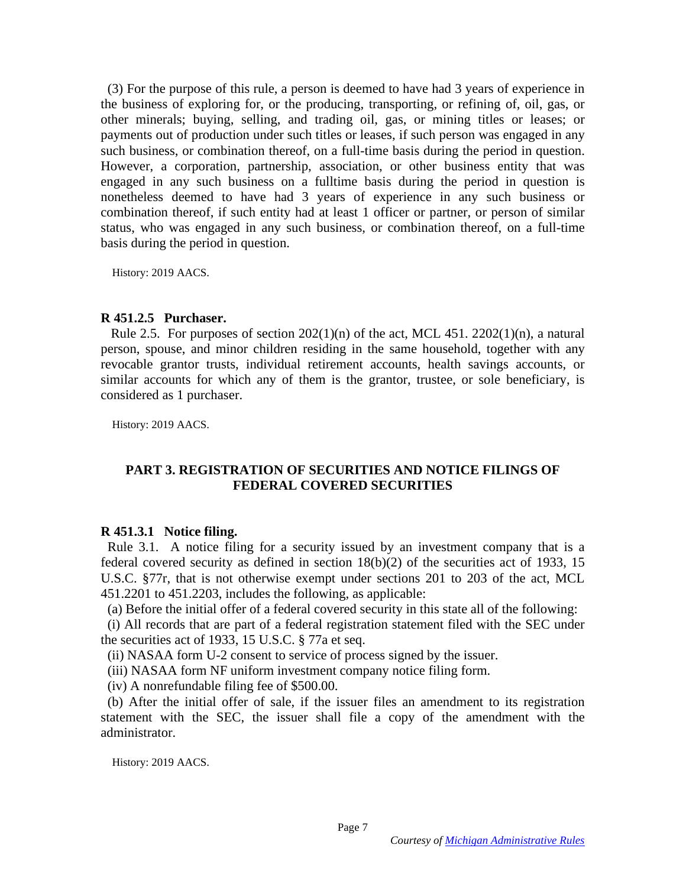(3) For the purpose of this rule, a person is deemed to have had 3 years of experience in (3) For the purpose of this rule, a person is deemed to have had 3 years of experience in the business of exploring for, or the producing, transporting, or refining of, oil, gas, or other minerals; buying, selling, and trading oil, gas, or mining titles or leases; or payments out of production under such titles or leases, if such person was engaged in any such business, or combination thereof, on a full-time basis during the period in question. However, a corporation, partnership, association, or other business entity that was engaged in any such business on a fulltime basis during the period in question is nonetheless deemed to have had 3 years of experience in any such business or combination thereof, if such entity had at least 1 officer or partner, or person of similar status, who was engaged in any such business, or combination thereof, on a full-time basis during the period in question. the business of exploring for, or the producing, transporting, or refining of, oil, gas, or other minerals; buying, selling, and trading oil, gas, or mining titles or leases; or payments out of production under such titles

History: 2019 AACS. History: 2019 AACS.

#### R 451.2.5 Purchaser. **R 451.2.5 Purchaser.**

Rule 2.5. For purposes of section  $202(1)(n)$  of the act, MCL 451. 2202(1)(n), a natural Rule 2.5. For purposes of section  $202(1)(n)$  of the act, MCL 451. 2202(1)(n), a natural person, spouse, and minor children residing in the same household, together with any revocable grantor trusts, individual retirement accounts, health savings accounts, or similar accounts for which any of them is the grantor, trustee, or sole beneficiary, is considered as 1 purchaser. considered as 1 purchaser.

History: 2019 AACS. History: 2019 AACS.

# PART 3. REGISTRATION OF SECURITIES AND NOTICE FILINGS OF **PART 3. REGISTRATION OF SECURITIES AND NOTICE FILINGS OF**  FEDERAL COVERED SECURITIES **FEDERAL COVERED SECURITIES R 451.3.1 Notice filing.**

#### R 451.3.1 Notice filing.

Rule 3.1. A notice filing for a security issued by an investment company that is a federal covered security as defined in section 18(b)(2) of the securities act of 1933, 15 federal covered security as defined in section 18(b)(2) of the securities act of 1933, 15 U.S.C. §77r, that is not otherwise exempt under sections 201 to 203 of the act, MCL 451.2201 to 451.2203, includes the following, as applicable: U.S.C. §77r, that is not otherwise exempt under sections 201 to 203 of the act, MCL<br>451.2201 to 451.2203, includes the following, as applicable:<br>(a) Before the initial offer of a federal covered security in this state all

(a) Before the initial offer of a federal covered security in this state all of the following:

(i) All records that are part of a federal registration statement filed with the SEC under the securities act of 1933, 15 U.S.C. § 77a et seq.

(ii) NASAA form U-2 consent to service of process signed by the issuer.

(iii) NASAA form NF uniform investment company notice filing form.

(iv) A nonrefundable filing fee of \$500.00.

(ii) NASAA form U-2 consent to service of process signed by the issuer.<br>(iii) NASAA form NF uniform investment company notice filing form.<br>(iv) A nonrefundable filing fee of \$500.00.<br>(b) After the initial offer of sale, if statement with the SEC, the issuer shall file a copy of the amendment with the statement with the SEC, the issuer shall file a copy of the amendment with the administrator. administrator.

History: 2019 AACS. History: 2019 AACS.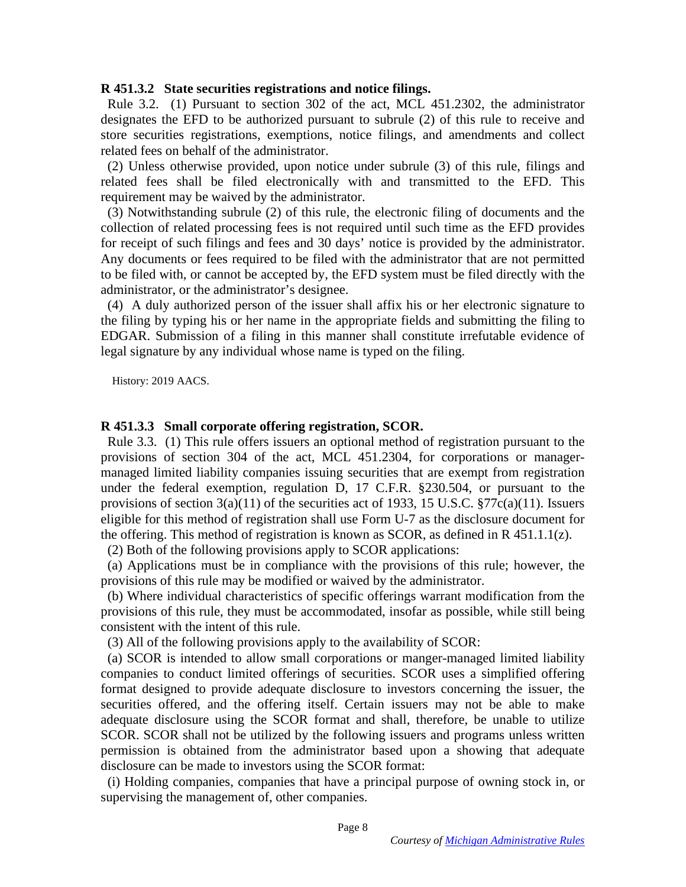#### R 451.3.2 State securities registrations and notice filings. **R 451.3.2 State securities registrations and notice filings.**

Rule 3.2. (1) Pursuant to section 302 of the act, MCL 451.2302, the administrator designates the EFD to be authorized pursuant to subrule (2) of this rule to receive and store securities registrations, exemptions, notice filings, and amendments and collect related fees on behalf of the administrator. Rule 3.2. (1) Pursuant to section 302 of the act, MCL 451.2302, the administrator<br>designates the EFD to be authorized pursuant to subrule (2) of this rule to receive and<br>store securities registrations, exemptions, notice f

(2) Unless otherwise provided, upon notice under subrule (3) of this rule, filings and related fees shall be filed electronically with and transmitted to the EFD. This requirement may be waived by the administrator.

(3) Notwithstanding subrule (2) of this rule, the electronic filing of documents and the collection of related processing fees is not required until such time as the EFD provides for receipt of such filings and fees and 30 days' notice is provided by the administrator. for receipt of such filings and fees and 30 days' notice is provided by the administrator. Any documents or fees required to be filed with the administrator that are not permitted to be filed with, or cannot be accepted by, the EFD system must be filed directly with the administrator, or the administrator's designee.

(4) A duly authorized person of the issuer shall affix his or her electronic signature to the filing by typing his or her name in the appropriate fields and submitting the filing to EDGAR. Submission of a filing in this manner shall constitute irrefutable evidence of legal signature by any individual whose name is typed on the filing. Any documents or fees required to be filed with the administrator that are not permitted<br>to be filed with, or cannot be accepted by, the EFD system must be filed directly with the<br>administrator, or the administrator's desi

History: 2019 AACS. History: 2019 AACS.

#### R 451.3.3 Small corporate offering registration, SCOR. **R 451.3.3 Small corporate offering registration, SCOR.**

Rule 3.3. (1) This rule offers issuers an optional method of registration pursuant to the provisions of section 304 of the act, MCL 451.2304, for corporations or manager-provisions of section 304 of the act, MCL 451.2304, for corporations or managermanaged limited liability companies issuing securities that are exempt from registration under the federal exemption, regulation D, 17 C.F.R. §230.504, or pursuant to the provisions of section  $3(a)(11)$  of the securities act of 1933, 15 U.S.C. §77c(a)(11). Issuers eligible for this method of registration shall use Form U-7 as the disclosure document for eligible for this method of registration shall use Form U-7 as the disclosure document for the offering. This method of registration is known as SCOR, as defined in R 451.1.1(z). managed limited liability companies issuing securities that are exempt from registration<br>under the federal exemption, regulation D, 17 C.F.R. §230.504, or pursuant to the<br>provisions of section  $3(a)(11)$  of the securities a

(2) Both of the following provisions apply to SCOR applications:

(a) Applications must be in compliance with the provisions of this rule; however, the provisions of this rule may be modified or waived by the administrator. the offering. This method of registration is known as SCOR, as defined in R 451.1.1(z).<br>
(2) Both of the following provisions apply to SCOR applications:<br>
(a) Applications must be in compliance with the provisions of this

(b) Where individual characteristics of specific offerings warrant modification from the (b) Where individual characteristics of specific offerings warrant modification from the provisions of this rule, they must be accommodated, insofar as possible, while still being provisions of this rule, they must be accommodated, insofar as possible, while still being consistent with the intent of this rule.

(3) All of the following provisions apply to the availability of SCOR:

(a) SCOR is intended to allow small corporations or manger-managed limited liability companies to conduct limited offerings of securities. SCOR uses a simplified offering format designed to provide adequate disclosure to investors concerning the issuer, the securities offered, and the offering itself. Certain issuers may not be able to make adequate disclosure using the SCOR format and shall, therefore, be unable to utilize SCOR. SCOR shall not be utilized by the following issuers and programs unless written permission is obtained from the administrator based upon a showing that adequate disclosure can be made to investors using the SCOR format: consistent with the intent of this rule.<br>
(3) All of the following provisions apply to the availability of SCOR:<br>
(a) SCOR is intended to allow small corporations or manger-managed limited liability<br>
companies to conduct l permission is obtained from the administrator based upon a showing that adequate disclosure can be made to investors using the SCOR format:<br>(i) Holding companies, companies that have a principal purpose of owning stock in,

(i) Holding companies, companies that have a principal purpose of owning stock in, or supervising the management of, other companies.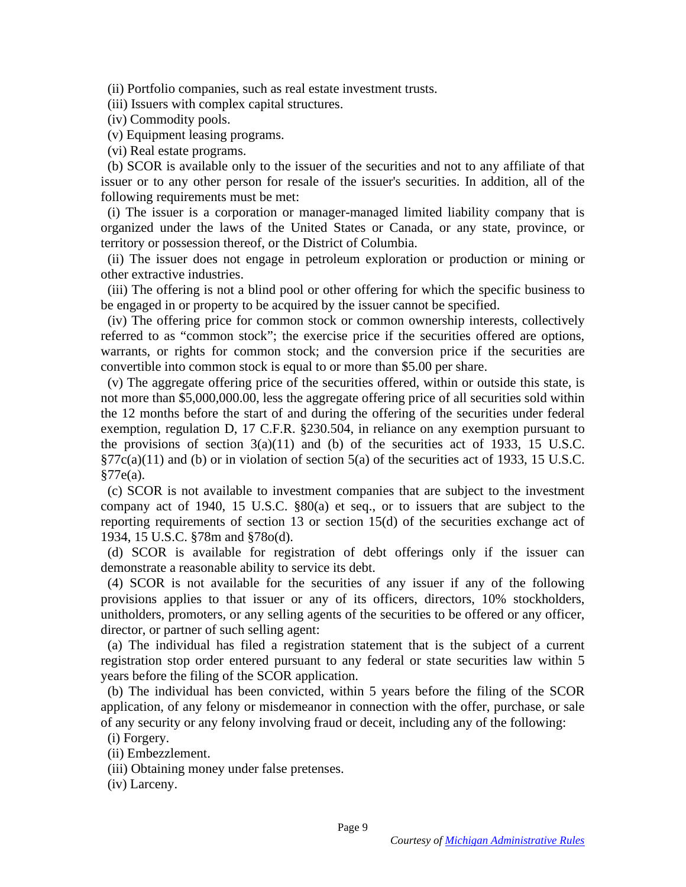(ii) Portfolio companies, such as real estate investment trusts. (ii) Portfolio companies, such as real estate investment trusts.

(iii) Issuers with complex capital structures.

(iv) Commodity pools.

(v) Equipment leasing programs.

(vi) Real estate programs.

(b) SCOR is available only to the issuer of the securities and not to any affiliate of that issuer or to any other person for resale of the issuer's securities. In addition, all of the following requirements must be met: (iii) Issuers with complex capital structures.<br>
(iv) Commodity pools.<br>
(v) Equipment leasing programs.<br>
(vi) Real estate programs.<br>
(b) SCOR is available only to the issuer of the securities and not to any affiliate of tha

(i) The issuer is a corporation or manager-managed limited liability company that is organized under the laws of the United States or Canada, or any state, province, or territory or possession thereof, or the District of Columbia. territory or possession thereof, or the District of Columbia.

(ii) The issuer does not engage in petroleum exploration or production or mining or (ii) The issuer does not engage in petroleum exploration or production or mining or other extractive industries. other extractive industries.

(iii) The offering is not a blind pool or other offering for which the specific business to be engaged in or property to be acquired by the issuer cannot be specified. be engaged in or property to be acquired by the issuer cannot be specified.

(iv) The offering price for common stock or common ownership interests, collectively referred to as "common stock"; the exercise price if the securities offered are options, warrants, or rights for common stock; and the conversion price if the securities are convertible into common stock is equal to or more than \$5.00 per share. (iv) The offering price for common stock or common ownership interests, collectively referred to as "common stock"; the exercise price if the securities offered are options, warrants, or rights for common stock; and the co

(v) The aggregate offering price of the securities offered, within or outside this state, is not more than \$5,000,000.00, less the aggregate offering price of all securities sold within not more than \$5,000,000.00, less the aggregate offering price of all securities sold within the 12 months before the start of and during the offering of the securities under federal exemption, regulation D, 17 C.F.R. §230.504, in reliance on any exemption pursuant to the provisions of section  $3(a)(11)$  and (b) of the securities act of 1933, 15 U.S.C.  $\S77c(a)(11)$  and (b) or in violation of section 5(a) of the securities act of 1933, 15 U.S.C. §77e(a). the 12 months before the start of and during the offering of the securities under federal exemption, regulation D, 17 C.F.R. §230.504, in reliance on any exemption pursuant to the provisions of section  $3(a)(11)$  and (b) of

(c) SCOR is not available to investment companies that are subject to the investment company act of 1940, 15 U.S.C. §80(a) et seq., or to issuers that are subject to the reporting requirements of section 13 or section 15(d) of the securities exchange act of 1934, 15 U.S.C. §78m and §78o(d). 1934, 15 U.S.C. §78m and §78o(d). (c) SCOR is not available to investment companies that are subject to the investment company act of 1940, 15 U.S.C.  $$80(a)$  et seq., or to issuers that are subject to the reporting requirements of section 13 or section 15

(d) SCOR is available for registration of debt offerings only if the issuer can (d) SCOR is available for registration of debt offerings only if the issuer can demonstrate a reasonable ability to service its debt.

(4) SCOR is not available for the securities of any issuer if any of the following provisions applies to that issuer or any of its officers, directors, 10% stockholders, unitholders, promoters, or any selling agents of the securities to be offered or any officer, director, or partner of such selling agent: demonstrate a reasonable ability to service its debt.<br>
(4) SCOR is not available for the securities of any issuer if any of the following<br>
provisions applies to that issuer or any of its officers, directors, 10% stockholde

(a) The individual has filed a registration statement that is the subject of a current registration stop order entered pursuant to any federal or state securities law within 5 years before the filing of the SCOR application. director, or partner of such selling agent:<br>
(a) The individual has filed a registration statement that is the subject of a current<br>
registration stop order entered pursuant to any federal or state securities law within 5<br>

(b) The individual has been convicted, within 5 years before the filing of the SCOR application, of any felony or misdemeanor in connection with the offer, purchase, or sale application, of any felony or misdemeanor in connection with the offer, purchase, or sale of any security or any felony involving fraud or deceit, including any of the following:<br>
(i) Forgery.<br>
(ii) Embezzlement.<br>
(iii) Obtaining money under false pretenses.

(i) Forgery.

(ii) Embezzlement.

(iii) Obtaining money under false pretenses.

(iv) Larceny. (iv) Larceny.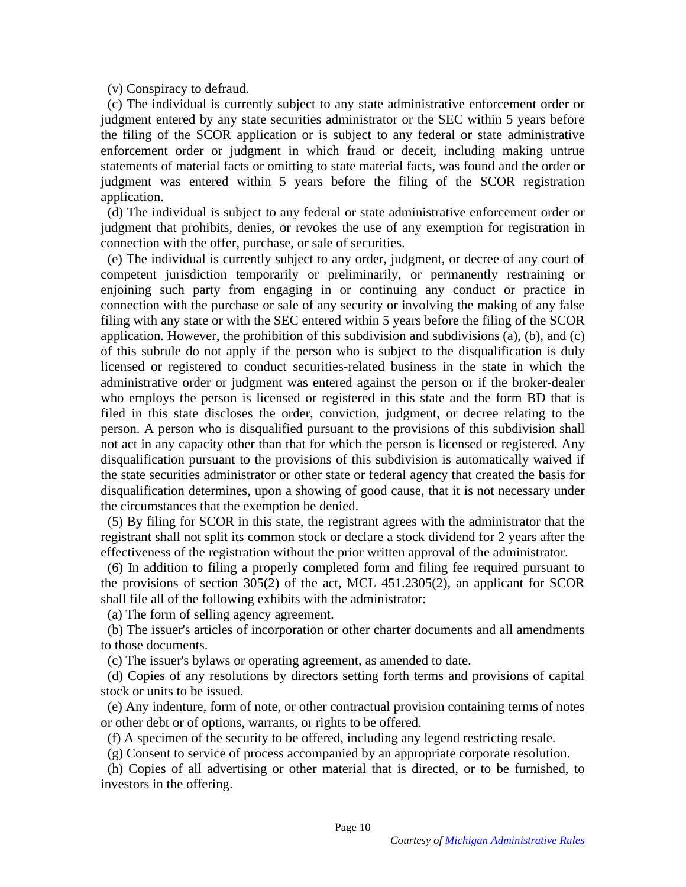(v) Conspiracy to defraud. (v) Conspiracy to defraud.

(c) The individual is currently subject to any state administrative enforcement order or judgment entered by any state securities administrator or the SEC within 5 years before the filing of the SCOR application or is subject to any federal or state administrative enforcement order or judgment in which fraud or deceit, including making untrue statements of material facts or omitting to state material facts, was found and the order or judgment was entered within 5 years before the filing of the SCOR registration application. (c) The individual is currently subject to any state administrative enforcement order or judgment entered by any state securities administrator or the SEC within 5 years before the filing of the SCOR application or is subj

(d) The individual is subject to any federal or state administrative enforcement order or judgment that prohibits, denies, or revokes the use of any exemption for registration in connection with the offer, purchase, or sale of securities.

(e) The individual is currently subject to any order, judgment, or decree of any court of competent jurisdiction temporarily or preliminarily, or permanently restraining or enjoining such party from engaging in or continuing any conduct or practice in connection with the purchase or sale of any security or involving the making of any false filing with any state or with the SEC entered within 5 years before the filing of the SCOR application. However, the prohibition of this subdivision and subdivisions (a), (b), and (c) of this subrule do not apply if the person who is subject to the disqualification is duly licensed or registered to conduct securities-related business in the state in which the administrative order or judgment was entered against the person or if the broker-dealer who employs the person is licensed or registered in this state and the form BD that is who employs the person is licensed or registered in this state and the form BD that is filed in this state discloses the order, conviction, judgment, or decree relating to the person. A person who is disqualified pursuant to the provisions of this subdivision shall not act in any capacity other than that for which the person is licensed or registered. Any filed in this state discloses the order, conviction, judgment, or decree relating to the person. A person who is disqualified pursuant to the provisions of this subdivision shall not act in any capacity other than that for the state securities administrator or other state or federal agency that created the basis for disqualification determines, upon a showing of good cause, that it is not necessary under the circumstances that the exemption be denied. (e) The individual is currently subject to any order, judgment, or decree of any court of competent jurisdiction temporarily or preliminarily, or permanently restraining or enjoining such party from engaging in or continui the state securities administrator or other state or federal agency that created the basis for<br>disqualification determines, upon a showing of good cause, that it is not necessary under<br>the circumstances that the exemption

(5) By filing for SCOR in this state, the registrant agrees with the administrator that the registrant shall not split its common stock or declare a stock dividend for 2 years after the effectiveness of the registration without the prior written approval of the administrator. effectiveness of the registration without the prior written approval of the administrator.

(6) In addition to filing a properly completed form and filing fee required pursuant to the provisions of section 305(2) of the act, MCL 451.2305(2), an applicant for SCOR shall file all of the following exhibits with the administrator: (6) In addition to filing a properly completed form and filing fee required pursuant to the provisions of section  $305(2)$  of the act, MCL  $451.2305(2)$ , an applicant for SCOR shall file all of the following exhibits with

(a) The form of selling agency agreement.

(b) The issuer's articles of incorporation or other charter documents and all amendments<br>to those documents.<br>(c) The issuer's bylaws or operating agreement, as amended to date. to those documents.

(c) The issuer's bylaws or operating agreement, as amended to date.

(d) Copies of any resolutions by directors setting forth terms and provisions of capital (d) Copies of any resolutions by directors setting forth terms and provisions of capital stock or units to be issued. stock or units to be issued.

(e) Any indenture, form of note, or other contractual provision containing terms of notes (e) Any indenture, form of note, or other contractual provision containing terms of notes or other debt or of options, warrants, or rights to be offered. or other debt or of options, warrants, or rights to be offered.

(f) A specimen of the security to be offered, including any legend restricting resale.

(g) Consent to service of process accompanied by an appropriate corporate resolution.

(f) A specimen of the security to be offered, including any legend restricting resale.<br>(g) Consent to service of process accompanied by an appropriate corporate resolution.<br>(h) Copies of all advertising or other material t investors in the offering. investors in the offering.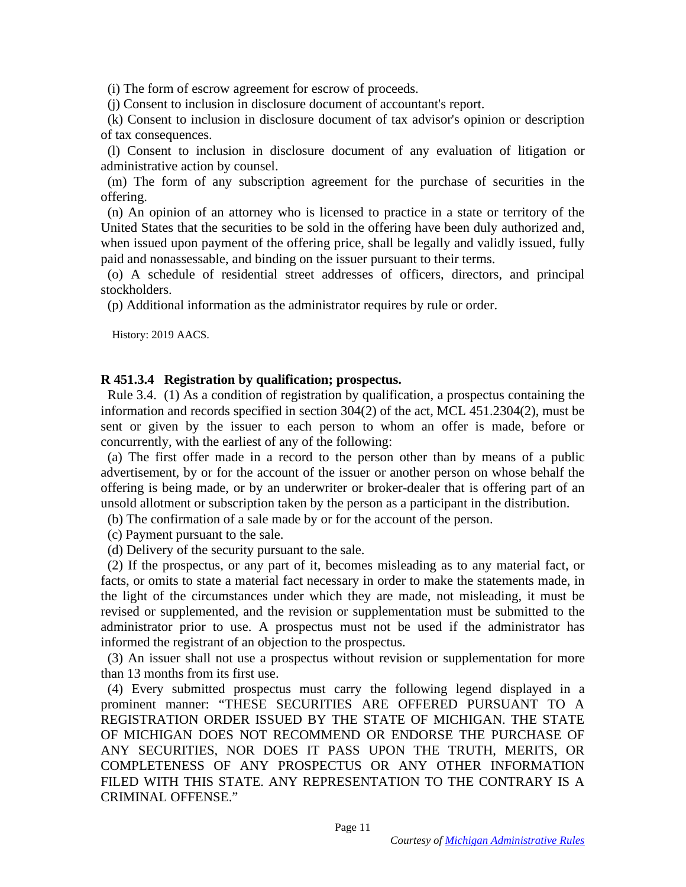(i) The form of escrow agreement for escrow of proceeds. (i) The form of escrow agreement for escrow of proceeds.

(j) Consent to inclusion in disclosure document of accountant's report.

(k) Consent to inclusion in disclosure document of tax advisor's opinion or description of tax consequences. (j) Consent to inclusion in disclosure document of accountant's report. (k) Consent to inclusion in disclosure document of tax advisor's opinion or description of tax consequences.

(1) Consent to inclusion in disclosure document of any evaluation of litigation or (l) Consent to inclusion in disclosure document of any evaluation of litigation or administrative action by counsel. administrative action by counsel.

(m) The form of any subscription agreement for the purchase of securities in the offering. offering.

(n) An opinion of an attorney who is licensed to practice in a state or territory of the (n) An opinion of an attorney who is licensed to practice in a state or territory of the United States that the securities to be sold in the offering have been duly authorized and, when issued upon payment of the offering price, shall be legally and validly issued, fully paid and nonassessable, and binding on the issuer pursuant to their terms.

(o) A schedule of residential street addresses of officers, directors, and principal stockholders. paid and nonassessable, and binding on the issuer pursuant to their terms. (o) A schedule of residential street addresses of officers, directors, and principal stockholders.

(p) Additional information as the administrator requires by rule or order. (p) Additional information as the administrator requires by rule or order.

History: 2019 AACS. History: 2019 AACS.

#### R 451.3.4 Registration by qualification; prospectus. **R 451.3.4 Registration by qualification; prospectus.**

Rule 3.4. (1) As a condition of registration by qualification, a prospectus containing the information and records specified in section 304(2) of the act, MCL 451.2304(2), must be Rule 3.4. (1) As a condition of registration by qualification, a prospectus containing the information and records specified in section 304(2) of the act, MCL 451.2304(2), must be sent or given by the issuer to each person concurrently, with the earliest of any of the following:

(a) The first offer made in a record to the person other than by means of a public advertisement, by or for the account of the issuer or another person on whose behalf the offering is being made, or by an underwriter or broker-dealer that is offering part of an unsold allotment or subscription taken by the person as a participant in the distribution. concurrently, with the earliest of any of the following:<br>
(a) The first offer made in a record to the person other than by means of a public<br>
advertisement, by or for the account of the issuer or another person on whose be

(b) The confirmation of a sale made by or for the account of the person. (b) The confirmation of a sale made by or for the account of the person.

(c) Payment pursuant to the sale.

(d) Delivery of the security pursuant to the sale. (c) Payment pursuant to the sale. (d) Delivery of the security pursuant to the sale.

(2) If the prospectus, or any part of it, becomes misleading as to any material fact, or facts, or omits to state a material fact necessary in order to make the statements made, in facts, or omits to state a material fact necessary in order to make the statements made, in the light of the circumstances under which they are made, not misleading, it must be the light of the circumstances under which they are made, not misleading, it must be revised or supplemented, and the revision or supplementation must be submitted to the administrator prior to use. A prospectus must not be used if the administrator has informed the registrant of an objection to the prospectus. revised or supplemented, and the revision or supplementation must be submitted to the administrator prior to use. A prospectus must not be used if the administrator has informed the registrant of an objection to the prospe

than 13 months from its first use. than 13 months from its first use.

(4) Every submitted prospectus must carry the following legend displayed in a prominent manner: "THESE SECURITIES ARE OFFERED PURSUANT TO A REGISTRATION ORDER ISSUED BY THE STATE OF MICHIGAN. THE STATE OF MICHIGAN DOES NOT RECOMMEND OR ENDORSE THE PURCHASE OF ANY SECURITIES, NOR DOES IT PASS UPON THE TRUTH, MERITS, OR COMPLETENESS OF ANY PROSPECTUS OR ANY OTHER INFORMATION FILED WITH THIS STATE. ANY REPRESENTATION TO THE CONTRARY IS A CRIMINAL OFFENSE." (4) Every submitted prospectus must carry the following legend displayed in a prominent manner: "THESE SECURITIES ARE OFFERED PURSUANT TO A REGISTRATION ORDER ISSUED BY THE STATE OF MICHIGAN. THE STATE OF MICHIGAN DOES NOT ANY SECURITIES, NOR DOES IT PASS UPON THE TRUTH, MERITS, OR COMPLETENESS OF ANY PROSPECTUS OR ANY OTHER INFORMATION FILED WITH THIS STATE. ANY REPRESENTATION TO THE CONTRARY IS A CRIMINAL OFFENSE."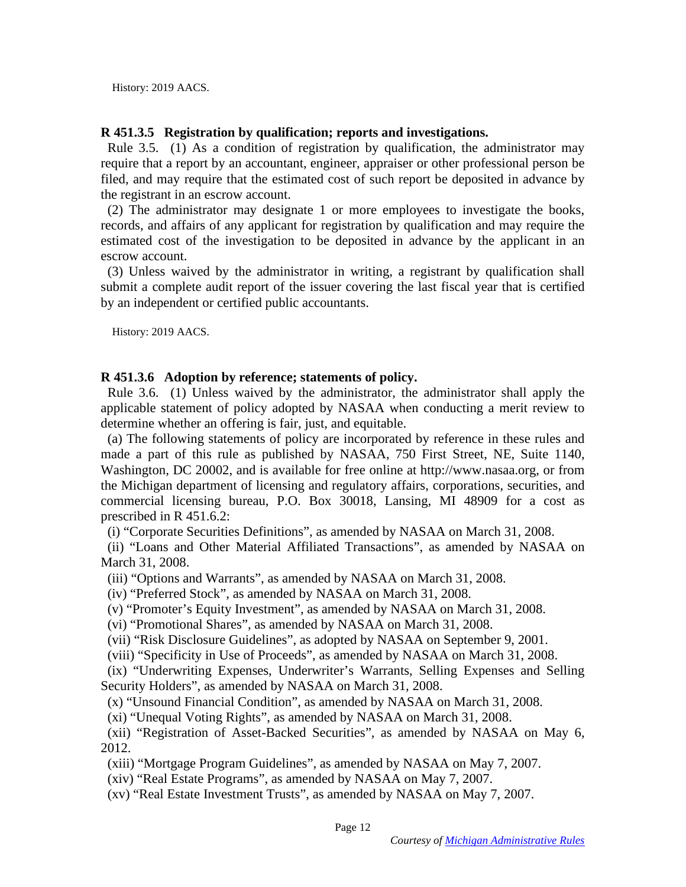History: 2019 AACS. History: 2019 AACS.

### R 451.3.5 Registration by qualification; reports and investigations. **R 451.3.5 Registration by qualification; reports and investigations.**

Rule 3.5. (1) As a condition of registration by qualification, the administrator may require that a report by an accountant, engineer, appraiser or other professional person be filed, and may require that the estimated cost of such report be deposited in advance by the registrant in an escrow account. Rule 3.5. (1) As a condition of registration by qualification, the administrator may require that a report by an accountant, engineer, appraiser or other professional person be filed, and may require that the estimated cos

(2) The administrator may designate 1 or more employees to investigate the books, (2) The administrator may designate 1 or more employees to investigate the books, records, and affairs of any applicant for registration by qualification and may require the estimated cost of the investigation to be deposited in advance by the applicant in an escrow account. records, and affairs of any applicant for registration by qualification and may require the estimated cost of the investigation to be deposited in advance by the applicant in an escrow account.<br>(3) Unless waived by the adm

(3) Unless waived by the administrator in writing, a registrant by qualification shall submit a complete audit report of the issuer covering the last fiscal year that is certified by an independent or certified public accountants. by an independent or certified public accountants.

History: 2019 AACS. History: 2019 AACS.

#### R 451.3.6 Adoption by reference; statements of policy. **R 451.3.6 Adoption by reference; statements of policy.**

Rule 3.6. (1) Unless waived by the administrator, the administrator shall apply the applicable statement of policy adopted by NASAA when conducting a merit review to applicable statement of policy adopted by NASAA when conducting a merit review to determine whether an offering is fair, just, and equitable.

(a) The following statements of policy are incorporated by reference in these rules and made a part of this rule as published by NASAA, 750 First Street, NE, Suite 1140, Washington, DC 20002, and is available for free online at http://www.nasaa.org, or from the Michigan department of licensing and regulatory affairs, corporations, securities, and the Michigan department of licensing and regulatory affairs, corporations, securities, and commercial licensing bureau, P.O. Box 30018, Lansing, MI 48909 for a cost as prescribed in R 451.6.2: commercial licensing bureau, P.O. Box 30018, Lansing, MI 48909 for a cost as<br>prescribed in R 451.6.2:<br>(i) "Corporate Securities Definitions", as amended by NASAA on March 31, 2008.<br>(ii) "Loans and Other Material Affiliated determine whether an offering is fair, just, and equitable.<br>
(a) The following statements of policy are incorporated by reference in these rules and<br>
made a part of this rule as published by NASAA, 750 First Street, NE, Su

(i) "Corporate Securities Definitions", as amended by NASAA on March 31, 2008.

March 31, 2008. March 31, 2008.

(iii) "Options and Warrants", as amended by NASAA on March 31, 2008.

(iv) "Preferred Stock", as amended by NASAA on March 31, 2008.

(v) "Promoter's Equity Investment", as amended by NASAA on March 31, 2008. (iii) "Options and Warrants", as amended by NASAA on March 31, 2008.<br>
(iv) "Preferred Stock", as amended by NASAA on March 31, 2008.<br>
(v) "Promoter's Equity Investment", as amended by NASAA on March 31, 2008.<br>
(vi) "Promot

(vi) "Promotional Shares", as amended by NASAA on March 31, 2008.

(vii) "Risk Disclosure Guidelines", as adopted by NASAA on September 9, 2001. (vii) "Risk Disclosure Guidelines", as adopted by NASAA on September 9, 2001.

(viii) "Specificity in Use of Proceeds", as amended by NASAA on March 31, 2008.

(ix) "Underwriting Expenses, Underwriter's Warrants, Selling Expenses and Selling Security Holders", as amended by NASAA on March 31, 2008. (viii) "Specificity in Use of Proceeds", as amended by NASAA on March 31, 2008.<br>
(ix) "Underwriting Expenses, Underwriter's Warrants, Selling Expenses and Selling<br>
Security Holders", as amended by NASAA on March 31, 2008.<br>

(xi) "Unequal Voting Rights", as amended by NASAA on March 31, 2008. (xi) "Unequal Voting Rights", as amended by NASAA on March 31, 2008.

(xii) "Registration of Asset-Backed Securities", as amended by NASAA on May 6, 2012.<br>
2012.<br>
(xiii) "Mortgage Program Guidelines", as amended by NASAA on May 7, 2007.<br>
(xiv) "Real Estate Programs", as amended by NASAA on M 2012.

(xiii) "Mortgage Program Guidelines", as amended by NASAA on May 7, 2007.

(xiv) "Real Estate Programs", as amended by NASAA on May 7, 2007.

(xv) "Real Estate Investment Trusts", as amended by NASAA on May 7, 2007. (xv) "Real Estate Investment Trusts", as amended by NASAA on May 7, 2007.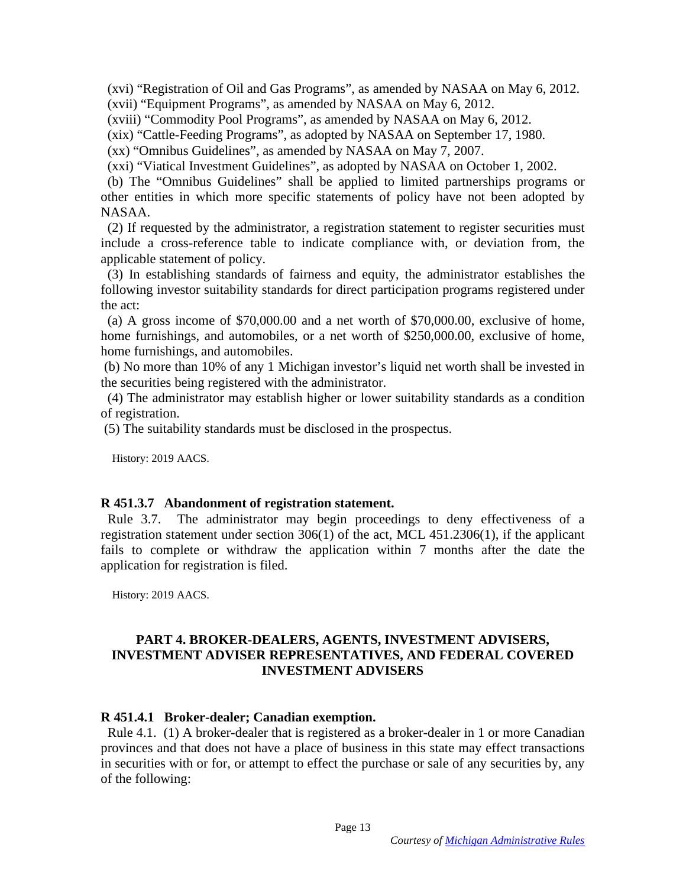(xvi) "Registration of Oil and Gas Programs", as amended by NASAA on May 6, 2012. (xvi) "Registration of Oil and Gas Programs", as amended by NASAA on May 6, 2012.

(xvii) "Equipment Programs", as amended by NASAA on May 6, 2012. (xvii) "Equipment Programs", as amended by NASAA on May 6, 2012.

(xviii) "Commodity Pool Programs", as amended by NASAA on May 6, 2012. (xviii) "Commodity Pool Programs", as amended by NASAA on May 6, 2012.

(xix) "Cattle-Feeding Programs", as adopted by NASAA on September 17, 1980.

(xx) "Omnibus Guidelines", as amended by NASAA on May 7, 2007.

(xxi) "Viatical Investment Guidelines", as adopted by NASAA on October 1, 2002.

(b) The "Omnibus Guidelines" shall be applied to limited partnerships programs or other entities in which more specific statements of policy have not been adopted by NASAA. (xix) "Cattle-Feeding Programs", as adopted by NASAA on September 17, 1980.<br>
(xx) "Omnibus Guidelines", as amended by NASAA on May 7, 2007.<br>
(xxi) "Viatical Investment Guidelines", as adopted by NASAA on October 1, 2002.<br>

(2) If requested by the administrator, a registration statement to register securities must include a cross-reference table to indicate compliance with, or deviation from, the include a cross-reference table to indicate compliance with, or deviation from, the applicable statement of policy.

(3) In establishing standards of fairness and equity, the administrator establishes the following investor suitability standards for direct participation programs registered under the act: applicable statement of policy.<br>
(3) In establishing standards of fairness and equity, the administrator establishes the<br>
following investor suitability standards for direct participation programs registered under<br>
the act

(a) A gross income of \$70,000.00 and a net worth of \$70,000.00, exclusive of home, home furnishings, and automobiles, or a net worth of \$250,000.00, exclusive of home, home furnishings, and automobiles.

the securities being registered with the administrator. the securities being registered with the administrator.

(4) The administrator may establish higher or lower suitability standards as a condition (4) The administrator may establish higher or lower suitability standards as a condition of registration. (5) The suitability standards must be disclosed in the prospectus. of registration. (5) The suitability standards must be disclosed in the prospectus.

History: 2019 AACS. History: 2019 AACS.

### R 451.3.7 Abandonment of registration statement. **R 451.3.7 Abandonment of registration statement.**

Rule 3.7. The administrator may begin proceedings to deny effectiveness of a registration statement under section 306(1) of the act, MCL 451.2306(1), if the applicant fails to complete or withdraw the application within 7 months after the date the application for registration is filed. registration statement under section 306(1) of the act, MCL 451.2306(1), if the applicant fails to complete or withdraw the application within 7 months after the date the application for registration is filed.

History: 2019 AACS. History: 2019 AACS.

#### PART 4. BROKER-DEALERS, AGENTS, INVESTMENT ADVISERS, **PART 4. BROKER-DEALERS, AGENTS, INVESTMENT ADVISERS,**  INVESTMENT ADVISER REPRESENTATIVES, AND FEDERAL COVERED **INVESTMENT ADVISER REPRESENTATIVES, AND FEDERAL COVERED INVESTMENT ADVISERS**  INVESTMENT ADVISERS

### R 451.4.1 Broker-dealer; Canadian exemption. **R 451.4.1 Broker-dealer; Canadian exemption.**

Rule 4.1. (1) A broker-dealer that is registered as a broker-dealer in 1 or more Canadian provinces and that does not have a place of business in this state may effect transactions in securities with or for, or attempt to effect the purchase or sale of any securities by, any of the following: Rule 4.1. (1) A broker-dealer that is registered as a broker-dealer in 1 or more Canadian provinces and that does not have a place of business in this state may effect transactions in securities with or for, or attempt to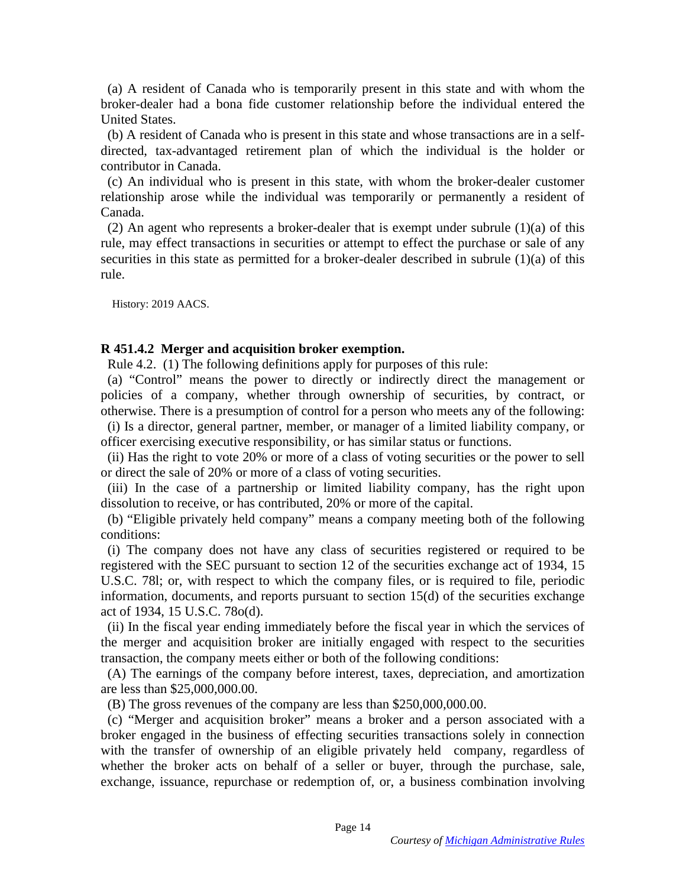(a) A resident of Canada who is temporarily present in this state and with whom the (a) A resident of Canada who is temporarily present in this state and with whom the broker-dealer had a bona fide customer relationship before the individual entered the United States.<br>
(b) A resident of Canada who is present in this state and whose transactions are in a self-United States.

(b) A resident of Canada who is present in this state and whose transactions are in a selfdirected, tax-advantaged retirement plan of which the individual is the holder or contributor in Canada. contributor in Canada.

(c) An individual who is present in this state, with whom the broker-dealer customer relationship arose while the individual was temporarily or permanently a resident of Canada. (c) An individual who is present in this state, with whom the broker-dealer customer relationship arose while the individual was temporarily or permanently a resident of Canada.<br>(2) An agent who represents a broker-dealer

(2) An agent who represents a broker-dealer that is exempt under subrule (1)(a) of this rule, may effect transactions in securities or attempt to effect the purchase or sale of any rule, may effect transactions in securities or attempt to effect the purchase or sale of any securities in this state as permitted for a broker-dealer described in subrule (1)(a) of this securities in this state as permitted for a broker-dealer described in subrule (1)(a) of this rule. rule.

History: 2019 AACS. History: 2019 AACS.

### R 451.4.2 Merger and acquisition broker exemption. **R 451.4.2 Merger and acquisition broker exemption.**

Rule 4.2. (1) The following definitions apply for purposes of this rule:

(a) "Control" means the power to directly or indirectly direct the management or policies of a company, whether through ownership of securities, by contract, or otherwise. There is a presumption of control for a person who meets any of the following: (a) "Control" means the power to directly or indirectly direct the management or policies of a company, whether through ownership of securities, by contract, or otherwise. There is a presumption of control for a person who

(i) Is a director, general partner, member, or manager of a limited liability company, or officer exercising executive responsibility, or has similar status or functions.

(ii) Has the right to vote 20% or more of a class of voting securities or the power to sell or direct the sale of 20% or more of a class of voting securities. (ii) Has the right to vote 20% or more of a class of voting securities or the power to sell<br>or direct the sale of 20% or more of a class of voting securities.<br>(iii) In the case of a partnership or limited liability company

(iii) In the case of a partnership or limited liability company, has the right upon dissolution to receive, or has contributed, 20% or more of the capital.

(b) "Eligible privately held company" means a company meeting both of the following (b) "Eligible privately held company" means a company meeting both of the following conditions:

(i) The company does not have any class of securities registered or required to be registered with the SEC pursuant to section 12 of the securities exchange act of 1934, 15 conditions:<br>
(i) The company does not have any class of securities registered or required to be<br>
registered with the SEC pursuant to section 12 of the securities exchange act of 1934, 15<br>
U.S.C. 781; or, with respect to wh information, documents, and reports pursuant to section 15(d) of the securities exchange information, documents, and reports pursuant to section 15(d) of the securities exchange act of 1934, 15 U.S.C. 78o(d).

(ii) In the fiscal year ending immediately before the fiscal year in which the services of the merger and acquisition broker are initially engaged with respect to the securities transaction, the company meets either or both of the following conditions: act of 1934, 15 U.S.C. 78o(d).<br>
(ii) In the fiscal year ending immediately before the fiscal year in which the services of<br>
the merger and acquisition broker are initially engaged with respect to the securities<br>
transactio

(A) The earnings of the company before interest, taxes, depreciation, and amortization (A) The earnings of the company before interest, taxes, depreciation, and amortization are less than \$25,000,000.00. are less than \$25,000,000.00.<br>
(B) The gross revenues of the company are less than \$250,000,000.00.

(c) "Merger and acquisition broker" means a broker and a person associated with a (c) "Merger and acquisition broker" means a broker and a person associated with a broker engaged in the business of effecting securities transactions solely in connection with the transfer of ownership of an eligible privately held company, regardless of whether the broker acts on behalf of a seller or buyer, through the purchase, sale, with the transfer of ownership of an eligible privately held company, regardless of whether the broker acts on behalf of a seller or buyer, through the purchase, sale, exchange, issuance, repurchase or redemption of, or, a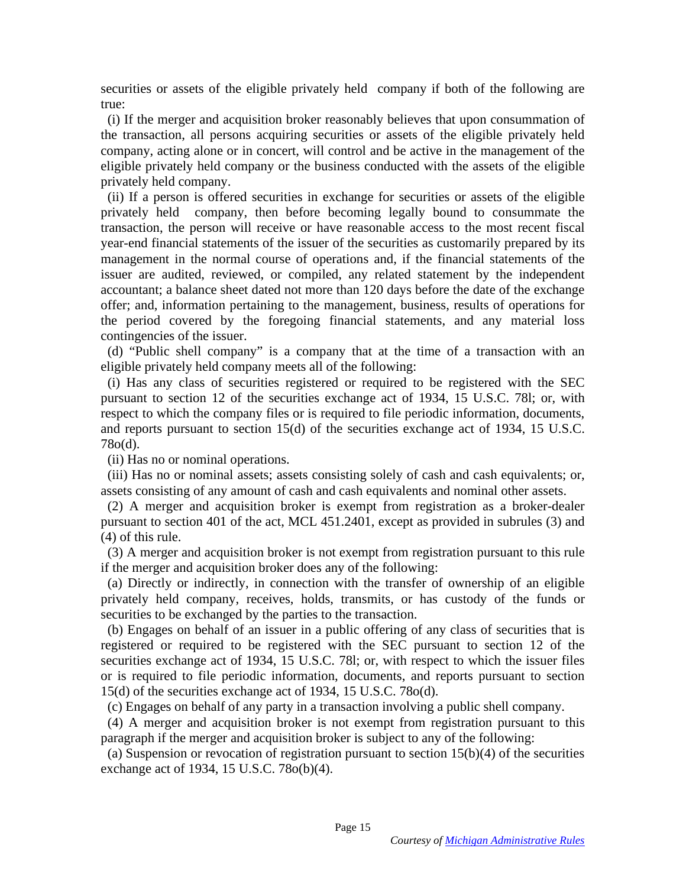securities or assets of the eligible privately held company if both of the following are<br>true:<br>(i) If the merger and acquisition broker reasonably believes that upon consummation of true:

(i) If the merger and acquisition broker reasonably believes that upon consummation of the transaction, all persons acquiring securities or assets of the eligible privately held company, acting alone or in concert, will control and be active in the management of the eligible privately held company or the business conducted with the assets of the eligible privately held company. the transaction, all persons acquiring securities or assets of the eligible privately held<br>company, acting alone or in concert, will control and be active in the management of the<br>eligible privately held company or the bus

(ii) If a person is offered securities in exchange for securities or assets of the eligible privately held company, then before becoming legally bound to consummate the transaction, the person will receive or have reasonable access to the most recent fiscal year-end financial statements of the issuer of the securities as customarily prepared by its year-end financial statements of the issuer of the securities as customarily prepared by its management in the normal course of operations and, if the financial statements of the issuer are audited, reviewed, or compiled, any related statement by the independent accountant; a balance sheet dated not more than 120 days before the date of the exchange offer; and, information pertaining to the management, business, results of operations for the period covered by the foregoing financial statements, and any material loss contingencies of the issuer. management in the normal course of operations and, if the financial statements of the<br>issuer are audited, reviewed, or compiled, any related statement by the independent<br>accountant; a balance sheet dated not more than 120

(d) "Public shell company" is a company that at the time of a transaction with an eligible privately held company meets all of the following:

(i) Has any class of securities registered or required to be registered with the SEC pursuant to section 12 of the securities exchange act of 1934, 15 U.S.C. 781; or, with pursuant to section 12 of the securities exchange act of 1934, 15 U.S.C. 78l; or, with respect to which the company files or is required to file periodic information, documents, and reports pursuant to section 15(d) of the securities exchange act of 1934, 15 U.S.C. 78o(d). respect to which the company files or is required to file periodic information, documents, and reports pursuant to section 15(d) of the securities exchange act of 1934, 15 U.S.C. 78o(d). <br>(ii) Has no or nominal operations.

(ii) Has no or nominal operations.

(iii) Has no or nominal assets; assets consisting solely of cash and cash equivalents; or, assets consisting of any amount of cash and cash equivalents and nominal other assets.

(2) A merger and acquisition broker is exempt from registration as a broker-dealer pursuant to section 401 of the act, MCL 451.2401, except as provided in subrules (3) and (4) of this rule. (iii) Has no or nominal assets; assets consisting solely of cash and cash equivalents; or, assets consisting of any amount of cash and cash equivalents and nominal other assets.<br>(2) A merger and acquisition broker is exem

(3) A merger and acquisition broker is not exempt from registration pursuant to this rule (3) A merger and acquisition broker is not exempt from registration pursuant to this rule if the merger and acquisition broker does any of the following:

(a) Directly or indirectly, in connection with the transfer of ownership of an eligible privately held company, receives, holds, transmits, or has custody of the funds or securities to be exchanged by the parties to the transaction. if the merger and acquisition broker does any of the following:<br>
(a) Directly or indirectly, in connection with the transfer of ownership of an eligible<br>
privately held company, receives, holds, transmits, or has custody o

(b) Engages on behalf of an issuer in a public offering of any class of securities that is registered or required to be registered with the SEC pursuant to section 12 of the securities exchange act of 1934, 15 U.S.C. 781; or, with respect to which the issuer files or is required to file periodic information, documents, and reports pursuant to section 15(d) of the securities exchange act of 1934, 15 U.S.C. 78o(d). (b) Engages on behalf of an issuer in a public offering of any class of securities that is registered or required to be registered with the SEC pursuant to section 12 of the securities exchange act of 1934, 15 U.S.C. 781;

(4) A merger and acquisition broker is not exempt from registration pursuant to this paragraph if the merger and acquisition broker is subject to any of the following:

(c) Engages on behalf of any party in a transaction involving a public shell company.<br>
(4) A merger and acquisition broker is not exempt from registration pursuant to this paragraph if the merger and acquisition broker is (a) Suspension or revocation of registration pursuant to section  $15(b)(4)$  of the securities exchange act of 1934, 15 U.S.C. 78o(b)(4).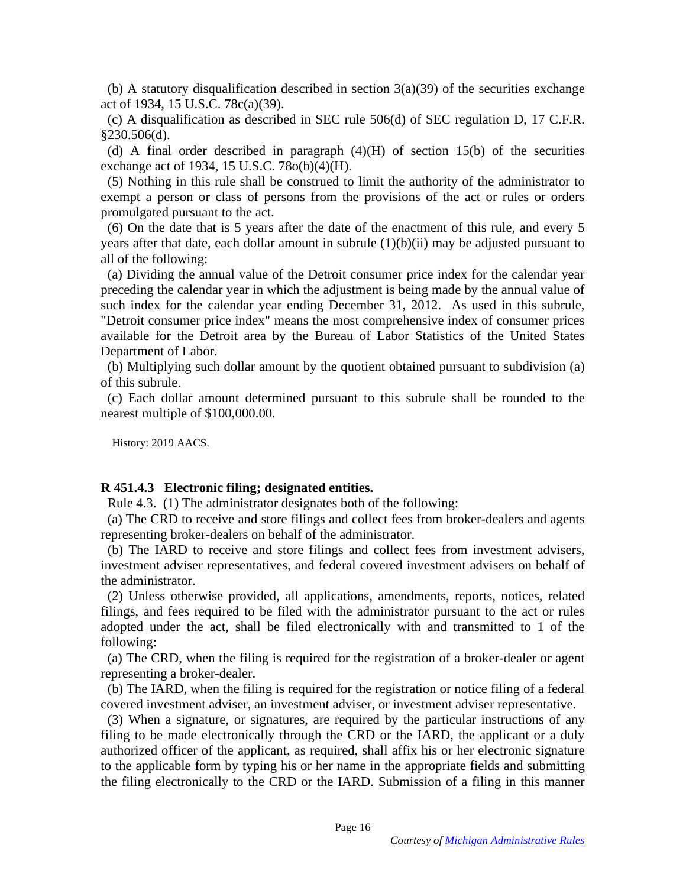(b) A statutory disqualification described in section  $3(a)(39)$  of the securities exchange act of 1934, 15 U.S.C. 78c(a)(39).

(c) A disqualification as described in SEC rule 506(d) of SEC regulation D, 17 C.F.R. §230.506(d).

(d) A final order described in paragraph  $(4)(H)$  of section 15(b) of the securities exchange act of 1934, 15 U.S.C. 78o(b)(4)(H).

(5) Nothing in this rule shall be construed to limit the authority of the administrator to exempt a person or class of persons from the provisions of the act or rules or orders promulgated pursuant to the act. act of 1934, 15 U.S.C. 78 $c$ (a)(39).<br>
(c) A disqualification as described in SEC rule 506(d) of SEC regulation D, 17 C.F.R.<br>
§230.506(d).<br>
(d) A final order described in paragraph (4)(H) of section 15(b) of the securities

(6) On the date that is 5 years after the date of the enactment of this rule, and every 5 years after that date, each dollar amount in subrule (1)(b)(ii) may be adjusted pursuant to years after that date, each dollar amount in subrule (1)(b)(ii) may be adjusted pursuant to all of the following: all of the following:

(a) Dividing the annual value of the Detroit consumer price index for the calendar year preceding the calendar year in which the adjustment is being made by the annual value of such index for the calendar year ending December 31, 2012. As used in this subrule, "Detroit consumer price index" means the most comprehensive index of consumer prices available for the Detroit area by the Bureau of Labor Statistics of the United States Department of Labor. (a) Dividing the annual value of the Detroit consumer price index for the calendar year<br>preceding the calendar year in which the adjustment is being made by the annual value of<br>such index for the calendar year ending Decem

(b) Multiplying such dollar amount by the quotient obtained pursuant to subdivision (a) of this subrule.

(c) Each dollar amount determined pursuant to this subrule shall be rounded to the (c) Each dollar amount determined pursuant to this subrule shall be rounded to the nearest multiple of \$100,000.00. nearest multiple of \$100,000.00.

History: 2019 AACS. History: 2019 AACS.

#### R 451.4.3 Electronic filing; designated entities. **R 451.4.3 Electronic filing; designated entities.**

Rule 4.3. (1) The administrator designates both of the following:

(a) The CRD to receive and store filings and collect fees from broker-dealers and agents (a) The CRD to receive and store filings and collect fees from broker-dealers and agents representing broker-dealers on behalf of the administrator.

(b) The IARD to receive and store filings and collect fees from investment advisers, representing broker-dealers on behalf of the administrator.<br>
(b) The IARD to receive and store filings and collect fees from investment advisers,<br>
investment adviser representatives, and federal covered investment advisers the administrator. the administrator.

(2) Unless otherwise provided, all applications, amendments, reports, notices, related (2) Unless otherwise provided, all applications, amendments, reports, notices, related filings, and fees required to be filed with the administrator pursuant to the act or rules adopted under the act, shall be filed electronically with and transmitted to 1 of the following: filings, and fees required to be filed with the administrator pursuant to the act or rules adopted under the act, shall be filed electronically with and transmitted to 1 of the following:<br>(a) The CRD, when the filing is re

(a) The CRD, when the filing is required for the registration of a broker-dealer or agent representing a broker-dealer. representing a broker-dealer.

(b) The IARD, when the filing is required for the registration or notice filing of a federal covered investment adviser, an investment adviser, or investment adviser representative.

(3) When a signature, or signatures, are required by the particular instructions of any filing to be made electronically through the CRD or the IARD, the applicant or a duly authorized officer of the applicant, as required, shall affix his or her electronic signature authorized officer of the applicant, as required, shall affix his or her electronic signature<br>to the applicable form by typing his or her name in the appropriate fields and submitting the filing electronically to the CRD or the IARD. Submission of a filing in this manner (b) The IARD, when the filing is required for the registration or notice filing of a federal covered investment adviser, an investment adviser, or investment adviser representative.<br>(3) When a signature, or signatures, are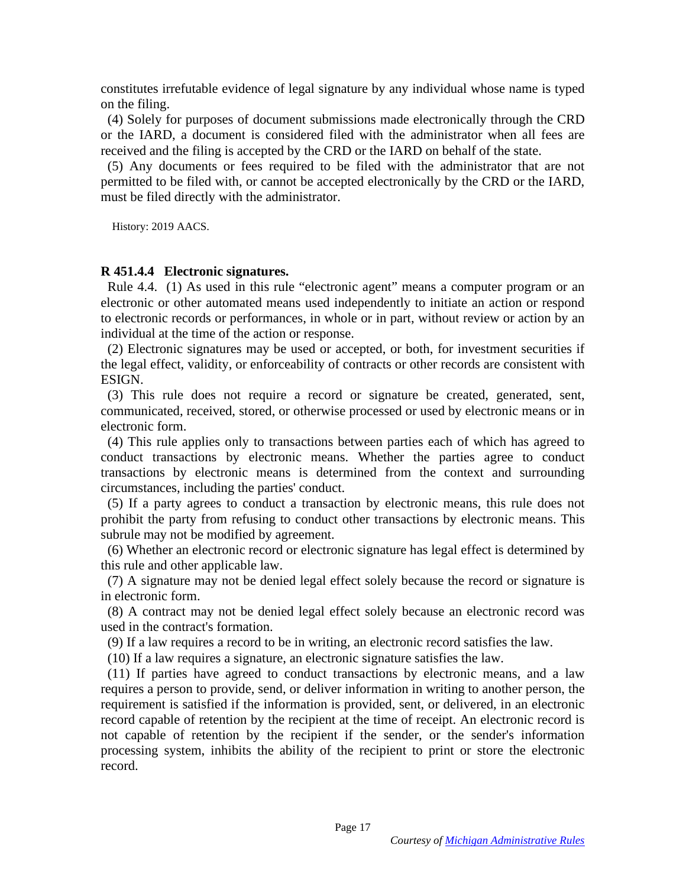constitutes irrefutable evidence of legal signature by any individual whose name is typed constitutes irrefutable evidence of legal signature by any individual whose name is typed on the filing. on the filing.

(4) Solely for purposes of document submissions made electronically through the CRD or the IARD, a document is considered filed with the administrator when all fees are received and the filing is accepted by the CRD or the IARD on behalf of the state. (4) Solely for purposes of document submissions made electronically through the CRD<br>or the IARD, a document is considered filed with the administrator when all fees are<br>received and the filing is accepted by the CRD or the

(5) Any documents or fees required to be filed with the administrator that are not permitted to be filed with, or cannot be accepted electronically by the CRD or the IARD, must be filed directly with the administrator.

History: 2019 AACS. History: 2019 AACS.

### R 451.4.4 Electronic signatures. **R 451.4.4 Electronic signatures.**

Rule 4.4. (1) As used in this rule "electronic agent" means a computer program or an electronic or other automated means used independently to initiate an action or respond to electronic records or performances, in whole or in part, without review or action by an individual at the time of the action or response. electronic or other automated means used independently to initiate an action or respond<br>to electronic records or performances, in whole or in part, without review or action by an<br>individual at the time of the action or res

(2) Electronic signatures may be used or accepted, or both, for investment securities if the legal effect, validity, or enforceability of contracts or other records are consistent with the legal effect, validity, or enforceability of contracts or other records are consistent with ESIGN.

(3) This rule does not require a record or signature be created, generated, sent, communicated, received, stored, or otherwise processed or used by electronic means or in electronic form. ESIGN. (3) This rule does not require a record or signature be created, generated, sent, communicated, received, stored, or otherwise processed or used by electronic means or in electronic form.

(4) This rule applies only to transactions between parties each of which has agreed to (4) This rule applies only to transactions between parties each of which has agreed to conduct transactions by electronic means. Whether the parties agree to conduct transactions by electronic means is determined from the context and surrounding circumstances, including the parties' conduct. conduct transactions by electronic means. Whether the parties agree to conduct<br>transactions by electronic means is determined from the context and surrounding<br>circumstances, including the parties' conduct.<br>(5) If a party a

(5) If a party agrees to conduct a transaction by electronic means, this rule does not prohibit the party from refusing to conduct other transactions by electronic means. This prohibit the party from refusing to conduct other transactions by electronic means. This subrule may not be modified by agreement.

(6) Whether an electronic record or electronic signature has legal effect is determined by this rule and other applicable law. subrule may not be modified by agreement.<br>
(6) Whether an electronic record or electronic signature has legal effect is determined by this rule and other applicable law.

(7) A signature may not be denied legal effect solely because the record or signature is (7) A signature may not be denied legal effect solely because the record or signature is in electronic form.

(8) A contract may not be denied legal effect solely because an electronic record was used in the contract's formation. in electronic form.<br>
(8) A contract may not be denied legal effect solely because an electronic record was<br>
used in the contract's formation.<br>
(9) If a law requires a record to be in writing, an electronic record satisfies

(9) If a law requires a record to be in writing, an electronic record satisfies the law.

(10) If a law requires a signature, an electronic signature satisfies the law.

(11) If parties have agreed to conduct transactions by electronic means, and a law (11) If parties have agreed to conduct transactions by electronic means, and a law requires a person to provide, send, or deliver information in writing to another person, the requirement is satisfied if the information is provided, sent, or delivered, in an electronic record capable of retention by the recipient at the time of receipt. An electronic record is not capable of retention by the recipient if the sender, or the sender's information processing system, inhibits the ability of the recipient to print or store the electronic record. requires a person to provide, send, or deliver information in writing to another person, the requirement is satisfied if the information is provided, sent, or delivered, in an electronic record capable of retention by the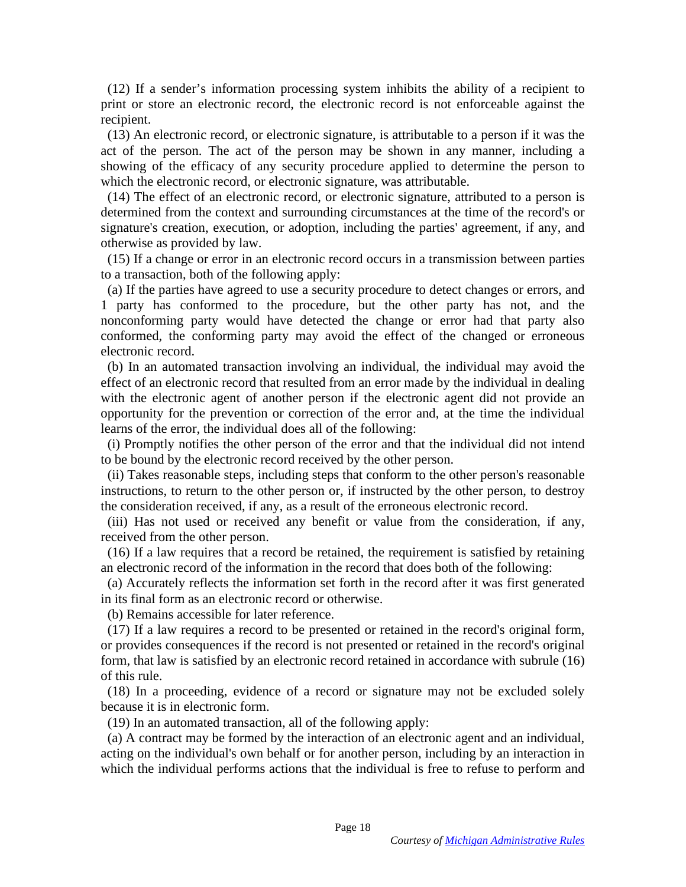(12) If a sender's information processing system inhibits the ability of a recipient to (12) If a sender's information processing system inhibits the ability of a recipient to print or store an electronic record, the electronic record is not enforceable against the recipient.

(13) An electronic record, or electronic signature, is attributable to a person if it was the act of the person. The act of the person may be shown in any manner, including a showing of the efficacy of any security procedure applied to determine the person to which the electronic record, or electronic signature, was attributable. print or store an electronic record, the electronic record is not enforceable against the recipient.<br>(13) An electronic record, or electronic signature, is attributable to a person if it was the act of the person. The act

(14) The effect of an electronic record, or electronic signature, attributed to a person is determined from the context and surrounding circumstances at the time of the record's or signature's creation, execution, or adoption, including the parties' agreement, if any, and otherwise as provided by law. (14) The effect of an electronic record, or electronic signature, attributed to a person is determined from the context and surrounding circumstances at the time of the record's or signature's creation, execution, or adopt

(15) If a change or error in an electronic record occurs in a transmission between parties to a transaction, both of the following apply:

(a) If the parties have agreed to use a security procedure to detect changes or errors, and 1 party has conformed to the procedure, but the other party has not, and the nonconforming party would have detected the change or error had that party also conformed, the conforming party may avoid the effect of the changed or erroneous electronic record. (15) If a change or error in an electronic record occurs in a transmission between parties<br>to a transaction, both of the following apply:<br>(a) If the parties have agreed to use a security procedure to detect changes or erro

(b) In an automated transaction involving an individual, the individual may avoid the effect of an electronic record that resulted from an error made by the individual in dealing with the electronic agent of another person if the electronic agent did not provide an opportunity for the prevention or correction of the error and, at the time the individual learns of the error, the individual does all of the following: opportunity for the prevention or correction of the error and, at the time the individual<br>learns of the error, the individual does all of the following:<br>(i) Promptly notifies the other person of the error and that the indi

to be bound by the electronic record received by the other person.

(ii) Takes reasonable steps, including steps that conform to the other person's reasonable instructions, to return to the other person or, if instructed by the other person, to destroy the consideration received, if any, as a result of the erroneous electronic record. to be bound by the electronic record received by the other person.<br>
(ii) Takes reasonable steps, including steps that conform to the other person's reasonable<br>
instructions, to return to the other person or, if instructed

(iii) Has not used or received any benefit or value from the consideration, if any, received from the other person. received from the other person.

(16) If a law requires that a record be retained, the requirement is satisfied by retaining (16) If a law requires that a record be retained, the requirement is satisfied by retaining an electronic record of the information in the record that does both of the following:

(a) Accurately reflects the information set forth in the record after it was first generated in its final form as an electronic record or otherwise. an electronic record of the information in the record that does both of the following:<br>
(a) Accurately reflects the information set forth in the record after it was first generated<br>
in its final form as an electronic recor

(b) Remains accessible for later reference.

(17) If a law requires a record to be presented or retained in the record's original form, or provides consequences if the record is not presented or retained in the record's original form, that law is satisfied by an electronic record retained in accordance with subrule (16) of this rule. (17) If a law requires a record to be presented or retained in the record's original form,<br>or provides consequences if the record is not presented or retained in the record's original<br>form, that law is satisfied by an ele

(18) In a proceeding, evidence of a record or signature may not be excluded solely because it is in electronic form. because it is in electronic form.

(19) In an automated transaction, all of the following apply:

(a) A contract may be formed by the interaction of an electronic agent and an individual, acting on the individual's own behalf or for another person, including by an interaction in which the individual performs actions that the individual is free to refuse to perform and (19) In an automated transaction, all of the following apply:<br>
(a) A contract may be formed by the interaction of an electronic agent and an individual,<br>
acting on the individual's own behalf or for another person, includi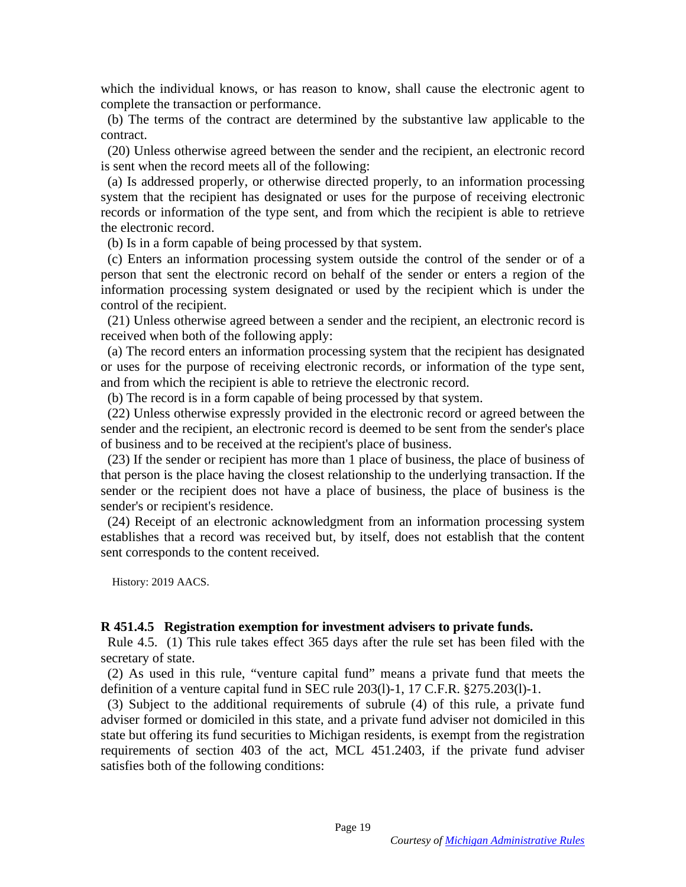which the individual knows, or has reason to know, shall cause the electronic agent to which the individual knows, or has reason to know, shall cause the electronic agent to complete the transaction or performance.

(b) The terms of the contract are determined by the substantive law applicable to the contract. complete the transaction or performance. (b) The terms of the contract are determined by the substantive law applicable to the contract.

(20) Unless otherwise agreed between the sender and the recipient, an electronic record is sent when the record meets all of the following:

(a) Is addressed properly, or otherwise directed properly, to an information processing system that the recipient has designated or uses for the purpose of receiving electronic records or information of the type sent, and from which the recipient is able to retrieve the electronic record. (20) Unless otherwise agreed between the sender and the recipient, an electronic record<br>is sent when the record meets all of the following:<br>(a) Is addressed properly, or otherwise directed properly, to an information proce

(b) Is in a form capable of being processed by that system. (b) Is in a form capable of being processed by that system.

(c) Enters an information processing system outside the control of the sender or of a person that sent the electronic record on behalf of the sender or enters a region of the information processing system designated or used by the recipient which is under the control of the recipient. (c) Enters an information processing system outside the control of the sender or of a person that sent the electronic record on behalf of the sender or enters a region of the information processing system designated or use

(21) Unless otherwise agreed between a sender and the recipient, an electronic record is received when both of the following apply:

(a) The record enters an information processing system that the recipient has designated or uses for the purpose of receiving electronic records, or information of the type sent, and from which the recipient is able to retrieve the electronic record. (21) Unless otherwise agreed between a sender and the recipient, an electronic record is<br>received when both of the following apply:<br>(a) The record enters an information processing system that the recipient has designated<br>o

(b) The record is in a form capable of being processed by that system. (b) The record is in a form capable of being processed by that system.

(22) Unless otherwise expressly provided in the electronic record or agreed between the sender and the recipient, an electronic record is deemed to be sent from the sender's place of business and to be received at the recipient's place of business. (22) Unless otherwise expressly provided in the electronic record or agreed between the sender and the recipient, an electronic record is deemed to be sent from the sender's place of business and to be received at the reci

that person is the place having the closest relationship to the underlying transaction. If the sender or the recipient does not have a place of business, the place of business is the sender's or recipient's residence. that person is the place having the closest relationship to the underlying transaction. If the sender or the recipient does not have a place of business, the place of business is the sender's or recipient's residence.<br>(24)

(24) Receipt of an electronic acknowledgment from an information processing system sent corresponds to the content received. sent corresponds to the content received.

History: 2019 AACS. History: 2019 AACS.

### R 451.4.5 Registration exemption for investment advisers to private funds. **R 451.4.5 Registration exemption for investment advisers to private funds.**

Rule 4.5. (1) This rule takes effect 365 days after the rule set has been filed with the secretary of state. secretary of state.

(2) As used in this rule, "venture capital fund" means a private fund that meets the (2) As used in this rule, "venture capital fund" means a private fund that meets the definition of a venture capital fund in SEC rule 203(1)-1, 17 C.F.R. §275.203(1)-1.

(3) Subject to the additional requirements of subrule (4) of this rule, a private fund adviser formed or domiciled in this state, and a private fund adviser not domiciled in this state but offering its fund securities to Michigan residents, is exempt from the registration requirements of section 403 of the act, MCL 451.2403, if the private fund adviser satisfies both of the following conditions: definition of a venture capital fund in SEC rule 203(1)-1, 17 C.F.R. §275.203(1)-1.<br>(3) Subject to the additional requirements of subrule (4) of this rule, a private fund<br>adviser formed or domiciled in this state, and a pr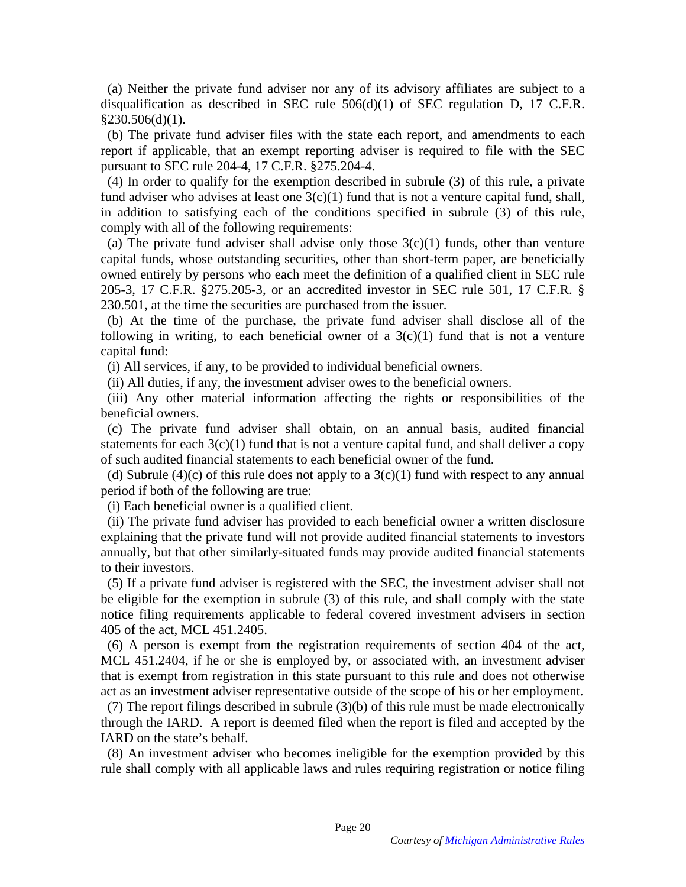(a) Neither the private fund adviser nor any of its advisory affiliates are subject to a (a) Neither the private fund adviser nor any of its advisory affiliates are subject to a disqualification as described in SEC rule  $506(d)(1)$  of SEC regulation D, 17 C.F.R.  $§230.506(d)(1)$ .

(b) The private fund adviser files with the state each report, and amendments to each report if applicable, that an exempt reporting adviser is required to file with the SEC pursuant to SEC rule 204-4, 17 C.F.R. §275.204-4.

(4) In order to qualify for the exemption described in subrule (3) of this rule, a private fund adviser who advises at least one  $3(c)(1)$  fund that is not a venture capital fund, shall, in addition to satisfying each of the conditions specified in subrule (3) of this rule, comply with all of the following requirements: disqualification as described in SEC rule  $506(d)(1)$  of SEC regulation D, 17 C.F.R. \$230.506(d)(1).<br>(b) The private fund adviser files with the state each report, and amendments to each report if applicable, that an exempt

(a) The private fund adviser shall advise only those  $3(c)(1)$  funds, other than venture capital funds, whose outstanding securities, other than short-term paper, are beneficially owned entirely by persons who each meet the definition of a qualified client in SEC rule 205-3, 17 C.F.R. §275.205-3, or an accredited investor in SEC rule 501, 17 C.F.R. § 230.501, at the time the securities are purchased from the issuer. capital funds, whose outstanding securities, other than short-term paper, are beneficially<br>owned entirely by persons who each meet the definition of a qualified client in SEC rule<br>205-3, 17 C.F.R. §275.205-3, or an accred

(b) At the time of the purchase, the private fund adviser shall disclose all of the following in writing, to each beneficial owner of a  $3(c)(1)$  fund that is not a venture capital fund:

(i) All services, if any, to be provided to individual beneficial owners.

(ii) All duties, if any, the investment adviser owes to the beneficial owners.

(iii) Any other material information affecting the rights or responsibilities of the (iii) Any other material information affecting the rights or responsibilities of the beneficial owners.

(c) The private fund adviser shall obtain, on an annual basis, audited financial statements for each  $3(c)(1)$  fund that is not a venture capital fund, and shall deliver a copy of such audited financial statements to each beneficial owner of the fund. beneficial owners.<br>
(c) The private fund adviser shall obtain, on an annual basis, audited financial<br>
statements for each  $3(c)(1)$  fund that is not a venture capital fund, and shall deliver a copy<br>
of such audited financia

(d) Subrule (4)(c) of this rule does not apply to a  $3(c)(1)$  fund with respect to any annual period if both of the following are true:

(i) Each beneficial owner is a qualified client.

(ii) The private fund adviser has provided to each beneficial owner a written disclosure explaining that the private fund will not provide audited financial statements to investors annually, but that other similarly-situated funds may provide audited financial statements annually, but that other similarly-situated funds may provide audited financial statements to their investors.

(5) If a private fund adviser is registered with the SEC, the investment adviser shall not be eligible for the exemption in subrule (3) of this rule, and shall comply with the state notice filing requirements applicable to federal covered investment advisers in section 405 of the act, MCL 451.2405. to their investors.<br>
(5) If a private fund adviser is registered with the SEC, the investment adviser shall not<br>
be eligible for the exemption in subrule (3) of this rule, and shall comply with the state<br>
notice filing req

(6) A person is exempt from the registration requirements of section 404 of the act, MCL 451.2404, if he or she is employed by, or associated with, an investment adviser that is exempt from registration in this state pursuant to this rule and does not otherwise act as an investment adviser representative outside of the scope of his or her employment. 405 of the act, MCL 451.2405.<br>
(6) A person is exempt from the registration requirements of section 404 of the act,<br>
MCL 451.2404, if he or she is employed by, or associated with, an investment adviser<br>
that is exempt fro

(7) The report filings described in subrule (3)(b) of this rule must be made electronically through the IARD. A report is deemed filed when the report is filed and accepted by the IARD on the state's behalf. through the IARD. A report is deemed filed when the report is filed and accepted by the IARD on the state's behalf.<br>(8) An investment adviser who becomes ineligible for the exemption provided by this rule shall comply with

(8) An investment adviser who becomes ineligible for the exemption provided by this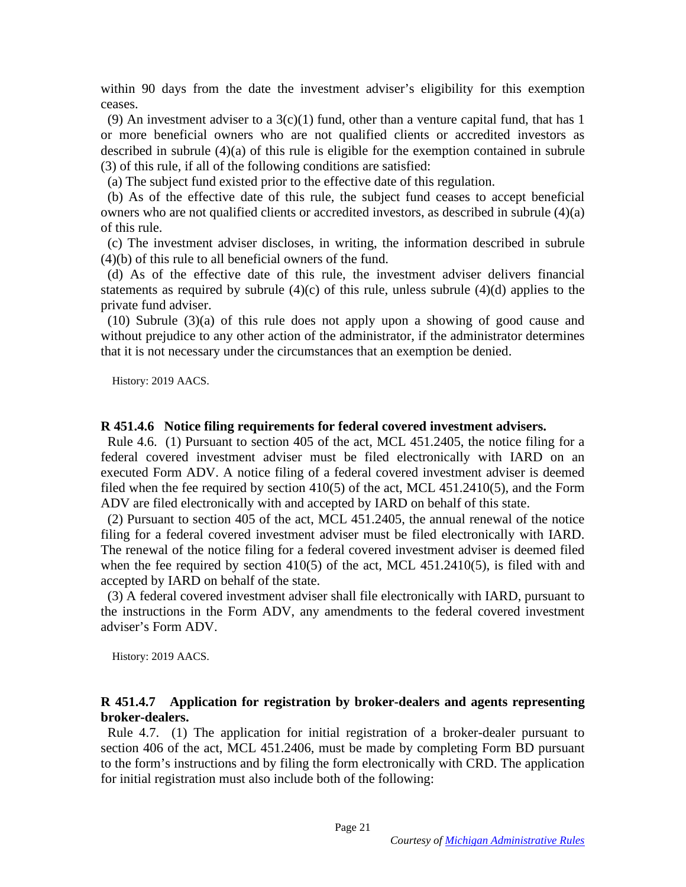within 90 days from the date the investment adviser's eligibility for this exemption ceases. ceases.

(9) An investment adviser to a  $3(c)(1)$  fund, other than a venture capital fund, that has 1 or more beneficial owners who are not qualified clients or accredited investors as described in subrule (4)(a) of this rule is eligible for the exemption contained in subrule (3) of this rule, if all of the following conditions are satisfied: (9) An investment adviser to a  $3(c)(1)$  fund, other than a venture capital fund, that has 1<br>or more beneficial owners who are not qualified clients or accredited investors as<br>described in subrule (4)(a) of this rule is eli

(a) The subject fund existed prior to the effective date of this regulation.

(b) As of the effective date of this rule, the subject fund ceases to accept beneficial owners who are not qualified clients or accredited investors, as described in subrule (4)(a) of this rule.

(c) The investment adviser discloses, in writing, the information described in subrule (c) The investment adviser discloses, in writing, the information described in subrule (4)(b) of this rule to all beneficial owners of the fund.

(d) As of the effective date of this rule, the investment adviser delivers financial statements as required by subrule  $(4)(c)$  of this rule, unless subrule  $(4)(d)$  applies to the private fund adviser.

(10) Subrule (3)(a) of this rule does not apply upon a showing of good cause and without prejudice to any other action of the administrator, if the administrator determines that it is not necessary under the circumstances that an exemption be denied. (4)(b) of this rule to all beneficial owners of the fund.<br>
(d) As of the effective date of this rule, the investment adviser delivers financial<br>
statements as required by subrule (4)(c) of this rule, unless subrule (4)(d)

History: 2019 AACS. History: 2019 AACS.

### R 451.4.6 Notice filing requirements for federal covered investment advisers. **R 451.4.6 Notice filing requirements for federal covered investment advisers.**

Rule 4.6. (1) Pursuant to section 405 of the act, MCL 451.2405, the notice filing for a federal covered investment adviser must be filed electronically with IARD on an executed Form ADV. A notice filing of a federal covered investment adviser is deemed filed when the fee required by section 410(5) of the act, MCL 451.2410(5), and the Form ADV are filed electronically with and accepted by IARD on behalf of this state. Rule 4.6. (1) Pursuant to section 405 of the act, MCL 451.2405, the notice filing for a federal covered investment adviser must be filed electronically with IARD on an executed Form ADV. A notice filing of a federal covere

(2) Pursuant to section 405 of the act, MCL 451.2405, the annual renewal of the notice (2) Pursuant to section 405 of the act, MCL 451.2405, the annual renewal of the notice filing for a federal covered investment adviser must be filed electronically with IARD. The renewal of the notice filing for a federal covered investment adviser is deemed filed when the fee required by section  $410(5)$  of the act, MCL  $451.2410(5)$ , is filed with and accepted by IARD on behalf of the state. accepted by IARD on behalf of the state. filing for a federal covered investment adviser must be filed electronically with IARD.<br>The renewal of the notice filing for a federal covered investment adviser is deemed filed<br>when the fee required by section 410(5) of t

(3) A federal covered investment adviser shall file electronically with IARD, pursuant to the instructions in the Form ADV, any amendments to the federal covered investment adviser's Form ADV. (3) A federal covered investment adviser shall file electronically with IARD, pursuant to the instructions in the Form ADV, any amendments to the federal covered investment adviser's Form ADV.

History: 2019 AACS. History: 2019 AACS.

### R 451.4.7 Application for registration by broker-dealers and agents representing **R 451.4.7 Application for registration by broker-dealers and agents representing**  broker-dealers. **broker-dealers.**

Rule 4.7. (1) The application for initial registration of a broker-dealer pursuant to section 406 of the act, MCL 451.2406, must be made by completing Form BD pursuant to the form's instructions and by filing the form electronically with CRD. The application for initial registration must also include both of the following: Rule 4.7. (1) The application for initial registration of a broker-dealer pursuant to section 406 of the act, MCL 451.2406, must be made by completing Form BD pursuant to the form's instructions and by filing the form elec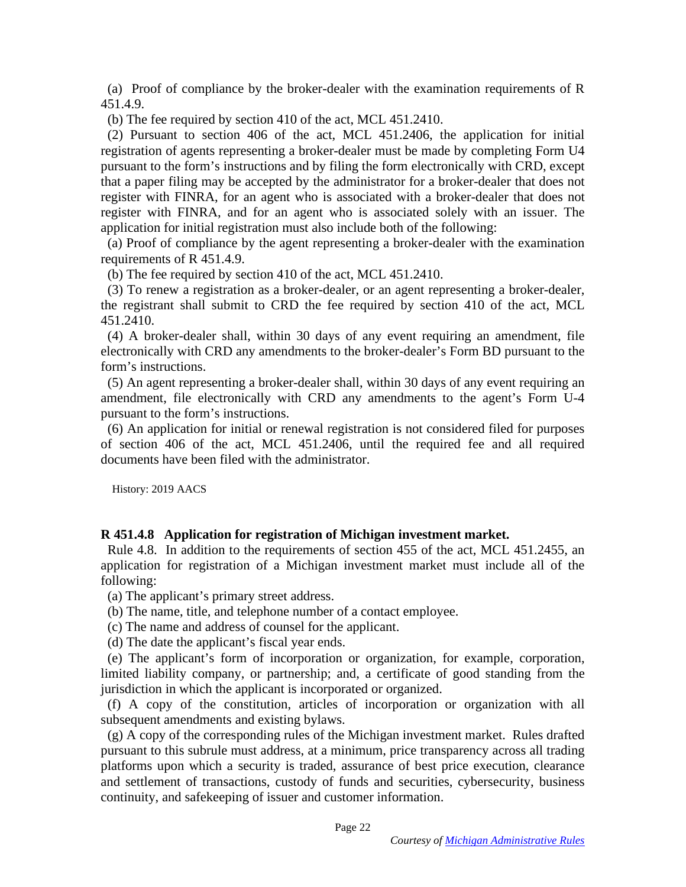(a) Proof of compliance by the broker-dealer with the examination requirements of R 451.4.9.

(b) The fee required by section 410 of the act, MCL 451.2410.

(2) Pursuant to section 406 of the act, MCL 451.2406, the application for initial registration of agents representing a broker-dealer must be made by completing Form U4 pursuant to the form's instructions and by filing the form electronically with CRD, except that a paper filing may be accepted by the administrator for a broker-dealer that does not register with FINRA, for an agent who is associated with a broker-dealer that does not register with FINRA, and for an agent who is associated solely with an issuer. The application for initial registration must also include both of the following: (a) Proof of compliance by the broker-dealer with the examination requirements of R 451.4.9.<br>
(b) The fee required by section 410 of the act, MCL 451.2410.<br>
(2) Pursuant to section 406 of the act, MCL 451.2406, the applic

(a) Proof of compliance by the agent representing a broker-dealer with the examination (a) Proof of compliance by the agent representing a broker-dealer with the examination requirements of R 451.4.9.

(b) The fee required by section 410 of the act, MCL 451.2410.

(3) To renew a registration as a broker-dealer, or an agent representing a broker-dealer, the registrant shall submit to CRD the fee required by section 410 of the act, MCL 451.2410.

(4) A broker-dealer shall, within 30 days of any event requiring an amendment, file electronically with CRD any amendments to the broker-dealer's Form BD pursuant to the form's instructions. requirements of R 451.4.9.<br>
(b) The fee required by section 410 of the act, MCL 451.2410.<br>
(3) To renew a registration as a broker-dealer, or an agent representing a broker-dealer,<br>
the registrant shall submit to CRD the f

(5) An agent representing a broker-dealer shall, within 30 days of any event requiring an amendment, file electronically with CRD any amendments to the agent's Form U-4 amendment, file electronically with CRD any amendments to the agent's Form U-4 pursuant to the form's instructions.

(6) An application for initial or renewal registration is not considered filed for purposes of section 406 of the act, MCL 451.2406, until the required fee and all required documents have been filed with the administrator. pursuant to the form's instructions.<br>(6) An application for initial or renewal registration is not considered filed for purposes<br>of section 406 of the act, MCL 451.2406, until the required fee and all required<br>documents ha

History: 2019 AACS History: 2019 AACS

### R 451.4.8 Application for registration of Michigan investment market. **R 451.4.8 Application for registration of Michigan investment market.**

Rule 4.8. In addition to the requirements of section 455 of the act, MCL 451.2455, an application for registration of a Michigan investment market must include all of the following: Rule 4.8. In addition to the requirements of section 455 of the act, MCL 451.2455, an application for registration of a Michigan investment market must include all of the following:

(a) The applicant's primary street address. (a) The applicant's primary street address.

- (b) The name, title, and telephone number of a contact employee. (b) The name, title, and telephone number of a contact employee.
- (c) The name and address of counsel for the applicant. (c) The name and address of counsel for the applicant.

(d) The date the applicant's fiscal year ends. (d) The date the applicant's fiscal year ends.

(e) The applicant's form of incorporation or organization, for example, corporation, (e) The applicant's form of incorporation or organization, for example, corporation, limited liability company, or partnership; and, a certificate of good standing from the jurisdiction in which the applicant is incorporated or organized.

(f) A copy of the constitution, articles of incorporation or organization with all subsequent amendments and existing bylaws. jurisdiction in which the applicant is incorporated or organized.<br>
(f) A copy of the constitution, articles of incorporation or organization with all<br>
subsequent amendments and existing bylaws.<br>
(g) A copy of the correspon

pursuant to this subrule must address, at a minimum, price transparency across all trading platforms upon which a security is traded, assurance of best price execution, clearance and settlement of transactions, custody of funds and securities, cybersecurity, business continuity, and safekeeping of issuer and customer information. pursuant to this subrule must address, at a minimum, price transparency across all trading<br>platforms upon which a security is traded, assurance of best price execution, clearance<br>and settlement of transactions, custody of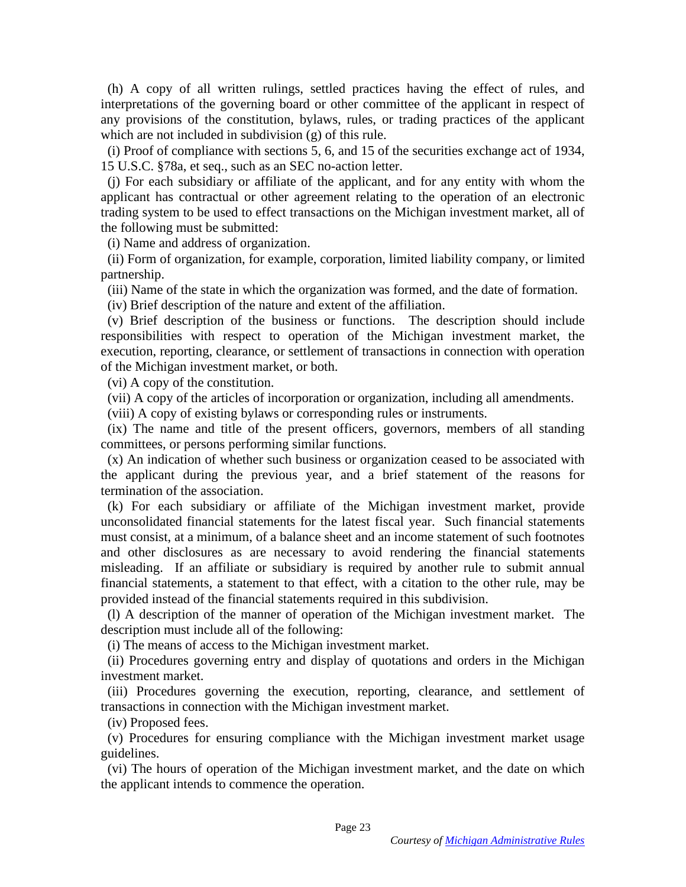(h) A copy of all written rulings, settled practices having the effect of rules, and (h) A copy of all written rulings, settled practices having the effect of rules, and interpretations of the governing board or other committee of the applicant in respect of any provisions of the constitution, bylaws, rules, or trading practices of the applicant which are not included in subdivision (g) of this rule.

(i) Proof of compliance with sections 5, 6, and 15 of the securities exchange act of 1934, 15 U.S.C. §78a, et seq., such as an SEC no-action letter.

(j) For each subsidiary or affiliate of the applicant, and for any entity with whom the applicant has contractual or other agreement relating to the operation of an electronic trading system to be used to effect transactions on the Michigan investment market, all of the following must be submitted: interpretations of the governing board or other committee of the applicant in respect of<br>any provisions of the constitution, bylaws, rules, or trading practices of the applicant<br>which are not included in subdivision (g) of

(i) Name and address of organization. (i) Name and address of organization.

(ii) Form of organization, for example, corporation, limited liability company, or limited (ii) Form of organization, for example, corporation, limited liability company, or limited partnership. partnership.<br>
(iii) Name of the state in which the organization was formed, and the date of formation.<br>
(iv) Brief description of the nature and extent of the affiliation.

(iii) Name of the state in which the organization was formed, and the date of formation.

(iv) Brief description of the nature and extent of the affiliation.

(v) Brief description of the business or functions. The description should include responsibilities with respect to operation of the Michigan investment market, the execution, reporting, clearance, or settlement of transactions in connection with operation of the Michigan investment market, or both. (v) Brief description of the business or functions. The description should include<br>responsibilities with respect to operation of the Michigan investment market, the<br>execution, reporting, clearance, or settlement of transac

(vi) A copy of the constitution.

(vii) A copy of the articles of incorporation or organization, including all amendments. (vii) A copy of the articles of incorporation or organization, including all amendments.

(viii) A copy of existing bylaws or corresponding rules or instruments.

(ix) The name and title of the present officers, governors, members of all standing committees, or persons performing similar functions.

(x) An indication of whether such business or organization ceased to be associated with the applicant during the previous year, and a brief statement of the reasons for termination of the association. (viii) A copy of existing bylaws or corresponding rules or instruments.<br>
(ix) The name and title of the present officers, governors, members of all standing<br>
committees, or persons performing similar functions.<br>
(x) An ind

(k) For each subsidiary or affiliate of the Michigan investment market, provide unconsolidated financial statements for the latest fiscal year. Such financial statements must consist, at a minimum, of a balance sheet and an income statement of such footnotes and other disclosures as are necessary to avoid rendering the financial statements and other disclosures as are necessary to avoid rendering the financial statements misleading. If an affiliate or subsidiary is required by another rule to submit annual financial statements, a statement to that effect, with a citation to the other rule, may be provided instead of the financial statements required in this subdivision. misleading. If an affiliate or subsidiary is required by another rule to submit annual financial statements, a statement to that effect, with a citation to the other rule, may be provided instead of the financial statement

(1) A description of the manner of operation of the Michigan investment market. The description must include all of the following:

(i) The means of access to the Michigan investment market.

(ii) Procedures governing entry and display of quotations and orders in the Michigan investment market.

(iii) Procedures governing the execution, reporting, clearance, and settlement of transactions in connection with the Michigan investment market.

(iv) Proposed fees.

(v) Procedures for ensuring compliance with the Michigan investment market usage guidelines. transactions in connection with the Michigan investment market.<br>
(iv) Proposed fees.<br>
(v) Procedures for ensuring compliance with the Michigan investment market usage<br>
guidelines.<br>
(vi) The hours of operation of the Michig

(vi) The hours of operation of the Michigan investment market, and the date on which the applicant intends to commence the operation. the applicant intends to commence the operation.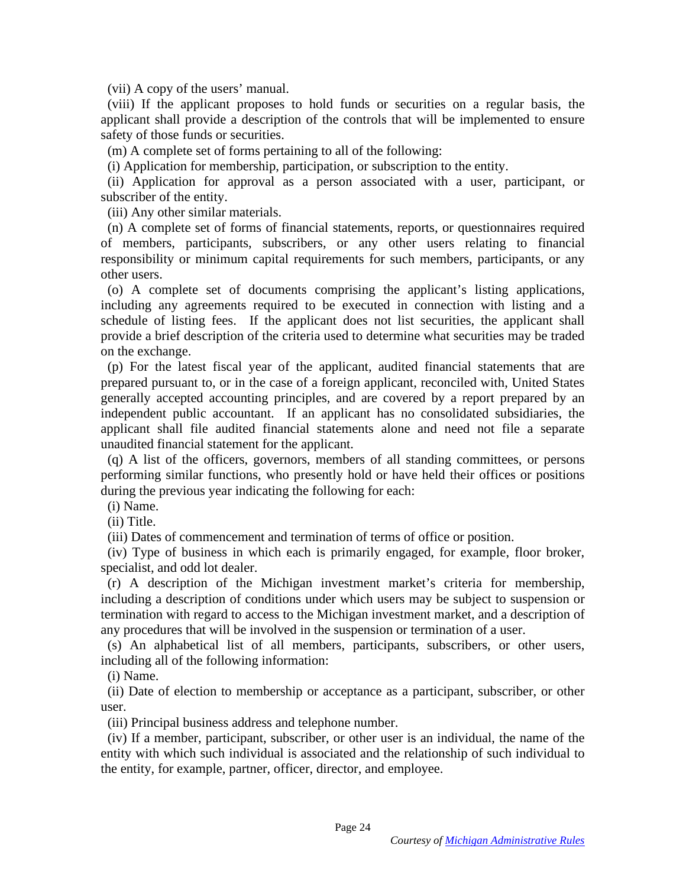(vii) A copy of the users' manual. (vii) A copy of the users' manual.

(viii) If the applicant proposes to hold funds or securities on a regular basis, the applicant shall provide a description of the controls that will be implemented to ensure safety of those funds or securities. (viii) If the applicant proposes to hold funds or securities on a regular basis, the applicant shall provide a description of the controls that will be implemented to ensure safety of those funds or securities.<br>(m) A compl

(m) A complete set of forms pertaining to all of the following:

(i) Application for membership, participation, or subscription to the entity.

(ii) Application for approval as a person associated with a user, participant, or subscriber of the entity.

(iii) Any other similar materials.

(n) A complete set of forms of financial statements, reports, or questionnaires required (n) A complete set of forms of financial statements, reports, or questionnaires required of members, participants, subscribers, or any other users relating to financial responsibility or minimum capital requirements for such members, participants, or any other users.

(o) A complete set of documents comprising the applicant's listing applications, including any agreements required to be executed in connection with listing and a schedule of listing fees. If the applicant does not list securities, the applicant shall provide a brief description of the criteria used to determine what securities may be traded on the exchange. responsibility or minimum capital requirements for such members, participants, or any<br>other users.<br>(o) A complete set of documents comprising the applicant's listing applications,<br>including any agreements required to be ex

(p) For the latest fiscal year of the applicant, audited financial statements that are prepared pursuant to, or in the case of a foreign applicant, reconciled with, United States generally accepted accounting principles, and are covered by a report prepared by an generally accepted accounting principles, and are covered by a report prepared by an independent public accountant. If an applicant has no consolidated subsidiaries, the applicant shall file audited financial statements alone and need not file a separate unaudited financial statement for the applicant. independent public accountant. If an applicant has no consolidated subsidiaries, the applicant shall file audited financial statements alone and need not file a separate unaudited financial statement for the applicant.<br>
(q

(q) A list of the officers, governors, members of all standing committees, or persons performing similar functions, who presently hold or have held their offices or positions during the previous year indicating the following for each:

(i) Name.

(ii) Title.

(iii) Dates of commencement and termination of terms of office or position. (iii) Dates of commencement and termination of terms of office or position.

(iv) Type of business in which each is primarily engaged, for example, floor broker, specialist, and odd lot dealer.

(r) A description of the Michigan investment market's criteria for membership, including a description of conditions under which users may be subject to suspension or termination with regard to access to the Michigan investment market, and a description of any procedures that will be involved in the suspension or termination of a user. any procedures that will be involved in the suspension or termination of a user. (iv) Type of business in which each is primarily engaged, for example, floor broker, specialist, and odd lot dealer.<br>
(r) A description of the Michigan investment market's criteria for membership, including a description o

(s) An alphabetical list of all members, participants, subscribers, or other users, including all of the following information:<br>
(i) Name.<br>
(ii) Date of election to membership or acceptance as a participant, subscriber, or including all of the following information:

(i) Name.

(ii) Date of election to membership or acceptance as a participant, subscriber, or other user.

user.<br>(iii) Principal business address and telephone number.

(iv) If a member, participant, subscriber, or other user is an individual, the name of the entity with which such individual is associated and the relationship of such individual to the entity, for example, partner, officer, director, and employee. (iv) If a member, participant, subscriber, or other user is an individual, the name of the entity with which such individual is associated and the relationship of such individual to the entity, for example, partner, office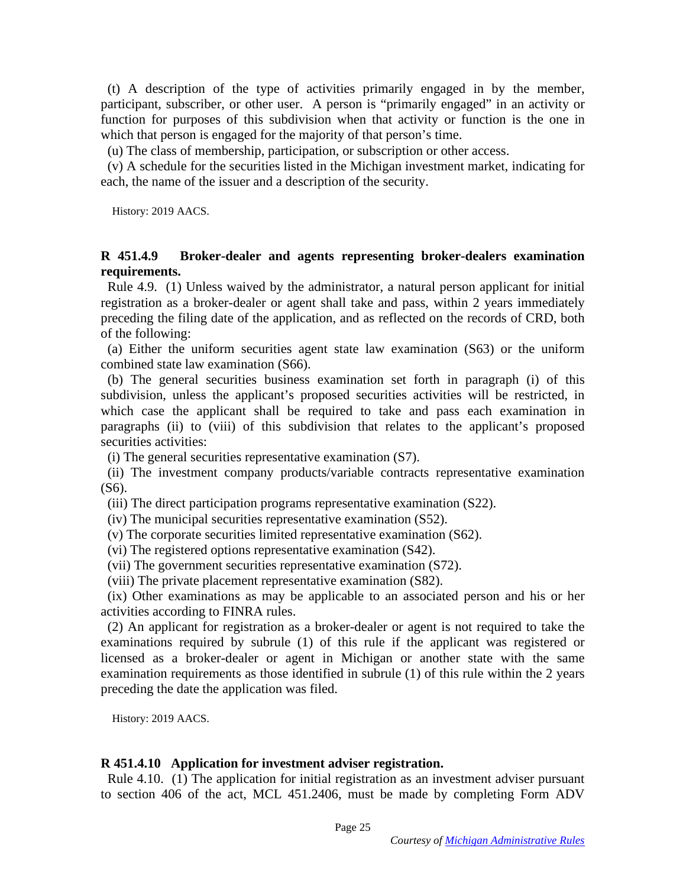(t) A description of the type of activities primarily engaged in by the member, participant, subscriber, or other user. A person is "primarily engaged" in an activity or function for purposes of this subdivision when that activity or function is the one in which that person is engaged for the majority of that person's time. (t) A description of the type of activities primarily engaged in by the member, participant, subscriber, or other user. A person is "primarily engaged" in an activity or function for purposes of this subdivision when that

(u) The class of membership, participation, or subscription or other access.

(v) A schedule for the securities listed in the Michigan investment market, indicating for each, the name of the issuer and a description of the security.

History: 2019 AACS. History: 2019 AACS.

#### R 451.4.9 Broker-dealer and agents representing broker-dealers examination **R 451.4.9 Broker-dealer and agents representing broker-dealers examination requirements.**  requirements.

Rule 4.9. (1) Unless waived by the administrator, a natural person applicant for initial registration as a broker-dealer or agent shall take and pass, within 2 years immediately preceding the filing date of the application, and as reflected on the records of CRD, both of the following: Rule 4.9. (1) Unless waived by the administrator, a natural person applicant for initial registration as a broker-dealer or agent shall take and pass, within 2 years immediately preceding the filing date of the application

combined state law examination (S66). combined state law examination (S66).

(b) The general securities business examination set forth in paragraph (i) of this subdivision, unless the applicant's proposed securities activities will be restricted, in which case the applicant shall be required to take and pass each examination in (b) The general securities business examination set forth in paragraph (i) of this subdivision, unless the applicant's proposed securities activities will be restricted, in which case the applicant shall be required to tak securities activities:

(i) The general securities representative examination (S7).

(ii) The investment company products/variable contracts representative examination (S6). (i) The general securities representative examination (S7). (ii) The investment company products/variable contracts representative examination (S6). (iii) The direct participation programs representative examination (S22).

(iii) The direct participation programs representative examination (S22).

(iv) The municipal securities representative examination (S52). (iv) The municipal securities representative examination (S52).

(v) The corporate securities limited representative examination (S62). (v) The corporate securities limited representative examination (S62).

(vi) The registered options representative examination (S42). (vi) The registered options representative examination (S42). (vii) The government securities representative examination (S72). (viii) The private placement representative examination (S82).

(vii) The government securities representative examination (S72).

(viii) The private placement representative examination (S82).

(ix) Other examinations as may be applicable to an associated person and his or her (ix) Other examinations as may be applicable to an associated person and his or her activities according to FINRA rules.

(2) An applicant for registration as a broker-dealer or agent is not required to take the examinations required by subrule (1) of this rule if the applicant was registered or licensed as a broker-dealer or agent in Michigan or another state with the same examination requirements as those identified in subrule (1) of this rule within the 2 years examination requirements as those identified in subrule (1) of this rule within the 2 years preceding the date the application was filed. preceding the date the application was filed. activities according to FINRA rules.<br>
(2) An applicant for registration as a broker-dealer or agent is not required to take the<br>
examinations required by subrule (1) of this rule if the applicant was registered or<br>
license

History: 2019 AACS. History: 2019 AACS.

### R 451.4.10 Application for investment adviser registration. **R 451.4.10 Application for investment adviser registration.**

Rule 4.10. (1) The application for initial registration as an investment adviser pursuant to section 406 of the act, MCL 451.2406, must be made by completing Form ADV to section 406 of the act, MCL 451.2406, must be made by completing Form ADV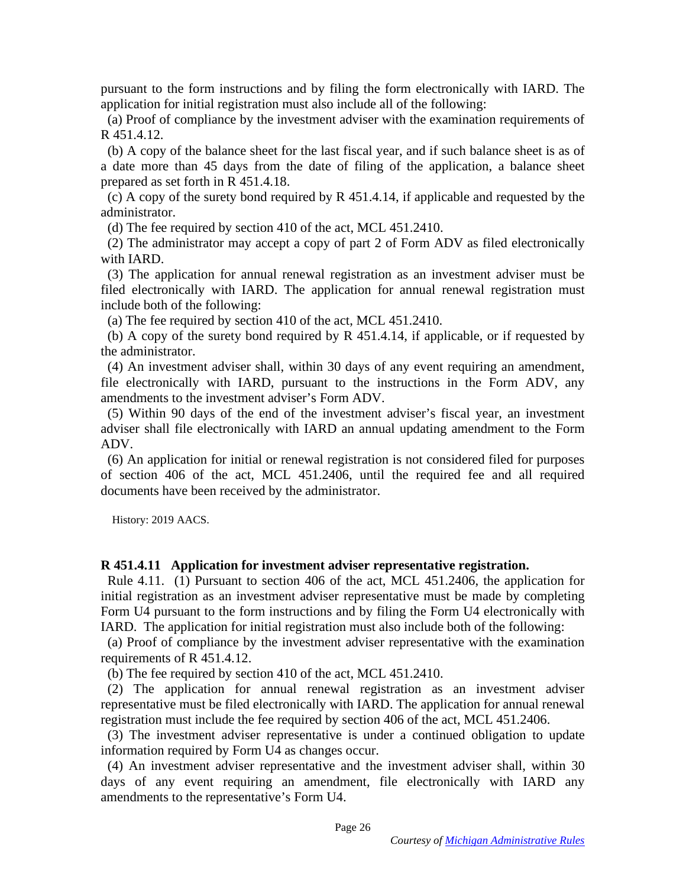pursuant to the form instructions and by filing the form electronically with IARD. The application for initial registration must also include all of the following: pursuant to the form instructions and by filing the form electronically with IARD. The application for initial registration must also include all of the following:<br>
(a) Proof of compliance by the investment adviser with th

(a) Proof of compliance by the investment adviser with the examination requirements of R 451.4.12.

(b) A copy of the balance sheet for the last fiscal year, and if such balance sheet is as of a date more than 45 days from the date of filing of the application, a balance sheet<br>prepared as set forth in R 451.4.18.<br>(c) A copy of the surety bond required by R 451.4.14, if applicable and requested by the<br>administra prepared as set forth in R 451.4.18.

(c) A copy of the surety bond required by R 451.4.14, if applicable and requested by the administrator.

(d) The fee required by section 410 of the act, MCL 451.2410.

(2) The administrator may accept a copy of part 2 of Form ADV as filed electronically (2) The administrator may accept a copy of part 2 of Form ADV as filed electronically with IARD. with IARD.

(3) The application for annual renewal registration as an investment adviser must be filed electronically with IARD. The application for annual renewal registration must include both of the following: (3) The application for annual renewal registration as an investment adviser must be filed electronically with IARD. The application for annual renewal registration must include both of the following:<br>
(a) The fee require

(a) The fee required by section 410 of the act, MCL 451.2410.

(b) A copy of the surety bond required by R 451.4.14, if applicable, or if requested by the administrator.

(4) An investment adviser shall, within 30 days of any event requiring an amendment, file electronically with IARD, pursuant to the instructions in the Form ADV, any amendments to the investment adviser's Form ADV. (4) An investment adviser shall, within 30 days of any event requiring an amendment, file electronically with IARD, pursuant to the instructions in the Form ADV, any amendments to the investment adviser's Form ADV.

(5) Within 90 days of the end of the investment adviser's fiscal year, an investment adviser shall file electronically with IARD an annual updating amendment to the Form ADV.

(6) An application for initial or renewal registration is not considered filed for purposes of section 406 of the act, MCL 451.2406, until the required fee and all required documents have been received by the administrator. (5) Within 90 days of the end of the investment adviser's fiscal year, an investment adviser shall file electronically with IARD an annual updating amendment to the Form ADV.<br>(6) An application for initial or renewal regis

History: 2019 AACS. History: 2019 AACS.

### R 451.4.11 Application for investment adviser representative registration. **R 451.4.11 Application for investment adviser representative registration.**

Rule 4.11. (1) Pursuant to section 406 of the act, MCL 451.2406, the application for initial registration as an investment adviser representative must be made by completing initial registration as an investment adviser representative must be made by completing Form U4 pursuant to the form instructions and by filing the Form U4 electronically with IARD. The application for initial registration must also include both of the following:

(a) Proof of compliance by the investment adviser representative with the examination requirements of R 451.4.12. Form U4 pursuant to the form instructions and by filing the Form U4 electronically with IARD. The application for initial registration must also include both of the following:<br>
(a) Proof of compliance by the investment adv

(b) The fee required by section 410 of the act, MCL 451.2410.

(2) The application for annual renewal registration as an investment adviser representative must be filed electronically with IARD. The application for annual renewal registration must include the fee required by section 406 of the act, MCL 451.2406. (2) The application for annual renewal registration as an investment adviser<br>representative must be filed electronically with IARD. The application for annual renewal<br>registration must include the fee required by section

information required by Form U4 as changes occur.

(4) An investment adviser representative and the investment adviser shall, within 30 days of any event requiring an amendment, file electronically with IARD any amendments to the representative's Form U4. information required by Form U4 as changes occur.<br>
(4) An investment adviser representative and the investment adviser shall, within 30<br>
days of any event requiring an amendment, file electronically with IARD any<br>
amendmen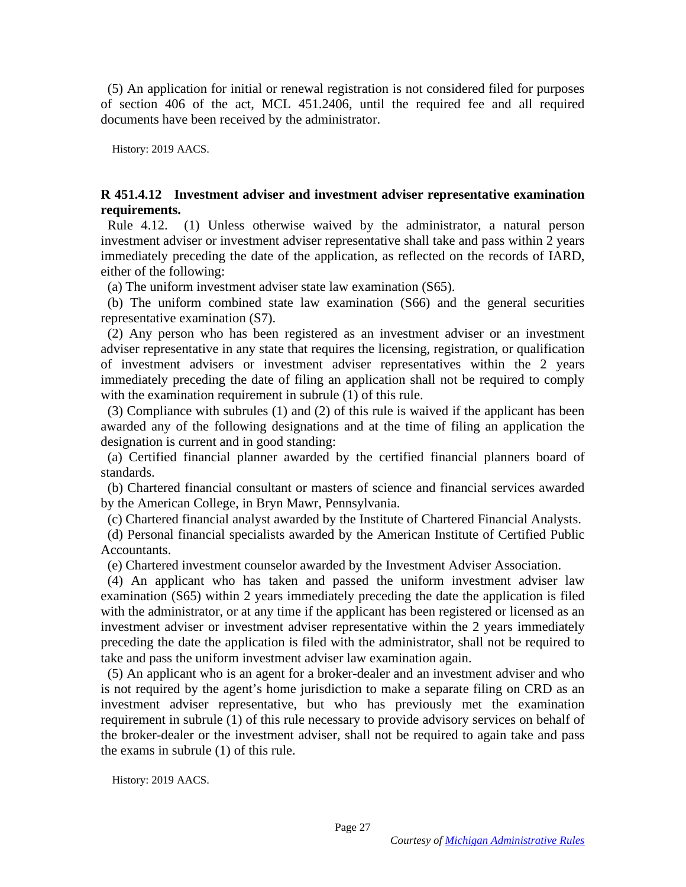(5) An application for initial or renewal registration is not considered filed for purposes (5) An application for initial or renewal registration is not considered filed for purposes of section 406 of the act, MCL 451.2406, until the required fee and all required of section 406 of the act, MCL 451.2406, until the required fee and all required documents have been received by the administrator. documents have been received by the administrator.

History: 2019 AACS. History: 2019 AACS.

#### R 451.4.12 Investment adviser and investment adviser representative examination **R 451.4.12 Investment adviser and investment adviser representative examination**  requirements. **requirements.**

Rule 4.12. (1) Unless otherwise waived by the administrator, a natural person investment adviser or investment adviser representative shall take and pass within 2 years immediately preceding the date of the application, as reflected on the records of IARD, either of the following: Rule 4.12. (1) Unless otherwise waived by the administrator, a natural person investment adviser or investment adviser representative shall take and pass within 2 years immediately preceding the date of the application, as

(a) The uniform investment adviser state law examination (S65).

(b) The uniform combined state law examination (S66) and the general securities representative examination (S7).

(2) Any person who has been registered as an investment adviser or an investment (b) The uniform combined state law examination (S66) and the general securities<br>representative examination (S7).<br>(2) Any person who has been registered as an investment adviser or an investment<br>adviser representative in an of investment advisers or investment adviser representatives within the 2 years of investment advisers or investment adviser representatives within the 2 years immediately preceding the date of filing an application shall not be required to comply with the examination requirement in subrule (1) of this rule.

(3) Compliance with subrules (1) and (2) of this rule is waived if the applicant has been awarded any of the following designations and at the time of filing an application the designation is current and in good standing: immediately preceding the date of filing an application shall not be required to comply<br>with the examination requirement in subrule (1) of this rule.<br>(3) Compliance with subrules (1) and (2) of this rule is waived if the a

(a) Certified financial planner awarded by the certified financial planners board of (a) Certified financial planner awarded by the certified financial planners board of standards.

(b) Chartered financial consultant or masters of science and financial services awarded by the American College, in Bryn Mawr, Pennsylvania. standards. (b) Chartered financial consultant or masters of science and financial services awarded by the American College, in Bryn Mawr, Pennsylvania.

(c) Chartered financial analyst awarded by the Institute of Chartered Financial Analysts. (c) Chartered financial analyst awarded by the Institute of Chartered Financial Analysts.

(d) Personal financial specialists awarded by the American Institute of Certified Public Accountants. (d) Personal financial specialists awarded by the American Institute of Certified Public<br>Accountants.<br>(e) Chartered investment counselor awarded by the Investment Adviser Association.<br>(4) An applicant who has taken and pas

(e) Chartered investment counselor awarded by the Investment Adviser Association.

examination (S65) within 2 years immediately preceding the date the application is filed with the administrator, or at any time if the applicant has been registered or licensed as an investment adviser or investment adviser representative within the 2 years immediately preceding the date the application is filed with the administrator, shall not be required to take and pass the uniform investment adviser law examination again. with the administrator, or at any time if the applicant has been registered or licensed as an investment adviser or investment adviser representative within the 2 years immediately preceding the date the application is fil

(5) An applicant who is an agent for a broker-dealer and an investment adviser and who is not required by the agent's home jurisdiction to make a separate filing on CRD as an investment adviser representative, but who has previously met the examination is not required by the agent's home jurisdiction to make a separate filing on CRD as an investment adviser representative, but who has previously met the examination requirement in subrule (1) of this rule necessary to pro the broker-dealer or the investment adviser, shall not be required to again take and pass the broker-dealer or the investment adviser, shall not be required to again take and pass the exams in subrule (1) of this rule. the exams in subrule (1) of this rule.

History: 2019 AACS. History: 2019 AACS.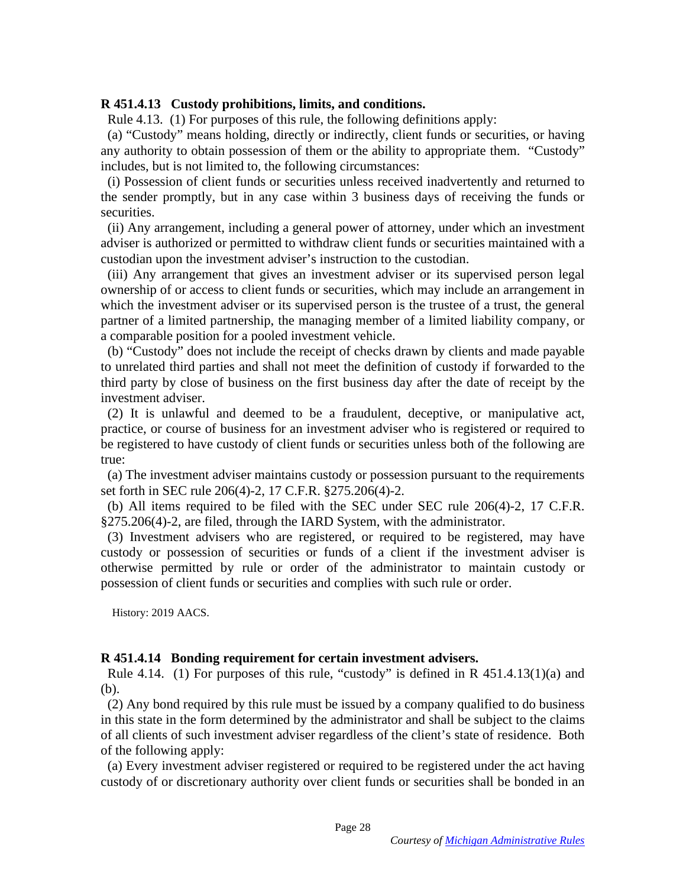### R 451.4.13 Custody prohibitions, limits, and conditions. **R 451.4.13 Custody prohibitions, limits, and conditions.**

Rule 4.13. (1) For purposes of this rule, the following definitions apply:

(a) "Custody" means holding, directly or indirectly, client funds or securities, or having Rule 4.13. (1) For purposes of this rule, the following definitions apply:<br>
(a) "Custody" means holding, directly or indirectly, client funds or securities, or having<br>
any authority to obtain possession of them or the abil includes, but is not limited to, the following circumstances:

(i) Possession of client funds or securities unless received inadvertently and returned to the sender promptly, but in any case within 3 business days of receiving the funds or securities. includes, but is not limited to, the following circumstances:<br>
(i) Possession of client funds or securities unless received inadvertently and returned to<br>
the sender promptly, but in any case within 3 business days of rece

(ii) Any arrangement, including a general power of attorney, under which an investment adviser is authorized or permitted to withdraw client funds or securities maintained with a adviser is authorized or permitted to withdraw client funds or securities maintained with a custodian upon the investment adviser's instruction to the custodian.

(iii) Any arrangement that gives an investment adviser or its supervised person legal ownership of or access to client funds or securities, which may include an arrangement in which the investment adviser or its supervised person is the trustee of a trust, the general partner of a limited partnership, the managing member of a limited liability company, or a comparable position for a pooled investment vehicle. custodian upon the investment adviser's instruction to the custodian.<br>
(iii) Any arrangement that gives an investment adviser or its supervised person legal<br>
ownership of or access to client funds or securities, which may

(b) "Custody" does not include the receipt of checks drawn by clients and made payable to unrelated third parties and shall not meet the definition of custody if forwarded to the third party by close of business on the first business day after the date of receipt by the investment adviser. investment adviser.

(2) It is unlawful and deemed to be a fraudulent, deceptive, or manipulative act, practice, or course of business for an investment adviser who is registered or required to be registered to have custody of client funds or securities unless both of the following are true: (2) It is unlawful and deemed to be a fraudulent, deceptive, or manipulative act, practice, or course of business for an investment adviser who is registered or required to be registered to have custody of client funds or

(a) The investment adviser maintains custody or possession pursuant to the requirements set forth in SEC rule 206(4)-2, 17 C.F.R. §275.206(4)-2.

(b) All items required to be filed with the SEC under SEC rule 206(4)-2, 17 C.F.R. §275.206(4)-2, are filed, through the IARD System, with the administrator.

(3) Investment advisers who are registered, or required to be registered, may have custody or possession of securities or funds of a client if the investment adviser is custody or possession of securities or funds of a client if the investment adviser is otherwise permitted by rule or order of the administrator to maintain custody or possession of client funds or securities and complies with such rule or order. possession of client funds or securities and complies with such rule or order.

History: 2019 AACS. History: 2019 AACS.

### R 451.4.14 Bonding requirement for certain investment advisers. **R 451.4.14 Bonding requirement for certain investment advisers.**

Rule 4.14. (1) For purposes of this rule, "custody" is defined in R  $451.4.13(1)(a)$  and (b). (b).

(2) Any bond required by this rule must be issued by a company qualified to do business in this state in the form determined by the administrator and shall be subject to the claims of all clients of such investment adviser regardless of the client's state of residence. Both of the following apply: (2) Any bond required by this rule must be issued by a company qualified to do business<br>in this state in the form determined by the administrator and shall be subject to the claims<br>of all clients of such investment adviser

(a) Every investment adviser registered or required to be registered under the act having of the following apply:<br>
(a) Every investment adviser registered or required to be registered under the act having<br>
custody of or discretionary authority over client funds or securities shall be bonded in an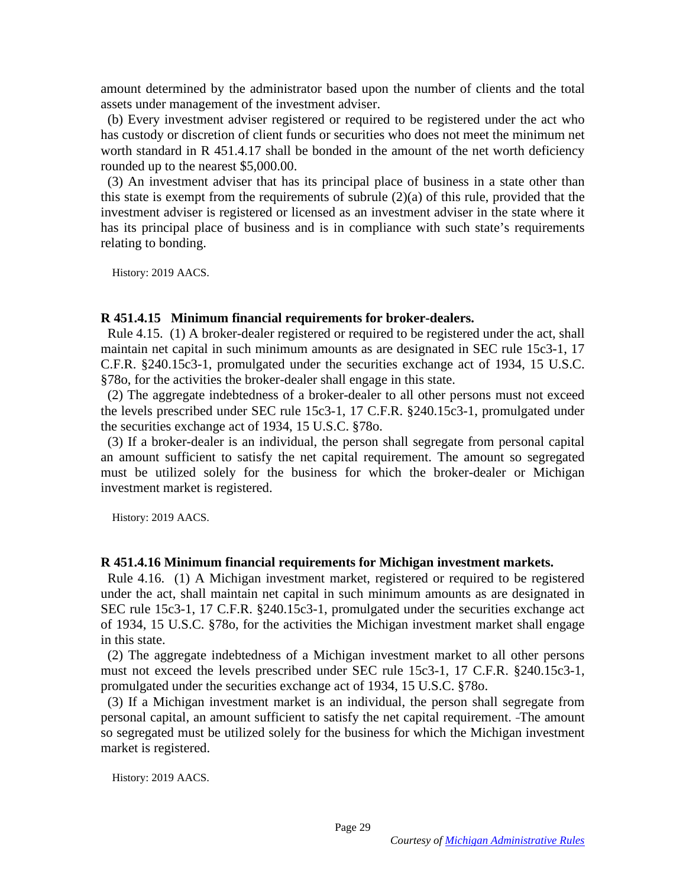amount determined by the administrator based upon the number of clients and the total amount determined by the administrator based upon the number of clients and the total assets under management of the investment adviser.

(b) Every investment adviser registered or required to be registered under the act who has custody or discretion of client funds or securities who does not meet the minimum net worth standard in R 451.4.17 shall be bonded in the amount of the net worth deficiency rounded up to the nearest \$5,000.00. assets under management of the investment adviser.<br>
(b) Every investment adviser registered or required to be registered under the act who<br>
has custody or discretion of client funds or securities who does not meet the min

(3) An investment adviser that has its principal place of business in a state other than this state is exempt from the requirements of subrule (2)(a) of this rule, provided that the investment adviser is registered or licensed as an investment adviser in the state where it has its principal place of business and is in compliance with such state's requirements relating to bonding. relating to bonding.

History: 2019 AACS. History: 2019 AACS.

### R 451.4.15 Minimum financial requirements for broker-dealers. **R 451.4.15 Minimum financial requirements for broker-dealers.**

Rule 4.15. (1) A broker-dealer registered or required to be registered under the act, shall Rule 4.15. (1) A broker-dealer registered or required to be registered under the act, shall maintain net capital in such minimum amounts as are designated in SEC rule 15c3-1, 17 C.F.R. §240.15c3-1, promulgated under the securities exchange act of 1934, 15 U.S.C. C.F.R. §240.15c3-1, promulgated under the securities exchange act of 1934, 15 U.S.C. §78o, for the activities the broker-dealer shall engage in this state.

(2) The aggregate indebtedness of a broker-dealer to all other persons must not exceed the levels prescribed under SEC rule 15c3-1, 17 C.F.R. §240.15c3-1, promulgated under the securities exchange act of 1934, 15 U.S.C. §780. §78o, for the activities the broker-dealer shall engage in this state.<br>
(2) The aggregate indebtedness of a broker-dealer to all other persons must not exceed<br>
the levels prescribed under SEC rule 15c3-1, 17 C.F.R. §240.15

(3) If a broker-dealer is an individual, the person shall segregate from personal capital (3) If a broker-dealer is an individual, the person shall segregate from personal capital an amount sufficient to satisfy the net capital requirement. The amount so segregated must be utilized solely for the business for which the broker-dealer or Michigan investment market is registered. an amount sufficient to satisfy the net capital requirement. The amount so segregated must be utilized solely for the business for which the broker-dealer or Michigan investment market is registered.

History: 2019 AACS. History: 2019 AACS.

### R 451.4.16 Minimum financial requirements for Michigan investment markets. **R 451.4.16 Minimum financial requirements for Michigan investment markets.**

Rule 4.16. (1) A Michigan investment market, registered or required to be registered under the act, shall maintain net capital in such minimum amounts as are designated in SEC rule 15c3-1, 17 C.F.R. §240.15c3-1, promulgated under the securities exchange act of 1934, 15 U.S.C. §78o, for the activities the Michigan investment market shall engage in this state. in this state. Rule 4.16. (1) A Michigan investment market, registered or required to be registered under the act, shall maintain net capital in such minimum amounts as are designated in SEC rule 15c3-1, 17 C.F.R. §240.15c3-1, promulgate

(2) The aggregate indebtedness of a Michigan investment market to all other persons<br>must not exceed the levels prescribed under SEC rule 15c3-1, 17 C.F.R. §240.15c3-1,<br>promulgated under the securities exchange act of 1934 must not exceed the levels prescribed under SEC rule 15c3-1, 17 C.F.R. §240.15c3-1, promulgated under the securities exchange act of 1934, 15 U.S.C. §780.

(3) If a Michigan investment market is an individual, the person shall segregate from personal capital, an amount sufficient to satisfy the net capital requirement. -The amount personal capital, an amount sufficient to satisfy the net capital requirement. The amount so segregated must be utilized solely for the business for which the Michigan investment so segregated must be utilized solely for the business for which the Michigan investment market is registered. market is registered.

History: 2019 AACS. History: 2019 AACS.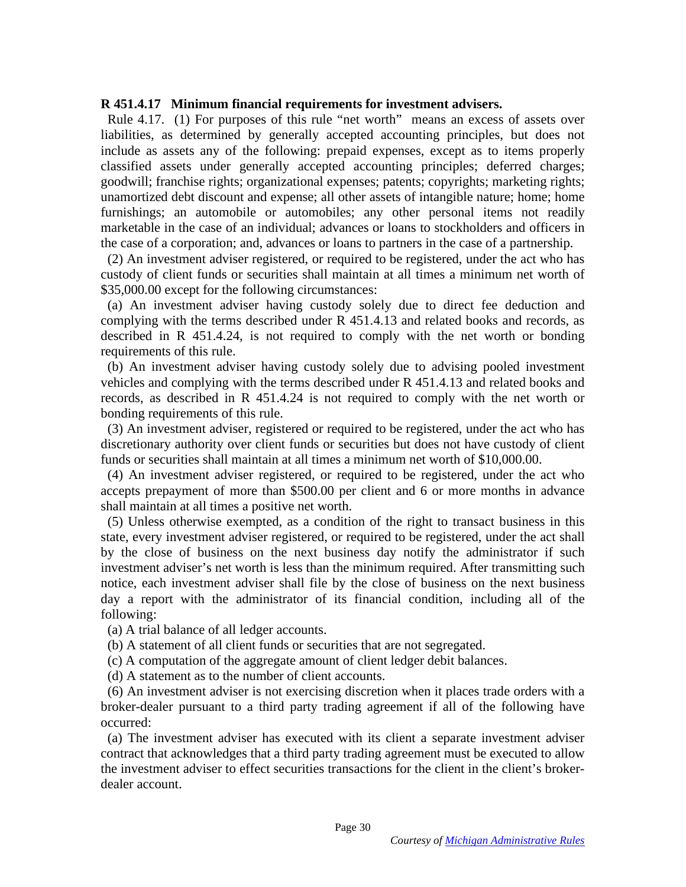#### R 451.4.17 Minimum financial requirements for investment advisers. **R 451.4.17 Minimum financial requirements for investment advisers.**

Rule 4.17. (1) For purposes of this rule "net worth" means an excess of assets over liabilities, as determined by generally accepted accounting principles, but does not include as assets any of the following: prepaid expenses, except as to items properly classified assets under generally accepted accounting principles; deferred charges; goodwill; franchise rights; organizational expenses; patents; copyrights; marketing rights; unamortized debt discount and expense; all other assets of intangible nature; home; home furnishings; an automobile or automobiles; any other personal items not readily marketable in the case of an individual; advances or loans to stockholders and officers in the case of a corporation; and, advances or loans to partners in the case of a partnership. the case of a corporation; and, advances or loans to partners in the case of a partnership. Rule 4.17. (1) For purposes of this rule "net worth" means an excess of assets over liabilities, as determined by generally accepted accounting principles, but does not include as assets any of the following: prepaid expen

(2) An investment adviser registered, or required to be registered, under the act who has custody of client funds or securities shall maintain at all times a minimum net worth of \$35,000.00 except for the following circumstances: (2) An investment adviser registered, or required to be registered, under the act who has custody of client funds or securities shall maintain at all times a minimum net worth of \$35,000.00 except for the following circums

complying with the terms described under R 451.4.13 and related books and records, as described in R 451.4.24, is not required to comply with the net worth or bonding requirements of this rule. complying with the terms described under R 451.4.13 and related books and records, as described in R 451.4.24, is not required to comply with the net worth or bonding requirements of this rule.

(b) An investment adviser having custody solely due to advising pooled investment (b) An investment adviser having custody solely due to advising pooled investment vehicles and complying with the terms described under  $R$  451.4.13 and related books and records, as described in R 451.4.24 is not required to comply with the net worth or bonding requirements of this rule.

(3) An investment adviser, registered or required to be registered, under the act who has discretionary authority over client funds or securities but does not have custody of client funds or securities shall maintain at all times a minimum net worth of \$10,000.00. bonding requirements of this rule.<br>
(3) An investment adviser, registered or required to be registered, under the act who has<br>
discretionary authority over client funds or securities but does not have custody of client<br>
fu

(4) An investment adviser registered, or required to be registered, under the act who accepts prepayment of more than \$500.00 per client and 6 or more months in advance shall maintain at all times a positive net worth.

(5) Unless otherwise exempted, as a condition of the right to transact business in this state, every investment adviser registered, or required to be registered, under the act shall by the close of business on the next business day notify the administrator if such by the close of business on the next business day notify the administrator if such investment adviser's net worth is less than the minimum required. After transmitting such notice, each investment adviser shall file by the close of business on the next business day a report with the administrator of its financial condition, including all of the following: investment adviser's net worth is less than the minimum required. After transmitting such notice, each investment adviser shall file by the close of business on the next business day a report with the administrator of its

(a) A trial balance of all ledger accounts.

(a) A trial balance of all ledger accounts.<br>
(b) A statement of all client funds or securities that are not segregated.

(c) A computation of the aggregate amount of client ledger debit balances.

(d) A statement as to the number of client accounts.

(c) A computation of the aggregate amount of client ledger debit balances.<br>
(d) A statement as to the number of client accounts.<br>
(6) An investment adviser is not exercising discretion when it places trade orders with a broker-dealer pursuant to a third party trading agreement if all of the following have occurred:

(a) The investment adviser has executed with its client a separate investment adviser contract that acknowledges that a third party trading agreement must be executed to allow the investment adviser to effect securities transactions for the client in the client's brokerdealer account. dealer account. broker-dealer pursuant to a third party trading agreement if all of the following have<br>occurred:<br>(a) The investment adviser has executed with its client a separate investment adviser<br>contract that acknowledges that a third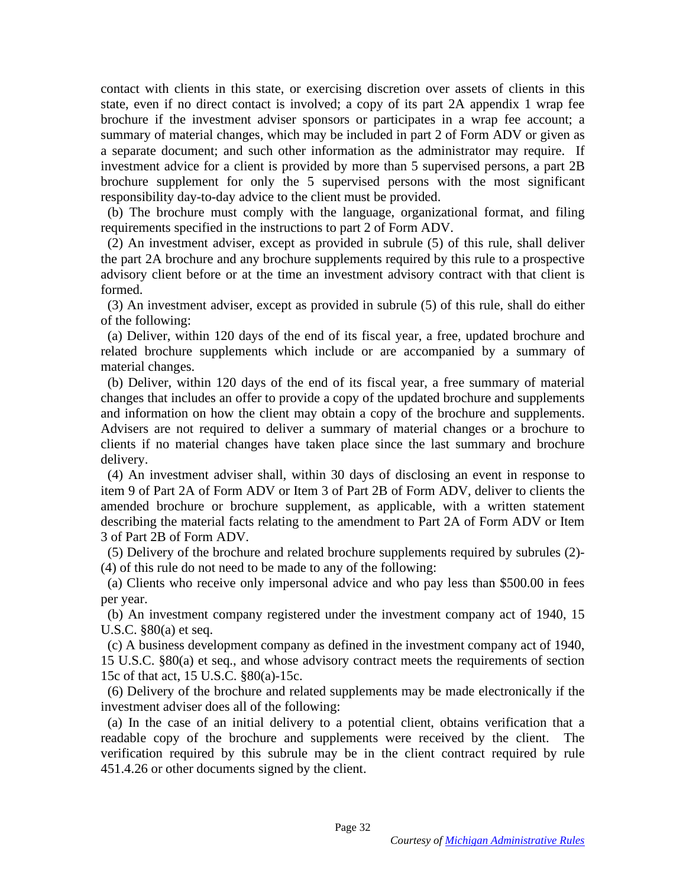contact with clients in this state, or exercising discretion over assets of clients in this contact with clients in this state, or exercising discretion over assets of clients in this state, even if no direct contact is involved; a copy of its part 2A appendix 1 wrap fee brochure if the investment adviser sponsors or participates in a wrap fee account; a summary of material changes, which may be included in part 2 of Form ADV or given as a separate document; and such other information as the administrator may require. If investment advice for a client is provided by more than 5 supervised persons, a part 2B brochure supplement for only the 5 supervised persons with the most significant responsibility day-to-day advice to the client must be provided. state, even if no direct contact is involved; a copy of its part 2A appendix 1 wrap fee<br>brochure if the investment adviser sponsors or participates in a wrap fee account; a<br>summary of material changes, which may be include

(b) The brochure must comply with the language, organizational format, and filing requirements specified in the instructions to part 2 of Form ADV.

(2) An investment adviser, except as provided in subrule (5) of this rule, shall deliver (2) An investment adviser, except as provided in subrule (5) of this rule, shall deliver the part 2A brochure and any brochure supplements required by this rule to a prospective advisory client before or at the time an investment advisory contract with that client is formed. the part 2A brochure and any brochure supplements required by this rule to a prospective advisory client before or at the time an investment advisory contract with that client is formed.

(3) An investment adviser, except as provided in subrule (5) of this rule, shall do either of the following:

(a) Deliver, within 120 days of the end of its fiscal year, a free, updated brochure and (3) An investment adviser, except as provided in subrule (5) of this rule, shall do either<br>of the following:<br>(a) Deliver, within 120 days of the end of its fiscal year, a free, updated brochure and<br>related brochure supplem material changes. material changes.<br>
(b) Deliver, within 120 days of the end of its fiscal year, a free summary of material

changes that includes an offer to provide a copy of the updated brochure and supplements changes that includes an offer to provide a copy of the updated brochure and supplements and information on how the client may obtain a copy of the brochure and supplements. Advisers are not required to deliver a summary of material changes or a brochure to clients if no material changes have taken place since the last summary and brochure delivery.

(4) An investment adviser shall, within 30 days of disclosing an event in response to item 9 of Part 2A of Form ADV or Item 3 of Part 2B of Form ADV, deliver to clients the amended brochure or brochure supplement, as applicable, with a written statement and information on how the client may obtain a copy of the brochure and supplements.<br>Advisers are not required to deliver a summary of material changes or a brochure to<br>clients if no material changes have taken place since 3 of Part 2B of Form ADV.

(5) Delivery of the brochure and related brochure supplements required by subrules (2)- 3 of Part 2B of Form ADV. (5) Delivery of the brochure and related brochure supplements required by subrules (2)- (4) of this rule do not need to be made to any of the following:

(a) Clients who receive only impersonal advice and who pay less than \$500.00 in fees per year. (4) of this rule do not need to be made to any of the following:<br>
(a) Clients who receive only impersonal advice and who pay less than \$500.00 in fees<br>
per year.<br>
(b) An investment company registered under the investment c

(b) An investment company registered under the investment company act of 1940, 15 U.S.C. §80(a) et seq.

(c) A business development company as defined in the investment company act of 1940, 15 U.S.C. §80(a) et seq., and whose advisory contract meets the requirements of section 15c of that act, 15 U.S.C. §80(a)-15c. U.S.C.  $$80(a)$  et seq.<br>
(c) A business development company as defined in the investment company act of 1940,<br>
15 U.S.C.  $$80(a)$  et seq., and whose advisory contract meets the requirements of section<br>
15c of that act, 15 U

(6) Delivery of the brochure and related supplements may be made electronically if the investment adviser does all of the following:

(a) In the case of an initial delivery to a potential client, obtains verification that a readable copy of the brochure and supplements were received by the client. The verification required by this subrule may be in the client contract required by rule 451.4.26 or other documents signed by the client. investment adviser does all of the following:<br>
(a) In the case of an initial delivery to a potential client, obtains verification that a<br>
readable copy of the brochure and supplements were received by the client. The<br>
veri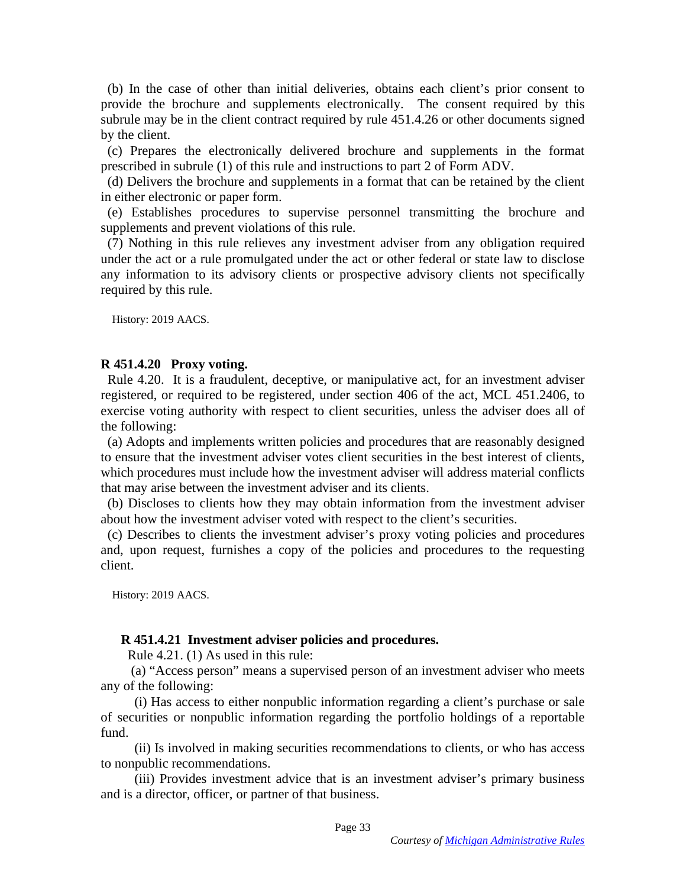(b) In the case of other than initial deliveries, obtains each client's prior consent to (b) In the case of other than initial deliveries, obtains each client's prior consent to provide the brochure and supplements electronically. The consent required by this subrule may be in the client contract required by rule 451.4.26 or other documents signed by the client. provide the brochure and supplements electronically. The consent required by this<br>subrule may be in the client contract required by rule 451.4.26 or other documents signed<br>by the client.<br>(c) Prepares the electronically del

(c) Prepares the electronically delivered brochure and supplements in the format prescribed in subrule (1) of this rule and instructions to part 2 of Form ADV.

(d) Delivers the brochure and supplements in a format that can be retained by the client in either electronic or paper form.

(e) Establishes procedures to supervise personnel transmitting the brochure and supplements and prevent violations of this rule.

(7) Nothing in this rule relieves any investment adviser from any obligation required (7) Nothing in this rule relieves any investment adviser from any obligation required under the act or a rule promulgated under the act or other federal or state law to disclose any information to its advisory clients or prospective advisory clients not specifically required by this rule. under the act or a rule promulgated under the act or other federal or state law to disclose any information to its advisory clients or prospective advisory clients not specifically required by this rule.

History: 2019 AACS. History: 2019 AACS.

#### R 451.4.20 Proxy voting. **R 451.4.20 Proxy voting.**

Rule 4.20. It is a fraudulent, deceptive, or manipulative act, for an investment adviser registered, or required to be registered, under section 406 of the act, MCL 451.2406, to Rule 4.20. It is a fraudulent, deceptive, or manipulative act, for an investment adviser registered, or required to be registered, under section 406 of the act, MCL 451.2406, to exercise voting authority with respect to cl the following: the following:<br>(a) Adopts and implements written policies and procedures that are reasonably designed

to ensure that the investment adviser votes client securities in the best interest of clients, which procedures must include how the investment adviser will address material conflicts that may arise between the investment adviser and its clients. to ensure that the investment adviser votes client securities in the best interest of clients,<br>which procedures must include how the investment adviser will address material conflicts<br>that may arise between the investment

(b) Discloses to clients how they may obtain information from the investment adviser about how the investment adviser voted with respect to the client's securities. about how the investment adviser voted with respect to the client's securities.

(c) Describes to clients the investment adviser's proxy voting policies and procedures and, upon request, furnishes a copy of the policies and procedures to the requesting client. (c) Describes to clients the investment adviser's proxy voting policies and procedures and, upon request, furnishes a copy of the policies and procedures to the requesting client.

History: 2019 AACS. History: 2019 AACS.

### R 451.4.21 Investment adviser policies and procedures. **R 451.4.21 Investment adviser policies and procedures.**

Rule 4.21. (1) As used in this rule:

(a) "Access person" means a supervised person of an investment adviser who meets any of the following: Rule 4.21. (1) As used in this rule:<br>
(a) "Access person" means a supervised person of an investment adviser who meets<br>
any of the following:<br>
(i) Has access to either nonpublic information regarding a client's purchase or

(i) Has access to either nonpublic information regarding a client's purchase or sale of securities or nonpublic information regarding the portfolio holdings of a reportable fund.

(ii) Is involved in making securities recommendations to clients, or who has access to nonpublic recommendations. fund. (ii) Is involved in making securities recommendations to clients, or who has access to nonpublic recommendations.

(iii) Provides investment advice that is an investment adviser's primary business (iii) Provides investment advice that is an investment adviser's primary business and is a director, officer, or partner of that business. and is a director, officer, or partner of that business.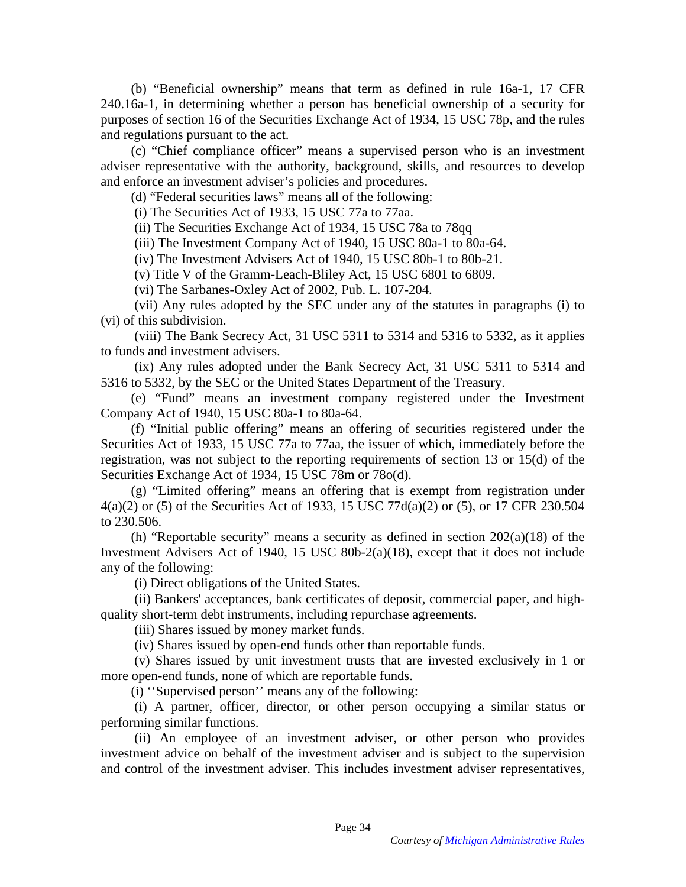(b) "Beneficial ownership" means that term as defined in rule 16a-1, 17 CFR (b) "Beneficial ownership" means that term as defined in rule 16a-1, 17 CFR 240.16a-1, in determining whether a person has beneficial ownership of a security for purposes of section 16 of the Securities Exchange Act of 1934, 15 USC 78p, and the rules and regulations pursuant to the act.

(c) "Chief compliance officer" means a supervised person who is an investment adviser representative with the authority, background, skills, and resources to develop and enforce an investment adviser's policies and procedures. 240.16a-1, in determining whether a person has beneficial ownership of a security for<br>purposes of section 16 of the Securities Exchange Act of 1934, 15 USC 78p, and the rules<br>and regulations pursuant to the act.<br>(c) "Chief

(d) "Federal securities laws" means all of the following:

(i) The Securities Act of 1933, 15 USC 77a to 77aa.

(ii) The Securities Exchange Act of 1934, 15 USC 78a to 78qq

(iii) The Investment Company Act of 1940, 15 USC 80a-1 to 80a-64. (iii) The Investment Company Act of 1940, 15 USC 80a-1 to 80a-64.

(iv) The Investment Advisers Act of 1940, 15 USC 80b-1 to 80b-21.

(v) Title V of the Gramm-Leach-Bliley Act, 15 USC 6801 to 6809.

(vi) The Sarbanes-Oxley Act of 2002, Pub. L. 107-204.

(vii) Any rules adopted by the SEC under any of the statutes in paragraphs (i) to (vi) of this subdivision.

(viii) The Bank Secrecy Act, 31 USC 5311 to 5314 and 5316 to 5332, as it applies to funds and investment advisers.

(ix) Any rules adopted under the Bank Secrecy Act, 31 USC 5311 to 5314 and 5316 to 5332, by the SEC or the United States Department of the Treasury. (iv) The Investment Advisers Act of 1940, 15 USC 80b-1 to 80b-21.<br>
(v) Title V of the Gramm-Leach-Bliley Act, 15 USC 6801 to 6809.<br>
(vi) The Sarbanes-Oxley Act of 2002, Pub. L. 107-204.<br>
(vii) Any rules adopted by the SEC

(e) "Fund" means an investment company registered under the Investment (e) "Fund" means an investment company registered under the Investment Company Act of 1940, 15 USC 80a-1 to 80a-64.

(f) "Initial public offering" means an offering of securities registered under the Securities Act of 1933, 15 USC 77a to 77aa, the issuer of which, immediately before the registration, was not subject to the reporting requirements of section 13 or 15(d) of the Securities Exchange Act of 1934, 15 USC 78m or 78o(d). Company Act of 1940, 15 USC 80a-1 to 80a-64.<br>
(f) "Initial public offering" means an offering of securities registered under the<br>
Securities Act of 1933, 15 USC 77a to 77aa, the issuer of which, immediately before the<br>
reg

(g) "Limited offering" means an offering that is exempt from registration under 4(a)(2) or (5) of the Securities Act of 1933, 15 USC 77d(a)(2) or (5), or 17 CFR 230.504 to 230.506. (g) "Limited offering" means an offering that is exempt from registration under  $4(a)(2)$  or (5) of the Securities Act of 1933, 15 USC 77d(a)(2) or (5), or 17 CFR 230.504 to 230.506.<br>(h) "Reportable security" means a securi

(h) "Reportable security" means a security as defined in section 202(a)(18) of the Investment Advisers Act of 1940, 15 USC 80b-2(a)(18), except that it does not include Investment Advisers Act of 1940, 15 USC 80b-2(a)(18), except that it does not include any of the following: any of the following:<br>
(i) Direct obligations of the United States.<br>
(ii) Bankers' acceptances, bank certificates of deposit, commercial paper, and high-

(i) Direct obligations of the United States.

quality short-term debt instruments, including repurchase agreements. quality short-term debt instruments, including repurchase agreements.

(iii) Shares issued by money market funds. (iii) Shares issued by money market funds.

(iv) Shares issued by open-end funds other than reportable funds.

(v) Shares issued by unit investment trusts that are invested exclusively in 1 or more open-end funds, none of which are reportable funds. (iv) Shares issued by open-end funds other than reportable funds. (v) Shares issued by unit investment trusts that are invested exclusively in 1 or more open-end funds, none of which are reportable funds.

(i) "Supervised person" means any of the following:

(i) "Supervised person" means any of the following:<br>
(i) A partner, officer, director, or other person occupying a similar status or performing similar functions.

(ii) An employee of an investment adviser, or other person who provides investment advice on behalf of the investment adviser and is subject to the supervision and control of the investment adviser. This includes investment adviser representatives, performing similar functions.<br>
(ii) An employee of an investment adviser, or other person who provides<br>
investment advice on behalf of the investment adviser and is subject to the supervision<br>
and control of the investment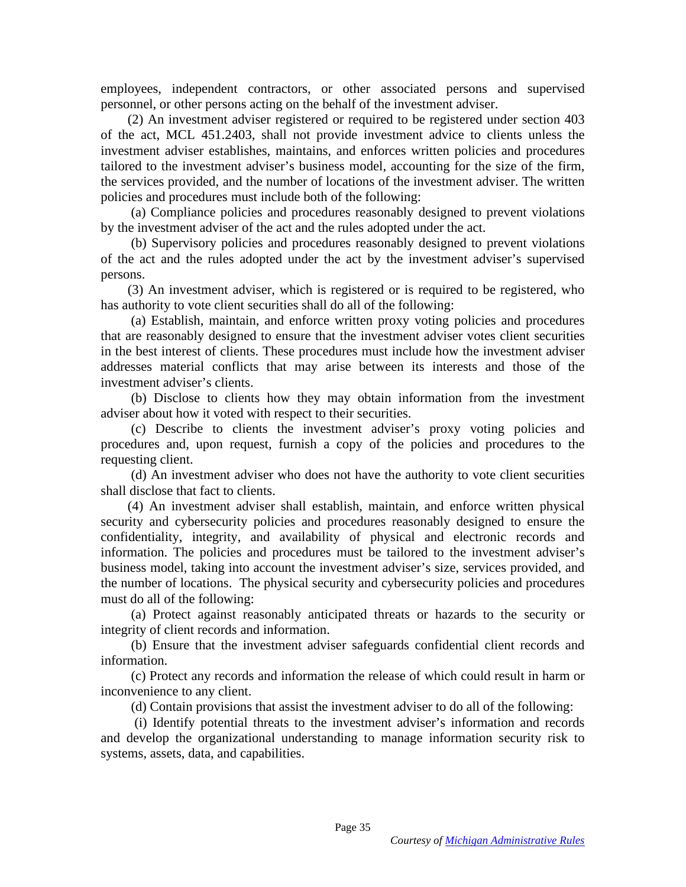employees, independent contractors, or other associated persons and supervised employees, independent contractors, or other associated persons and supervised personnel, or other persons acting on the behalf of the investment adviser.

(2) An investment adviser registered or required to be registered under section 403 of the act, MCL 451.2403, shall not provide investment advice to clients unless the investment adviser establishes, maintains, and enforces written policies and procedures tailored to the investment adviser's business model, accounting for the size of the firm, the services provided, and the number of locations of the investment adviser. The written policies and procedures must include both of the following: personnel, or other persons acting on the behalf of the investment adviser.<br>
(2) An investment adviser registered or required to be registered under section 403<br>
of the act, MCL 451.2403, shall not provide investment advic

(a) Compliance policies and procedures reasonably designed to prevent violations by the investment adviser of the act and the rules adopted under the act.

(b) Supervisory policies and procedures reasonably designed to prevent violations (b) Supervisory policies and procedures reasonably designed to prevent violations of the act and the rules adopted under the act by the investment adviser's supervised persons.

(3) An investment adviser, which is registered or is required to be registered, who has authority to vote client securities shall do all of the following:

(a) Establish, maintain, and enforce written proxy voting policies and procedures that are reasonably designed to ensure that the investment adviser votes client securities in the best interest of clients. These procedures must include how the investment adviser addresses material conflicts that may arise between its interests and those of the investment adviser's clients. of the act and the rules adopted under the act by the investment adviser's supervised<br>persons. (3) An investment adviser, which is registered or is required to be registered, who<br>has authority to vote client securities sha

adviser about how it voted with respect to their securities.

(b) Disclose to clients how they may obtain information from the investment<br>adviser about how it voted with respect to their securities.<br>(c) Describe to clients the investment adviser's proxy voting policies and<br>procedures (c) Describe to clients the investment adviser's proxy voting policies and procedures and, upon request, furnish a copy of the policies and procedures to the requesting client.

(d) An investment adviser who does not have the authority to vote client securities shall disclose that fact to clients.

(4) An investment adviser shall establish, maintain, and enforce written physical security and cybersecurity policies and procedures reasonably designed to ensure the confidentiality, integrity, and availability of physical and electronic records and information. The policies and procedures must be tailored to the investment adviser's information. The policies and procedures must be tailored to the investment adviser's business model, taking into account the investment adviser's size, services provided, and the number of locations. The physical security and cybersecurity policies and procedures must do all of the following: (d) An investment adviser who does not have the authority to vote client securities<br>shall disclose that fact to clients.<br>(4) An investment adviser shall establish, maintain, and enforce written physical<br>security and cybers business model, taking into account the investment adviser's size, services provided, and<br>the number of locations. The physical security and cybersecurity policies and procedures<br>must do all of the following:<br>(a) Protect a

(a) Protect against reasonably anticipated threats or hazards to the security or integrity of client records and information. integrity of client records and information.

(b) Ensure that the investment adviser safeguards confidential client records and information. (b) Ensure that the investment adviser safeguards confidential client records and information. (c) Protect any records and information the release of which could result in harm or inconvenience to any client.

(c) Protect any records and information the release of which could result in harm or inconvenience to any client.

(d) Contain provisions that assist the investment adviser to do all of the following: (d) Contain provisions that assist the investment adviser to do all of the following:

(i) Identify potential threats to the investment adviser's information and records and develop the organizational understanding to manage information security risk to systems, assets, data, and capabilities. (i) Identify potential threats to the investment adviser's information and records and develop the organizational understanding to manage information security risk to systems, assets, data, and capabilities.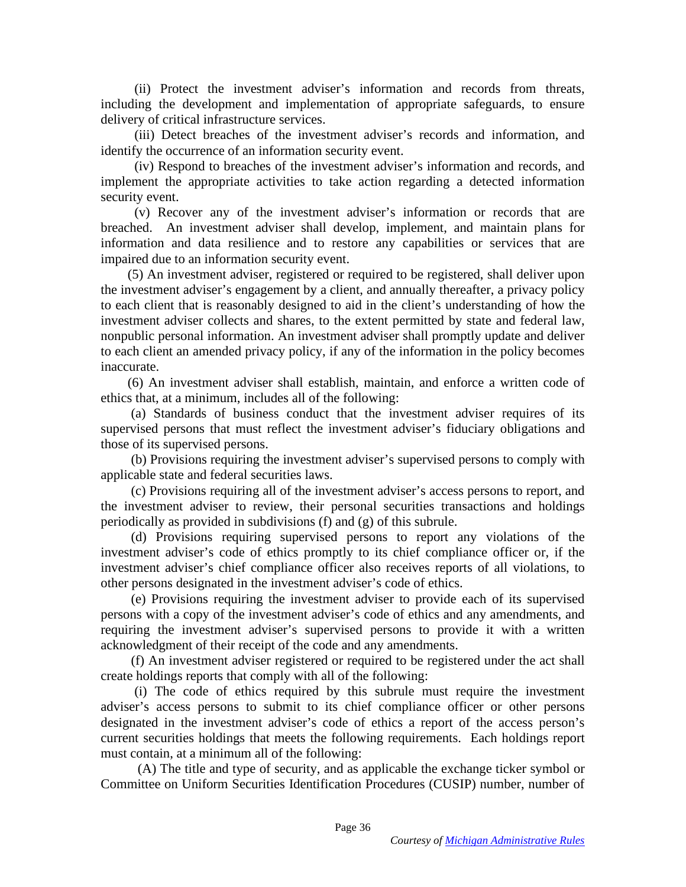(ii) Protect the investment adviser's information and records from threats, (ii) Protect the investment adviser's information and records from threats, including the development and implementation of appropriate safeguards, to ensure delivery of critical infrastructure services.

(iii) Detect breaches of the investment adviser's records and information, and identify the occurrence of an information security event.

(iv) Respond to breaches of the investment adviser's information and records, and implement the appropriate activities to take action regarding a detected information security event. including the development and implementation of appropriate safeguards, to ensure<br>delivery of critical infrastructure services.<br>(iii) Detect breaches of the investment adviser's records and information, and<br>identify the oc

(v) Recover any of the investment adviser's information or records that are breached. An investment adviser shall develop, implement, and maintain plans for information and data resilience and to restore any capabilities or services that are impaired due to an information security event.

(5) An investment adviser, registered or required to be registered, shall deliver upon the investment adviser's engagement by a client, and annually thereafter, a privacy policy to each client that is reasonably designed to aid in the client's understanding of how the investment adviser collects and shares, to the extent permitted by state and federal law, nonpublic personal information. An investment adviser shall promptly update and deliver to each client an amended privacy policy, if any of the information in the policy becomes inaccurate. impaired due to an information security event.<br>
(5) An investment adviser, registered or required to be registered, shall deliver upon<br>
the investment adviser's engagement by a client, and annually thereafter, a privacy po

(6) An investment adviser shall establish, maintain, and enforce a written code of ethics that, at a minimum, includes all of the following:

(a) Standards of business conduct that the investment adviser requires of its supervised persons that must reflect the investment adviser's fiduciary obligations and those of its supervised persons. ethics that, at a minimum, includes all of the following: (a) Standards of business conduct that the investment adviser requires of its supervised persons that must reflect the investment adviser's fiduciary obligations and

(b) Provisions requiring the investment adviser's supervised persons to comply with applicable state and federal securities laws.

(c) Provisions requiring all of the investment adviser's access persons to report, and the investment adviser to review, their personal securities transactions and holdings periodically as provided in subdivisions (f) and (g) of this subrule. those of its supervised persons.<br>
(b) Provisions requiring the investment adviser's supervised persons to comply with<br>
applicable state and federal securities laws.<br>
(c) Provisions requiring all of the investment adviser's

(d) Provisions requiring supervised persons to report any violations of the investment adviser's code of ethics promptly to its chief compliance officer or, if the investment adviser's chief compliance officer also receives reports of all violations, to other persons designated in the investment adviser's code of ethics. investment adviser's code of ethics promptly to its chief compliance officer or, if the investment adviser's chief compliance officer also receives reports of all violations, to other persons designated in the investment a

(e) Provisions requiring the investment adviser to provide each of its supervised requiring the investment adviser's supervised persons to provide it with a written acknowledgment of their receipt of the code and any amendments.

(f) An investment adviser registered or required to be registered under the act shall create holdings reports that comply with all of the following: requiring the investment adviser's supervised persons to provide it with a written<br>acknowledgment of their receipt of the code and any amendments.<br>(f) An investment adviser registered or required to be registered under the

adviser's access persons to submit to its chief compliance officer or other persons designated in the investment adviser's code of ethics a report of the access person's current securities holdings that meets the following requirements. Each holdings report must contain, at a minimum all of the following: adviser's access persons to submit to its chief compliance officer or other persons<br>designated in the investment adviser's code of ethics a report of the access person's<br>current securities holdings that meets the following

(A) The title and type of security, and as applicable the exchange ticker symbol or Committee on Uniform Securities Identification Procedures (CUSIP) number, number of Committee on Uniform Securities Identification Procedures (CUSIP) number, number of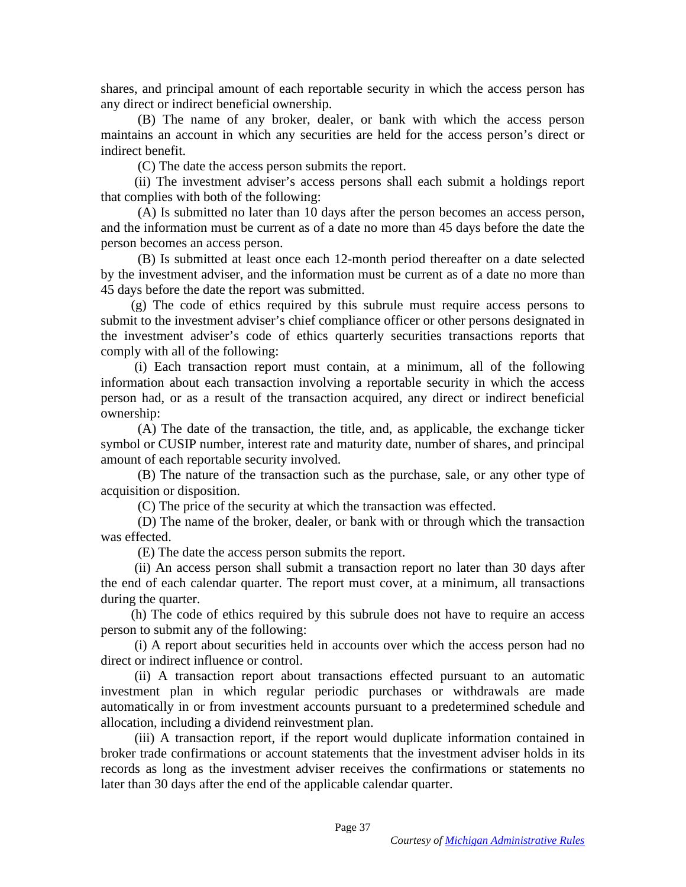shares, and principal amount of each reportable security in which the access person has shares, and principal amount of each reportable security in which the access person has any direct or indirect beneficial ownership. any direct or indirect beneficial ownership.

(B) The name of any broker, dealer, or bank with which the access person maintains an account in which any securities are held for the access person's direct or indirect benefit. (B) The name of any broker, dealer, or bank with which the access person<br>maintains an account in which any securities are held for the access person's direct or<br>indirect benefit.<br>(C) The date the access person submits the

(C) The date the access person submits the report.

(ii) The investment adviser's access persons shall each submit a holdings report that complies with both of the following:

(A) Is submitted no later than 10 days after the person becomes an access person, and the information must be current as of a date no more than 45 days before the date the person becomes an access person. person becomes an access person.

(B) Is submitted at least once each 12-month period thereafter on a date selected by the investment adviser, and the information must be current as of a date no more than 45 days before the date the report was submitted. (B) Is submitted at least once each 12-month period thereafter on a date selected by the investment adviser, and the information must be current as of a date no more than 45 days before the date the report was submitted.

(g) The code of ethics required by this subrule must require access persons to submit to the investment adviser's chief compliance officer or other persons designated in the investment adviser's code of ethics quarterly securities transactions reports that comply with all of the following: (g) The code of ethics required by this subrule must require access persons to submit to the investment adviser's chief compliance officer or other persons designated in the investment adviser's code of ethics quarterly se

(i) Each transaction report must contain, at a minimum, all of the following information about each transaction involving a reportable security in which the access information about each transaction involving a reportable security in which the access person had, or as a result of the transaction acquired, any direct or indirect beneficial person had, or as a result of the transaction acquired, any direct or indirect beneficial ownership:

(A) The date of the transaction, the title, and, as applicable, the exchange ticker symbol or CUSIP number, interest rate and maturity date, number of shares, and principal amount of each reportable security involved. ownership:<br>
(A) The date of the transaction, the title, and, as applicable, the exchange ticker<br>
symbol or CUSIP number, interest rate and maturity date, number of shares, and principal<br>
amount of each reportable security

(B) The nature of the transaction such as the purchase, sale, or any other type of (B) The nature of the transaction such as the purchase, sale, or any other type of acquisition or disposition.

(C) The price of the security at which the transaction was effected.

(D) The name of the broker, dealer, or bank with or through which the transaction was effected. acquisition or disposition.<br>
(C) The price of the security at which the transaction was effected.<br>
(D) The name of the broker, dealer, or bank with or through which the transaction was effected.

(E) The date the access person submits the report. (E) The date the access person submits the report.

(ii) An access person shall submit a transaction report no later than 30 days after the end of each calendar quarter. The report must cover, at a minimum, all transactions during the quarter. (ii) An access person shall submit a transaction report no later than 30 days after<br>the end of each calendar quarter. The report must cover, at a minimum, all transactions<br>during the quarter.<br>(h) The code of ethics require

(h) The code of ethics required by this subrule does not have to require an access person to submit any of the following:

(i) A report about securities held in accounts over which the access person had no direct or indirect influence or control. person to submit any of the following: (i) A report about securities held in accounts over which the access person had no direct or indirect influence or control.

(ii) A transaction report about transactions effected pursuant to an automatic (ii) A transaction report about transactions effected pursuant to an automatic<br>investment plan in which regular periodic purchases or withdrawals are made automatically in or from investment accounts pursuant to a predetermined schedule and automatically in or from investment accounts pursuant to a predetermined schedule and allocation, including a dividend reinvestment plan.

(iii) A transaction report, if the report would duplicate information contained in broker trade confirmations or account statements that the investment adviser holds in its records as long as the investment adviser receives the confirmations or statements no later than 30 days after the end of the applicable calendar quarter. later than 30 days after the end of the applicable calendar quarter. allocation, including a dividend reinvestment plan.<br>
(iii) A transaction report, if the report would duplicate information contained in<br>
broker trade confirmations or account statements that the investment adviser holds in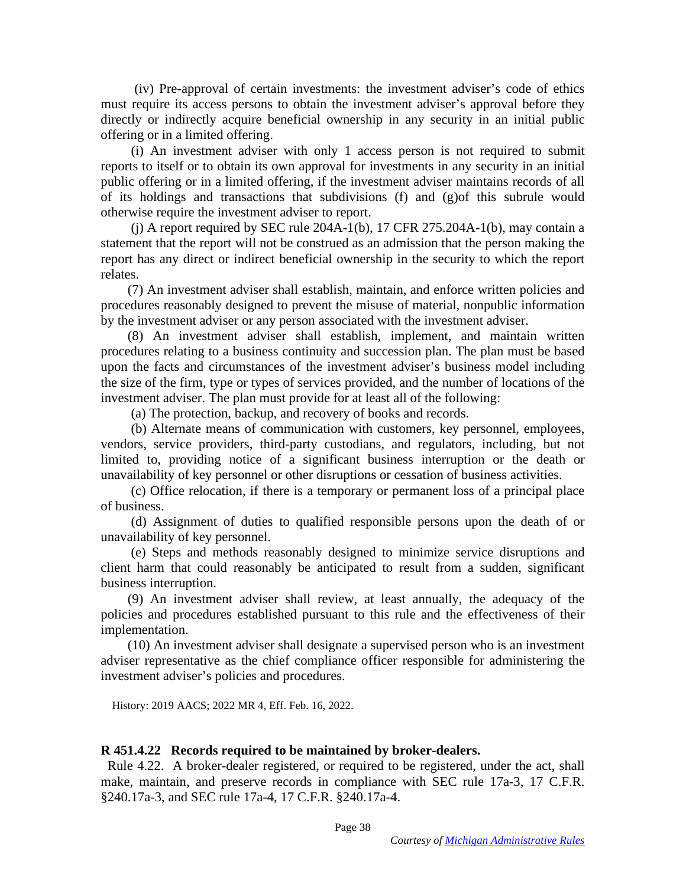(iv) Pre-approval of certain investments: the investment adviser's code of ethics (iv) Pre-approval of certain investments: the investment adviser's code of ethics must require its access persons to obtain the investment adviser's approval before they directly or indirectly acquire beneficial ownership in any security in an initial public offering or in a limited offering.

(i) An investment adviser with only 1 access person is not required to submit reports to itself or to obtain its own approval for investments in any security in an initial public offering or in a limited offering, if the investment adviser maintains records of all of its holdings and transactions that subdivisions (f) and (g)of this subrule would otherwise require the investment adviser to report. must require its access persons to obtain the investment adviser's approval before they directly or indirectly acquire beneficial ownership in any security in an initial public offering or in a limited offering.<br>(i) An inv

(j) A report required by SEC rule  $204A-1(b)$ , 17 CFR  $275.204A-1(b)$ , may contain a (j) A report required by SEC rule  $204A-1(b)$ , 17 CFR  $275.204A-1(b)$ , may contain a statement that the report will not be construed as an admission that the person making the report has any direct or indirect beneficial ownership in the security to which the report relates.

(7) An investment adviser shall establish, maintain, and enforce written policies and procedures reasonably designed to prevent the misuse of material, nonpublic information by the investment adviser or any person associated with the investment adviser. report has any direct or indirect beneficial ownership in the security to which the report<br>relates. (7) An investment adviser shall establish, maintain, and enforce written policies and<br>procedures reasonably designed to pr

(8) An investment adviser shall establish, implement, and maintain written procedures relating to a business continuity and succession plan. The plan must be based upon the facts and circumstances of the investment adviser's business model including the size of the firm, type or types of services provided, and the number of locations of the the size of the firm, type or types of services provided, and the number of locations of the investment adviser. The plan must provide for at least all of the following: investment adviser. The plan must provide for at least all of the following:

(a) The protection, backup, and recovery of books and records.

(b) Alternate means of communication with customers, key personnel, employees, vendors, service providers, third-party custodians, and regulators, including, but not limited to, providing notice of a significant business interruption or the death or unavailability of key personnel or other disruptions or cessation of business activities. (a) The protection, backup, and recovery of books and records.<br>
(b) Alternate means of communication with customers, key personnel, employees, vendors, service providers, third-party custodians, and regulators, including,

(c) Office relocation, if there is a temporary or permanent loss of a principal place of business.

(d) Assignment of duties to qualified responsible persons upon the death of or unavailability of key personnel.

(e) Steps and methods reasonably designed to minimize service disruptions and client harm that could reasonably be anticipated to result from a sudden, significant business interruption.

(9) An investment adviser shall review, at least annually, the adequacy of the policies and procedures established pursuant to this rule and the effectiveness of their implementation.

(10) An investment adviser shall designate a supervised person who is an investment adviser representative as the chief compliance officer responsible for administering the investment adviser's policies and procedures. implementation.<br>(10) An investment adviser shall designate a supervised person who is an investment<br>adviser representative as the chief compliance officer responsible for administering the<br>investment adviser's policies and

History: 2019 AACS; 2022 MR 4, Eff. Feb. 16, 2022. History: 2019 AACS; 2022 MR 4, Eff. Feb. 16, 2022.

### R 451.4.22 Records required to be maintained by broker-dealers. **R 451.4.22 Records required to be maintained by broker-dealers.**

Rule 4.22. A broker-dealer registered, or required to be registered, under the act, shall make, maintain, and preserve records in compliance with SEC rule 17a-3, 17 C.F.R. §240.17a-3, and SEC rule 17a-4, 17 C.F.R. §240.17a-4. Rule 4.22. A broker-dealer registered, or required to be registered, under the act, shall make, maintain, and preserve records in compliance with SEC rule 17a-3, 17 C.F.R. §240.17a-3, and SEC rule 17a-4, 17 C.F.R. §240.17a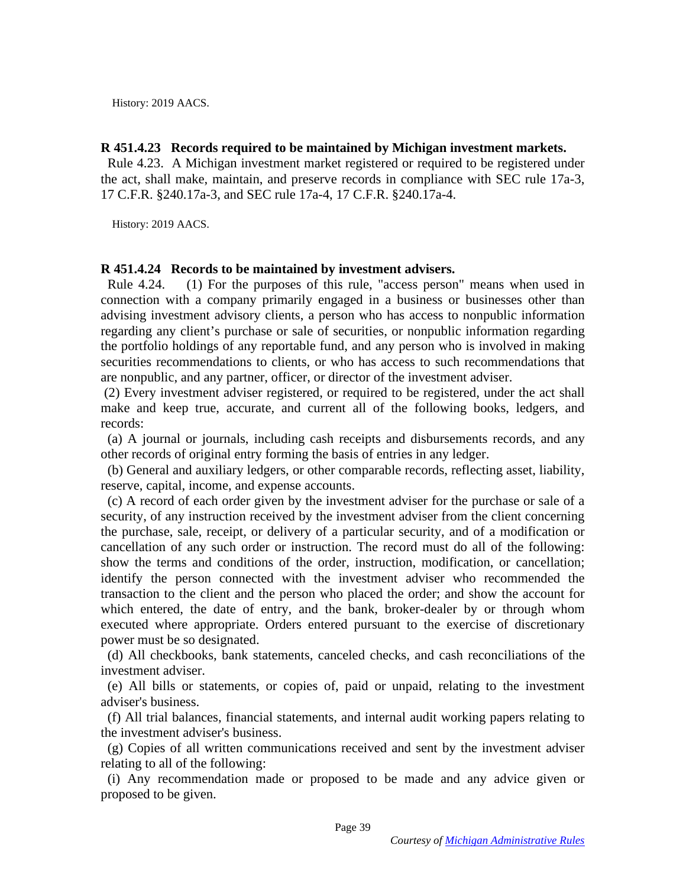History: 2019 AACS. History: 2019 AACS.

### R 451.4.23 Records required to be maintained by Michigan investment markets. **R 451.4.23 Records required to be maintained by Michigan investment markets.**

Rule 4.23. A Michigan investment market registered or required to be registered under the act, shall make, maintain, and preserve records in compliance with SEC rule 17a-3, 17 C.F.R. §240.17a-3, and SEC rule 17a-4, 17 C.F.R. §240.17a-4. Rule 4.23. A Michigan investment market registered or required to be registered under<br>the act, shall make, maintain, and preserve records in compliance with SEC rule 17a-3,<br>17 C.F.R. §240.17a-3, and SEC rule 17a-4, 17 C.F.

History: 2019 AACS. History: 2019 AACS.

#### R 451.4.24 Records to be maintained by investment advisers. **R 451.4.24 Records to be maintained by investment advisers.**

Rule 4.24. (1) For the purposes of this rule, "access person" means when used in connection with a company primarily engaged in a business or businesses other than advising investment advisory clients, a person who has access to nonpublic information regarding any client's purchase or sale of securities, or nonpublic information regarding the portfolio holdings of any reportable fund, and any person who is involved in making the portfolio holdings of any reportable fund, and any person who is involved in making securities recommendations to clients, or who has access to such recommendations that are nonpublic, and any partner, officer, or director of the investment adviser. are nonpublic, and any partner, officer, or director of the investment adviser. Rule 4.24. (1) For the purposes of this rule, "access person" means when used in connection with a company primarily engaged in a business or businesses other than advising investment advisory clients, a person who has acc

(2) Every investment adviser registered, or required to be registered, under the act shall (2) Every investment adviser registered, or required to be registered, under the act shall make and keep true, accurate, and current all of the following books, ledgers, and make and keep true, accurate, and current all of the following books, ledgers, and records: records:

(a) A journal or journals, including cash receipts and disbursements records, and any other records of original entry forming the basis of entries in any ledger.<br>(b) General and auxiliary ledgers, or other comparable recor other records of original entry forming the basis of entries in any ledger.

(b) General and auxiliary ledgers, or other comparable records, reflecting asset, liability, reserve, capital, income, and expense accounts. reserve, capital, income, and expense accounts.

(c) A record of each order given by the investment adviser for the purchase or sale of a security, of any instruction received by the investment adviser from the client concerning the purchase, sale, receipt, or delivery of a particular security, and of a modification or cancellation of any such order or instruction. The record must do all of the following: show the terms and conditions of the order, instruction, modification, or cancellation; show the terms and conditions of the order, instruction, modification, or cancellation; identify the person connected with the investment adviser who recommended the transaction to the client and the person who placed the order; and show the account for which entered, the date of entry, and the bank, broker-dealer by or through whom executed where appropriate. Orders entered pursuant to the exercise of discretionary power must be so designated. power must be so designated. (c) A record of each order given by the investment adviser for the purchase or sale of a security, of any instruction received by the investment adviser from the client concerning the purchase, sale, receipt, or delivery o identify the person connected with the investment adviser who recommended the transaction to the client and the person who placed the order; and show the account for which entered, the date of entry, and the bank, broker-d

(d) All checkbooks, bank statements, canceled checks, and cash reconciliations of the investment adviser.

(e) All bills or statements, or copies of, paid or unpaid, relating to the investment adviser's business. (d) All checkbooks, bank statements, canceled checks, and cash reconciliations of the investment adviser. (e) All bills or statements, or copies of, paid or unpaid, relating to the investment adviser's business.

(f) All trial balances, financial statements, and internal audit working papers relating to (f) All trial balances, financial statements, and internal audit working papers relating to the investment adviser's business.

(g) Copies of all written communications received and sent by the investment adviser relating to all of the following: the investment adviser's business.<br>
(g) Copies of all written communications received and sent by the investment adviser<br>
relating to all of the following:<br>
(i) Any recommendation made or proposed to be made and any advice

(i) Any recommendation made or proposed to be made and any advice given or proposed to be given. proposed to be given.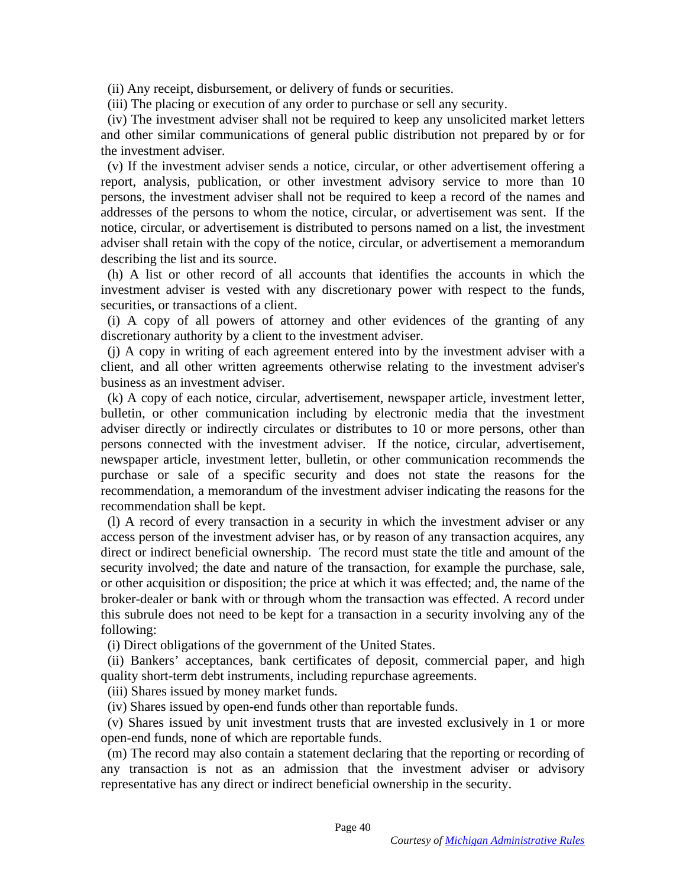(ii) Any receipt, disbursement, or delivery of funds or securities. (ii) Any receipt, disbursement, or delivery of funds or securities.

(iii) The placing or execution of any order to purchase or sell any security.

(iv) The investment adviser shall not be required to keep any unsolicited market letters and other similar communications of general public distribution not prepared by or for the investment adviser.

(v) If the investment adviser sends a notice, circular, or other advertisement offering a report, analysis, publication, or other investment advisory service to more than 10 persons, the investment adviser shall not be required to keep a record of the names and addresses of the persons to whom the notice, circular, or advertisement was sent. If the notice, circular, or advertisement is distributed to persons named on a list, the investment adviser shall retain with the copy of the notice, circular, or advertisement a memorandum adviser shall retain with the copy of the notice, circular, or advertisement a memorandum describing the list and its source. (iii) The placing or execution of any order to purchase or sell any security.<br>
(iv) The investment adviser shall not be required to keep any unsolicited market letters<br>
and other similar communications of general public di

(h) A list or other record of all accounts that identifies the accounts in which the investment adviser is vested with any discretionary power with respect to the funds, securities, or transactions of a client. describing the list and its source.<br>
(h) A list or other record of all accounts that identifies the accounts in which the<br>
investment adviser is vested with any discretionary power with respect to the funds,<br>
securities, o

(i) A copy of all powers of attorney and other evidences of the granting of any discretionary authority by a client to the investment adviser.

(j) A copy in writing of each agreement entered into by the investment adviser with a client, and all other written agreements otherwise relating to the investment adviser's business as an investment adviser. (i) A copy of all powers of attorney and other evidences of the granting of any discretionary authority by a client to the investment adviser.<br>(j) A copy in writing of each agreement entered into by the investment adviser

(k) A copy of each notice, circular, advertisement, newspaper article, investment letter, (k) A copy of each notice, circular, advertisement, newspaper article, investment letter, bulletin, or other communication including by electronic media that the investment adviser directly or indirectly circulates or distributes to 10 or more persons, other than persons connected with the investment adviser. If the notice, circular, advertisement, newspaper article, investment letter, bulletin, or other communication recommends the purchase or sale of a specific security and does not state the reasons for the recommendation, a memorandum of the investment adviser indicating the reasons for the recommendation shall be kept. bulletin, or other communication including by electronic media that the investment<br>adviser directly or indirectly circulates or distributes to 10 or more persons, other than<br>persons connected with the investment adviser. I

(1) A record of every transaction in a security in which the investment adviser or any access person of the investment adviser has, or by reason of any transaction acquires, any direct or indirect beneficial ownership. The record must state the title and amount of the direct or indirect beneficial ownership. The record must state the title and amount of the security involved; the date and nature of the transaction, for example the purchase, sale, or other acquisition or disposition; the price at which it was effected; and, the name of the broker-dealer or bank with or through whom the transaction was effected. A record under security involved; the date and nature of the transaction, for example the purchase, sale, or other acquisition or disposition; the price at which it was effected; and, the name of the broker-dealer or bank with or through following:

(i) Direct obligations of the government of the United States.

(ii) Bankers' acceptances, bank certificates of deposit, commercial paper, and high quality short-term debt instruments, including repurchase agreements. following:<br>
(i) Direct obligations of the government of the United States.<br>
(ii) Bankers' acceptances, bank certificates of deposit, commercial paper, and high<br>
quality short-term debt instruments, including repurchase agr

(iii) Shares issued by money market funds.

(iv) Shares issued by open-end funds other than reportable funds. (iv) Shares issued by open-end funds other than reportable funds.

(v) Shares issued by unit investment trusts that are invested exclusively in 1 or more open-end funds, none of which are reportable funds.

(m) The record may also contain a statement declaring that the reporting or recording of any transaction is not as an admission that the investment adviser or advisory representative has any direct or indirect beneficial ownership in the security. representative has any direct or indirect beneficial ownership in the security. (v) Shares issued by unit investment trusts that are invested exclusively in 1 or more open-end funds, none of which are reportable funds.<br>(m) The record may also contain a statement declaring that the reporting or recordi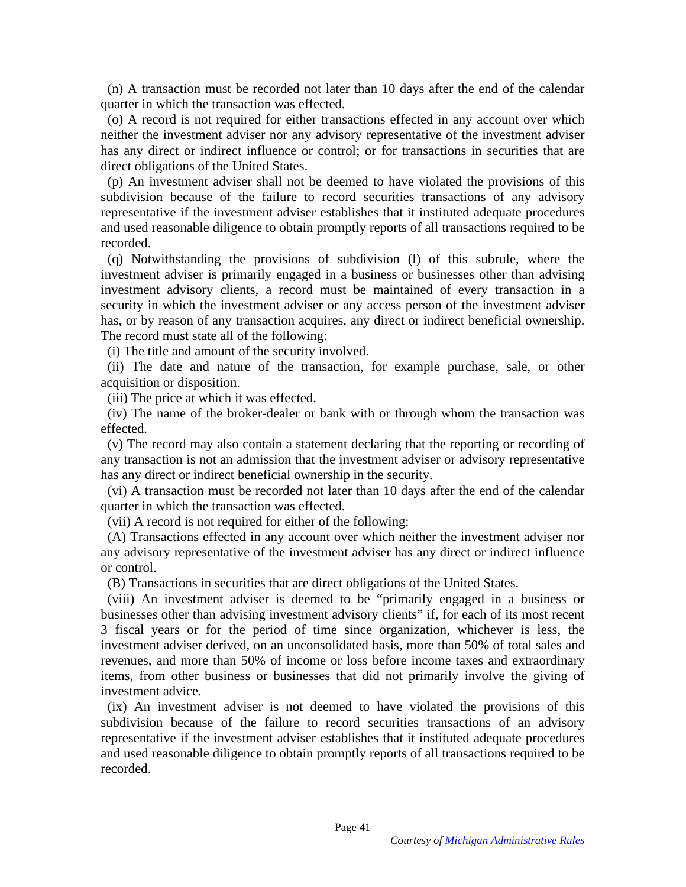(n) A transaction must be recorded not later than 10 days after the end of the calendar (n) A transaction must be recorded not later than 10 days after the end of the calendar quarter in which the transaction was effected.

(o) A record is not required for either transactions effected in any account over which neither the investment adviser nor any advisory representative of the investment adviser has any direct or indirect influence or control; or for transactions in securities that are direct obligations of the United States. quarter in which the transaction was effected.<br>
(o) A record is not required for either transactions effected in any account over which<br>
neither the investment adviser nor any advisory representative of the investment advi

(p) An investment adviser shall not be deemed to have violated the provisions of this subdivision because of the failure to record securities transactions of any advisory representative if the investment adviser establishes that it instituted adequate procedures and used reasonable diligence to obtain promptly reports of all transactions required to be recorded. recorded.

(q) Notwithstanding the provisions of subdivision (1) of this subrule, where the investment adviser is primarily engaged in a business or businesses other than advising investment advisory clients, a record must be maintained of every transaction in a security in which the investment adviser or any access person of the investment adviser has, or by reason of any transaction acquires, any direct or indirect beneficial ownership. The record must state all of the following: (q) Notwithstanding the provisions of subdivision (l) of this subrule, where the investment adviser is primarily engaged in a business or businesses other than advising investment advisory clients, a record must be maintai

(i) The title and amount of the security involved.

(ii) The date and nature of the transaction, for example purchase, sale, or other acquisition or disposition.<br>(iii) The price at which it was effected. acquisition or disposition.

(iii) The price at which it was effected.

(iv) The name of the broker-dealer or bank with or through whom the transaction was effected. effected.

(v) The record may also contain a statement declaring that the reporting or recording of any transaction is not an admission that the investment adviser or advisory representative has any direct or indirect beneficial ownership in the security. (v) The record may also contain a statement declaring that the reporting or recording of<br>any transaction is not an admission that the investment adviser or advisory representative<br>has any direct or indirect beneficial owne

(vi) A transaction must be recorded not later than 10 days after the end of the calendar quarter in which the transaction was effected.

(vii) A record is not required for either of the following:

(A) Transactions effected in any account over which neither the investment adviser nor any advisory representative of the investment adviser has any direct or indirect influence any advisory representative of the investment adviser has any direct or indirect influence or control.

(B) Transactions in securities that are direct obligations of the United States.

(viii) An investment adviser is deemed to be "primarily engaged in a business or (B) Transactions in securities that are direct obligations of the United States.<br>
(wiii) An investment adviser is deemed to be "primarily engaged in a business or businesses other than advising investment advisory clients" 3 fiscal years or for the period of time since organization, whichever is less, the 3 fiscal years or for the period of time since organization, whichever is less, the investment adviser derived, on an unconsolidated basis, more than 50% of total sales and revenues, and more than 50% of income or loss before income taxes and extraordinary revenues, and more than 50% of income or loss before income taxes and extraordinary<br>items, from other business or businesses that did not primarily involve the giving of investment advice. investment advice.

(ix) An investment adviser is not deemed to have violated the provisions of this (ix) An investment adviser is not deemed to have violated the provisions of this subdivision because of the failure to record securities transactions of an advisory representative if the investment adviser establishes that it instituted adequate procedures and used reasonable diligence to obtain promptly reports of all transactions required to be recorded. subdivision because of the failure to record securities transactions of an advisory representative if the investment adviser establishes that it instituted adequate procedures and used reasonable diligence to obtain prompt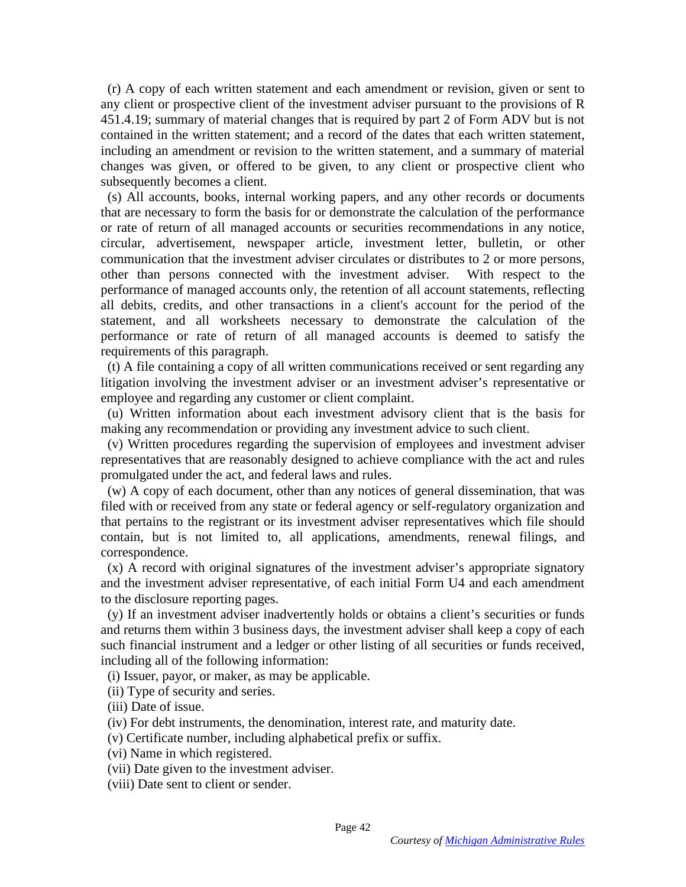(r) A copy of each written statement and each amendment or revision, given or sent to (r) A copy of each written statement and each amendment or revision, given or sent to any client or prospective client of the investment adviser pursuant to the provisions of R 451.4.19; summary of material changes that is required by part 2 of Form ADV but is not contained in the written statement; and a record of the dates that each written statement, including an amendment or revision to the written statement, and a summary of material changes was given, or offered to be given, to any client or prospective client who subsequently becomes a client. any client or prospective client of the investment adviser pursuant to the provisions of R<br>451.4.19; summary of material changes that is required by part 2 of Form ADV but is not<br>contained in the written statement; and a r

(s) All accounts, books, internal working papers, and any other records or documents that are necessary to form the basis for or demonstrate the calculation of the performance or rate of return of all managed accounts or securities recommendations in any notice, circular, advertisement, newspaper article, investment letter, bulletin, or other circular, advertisement, newspaper article, investment letter, bulletin, or other communication that the investment adviser circulates or distributes to 2 or more persons, other than persons connected with the investment adviser. With respect to the performance of managed accounts only, the retention of all account statements, reflecting all debits, credits, and other transactions in a client's account for the period of the statement, and all worksheets necessary to demonstrate the calculation of the performance or rate of return of all managed accounts is deemed to satisfy the requirements of this paragraph. communication that the investment adviser circulates or distributes to 2 or more persons, other than persons connected with the investment adviser. With respect to the performance of managed accounts only, the retention of

(t) A file containing a copy of all written communications received or sent regarding any litigation involving the investment adviser or an investment adviser's representative or employee and regarding any customer or client complaint.

(u) Written information about each investment advisory client that is the basis for making any recommendation or providing any investment advice to such client.

(v) Written procedures regarding the supervision of employees and investment adviser representatives that are reasonably designed to achieve compliance with the act and rules promulgated under the act, and federal laws and rules.

(w) A copy of each document, other than any notices of general dissemination, that was filed with or received from any state or federal agency or self-regulatory organization and that pertains to the registrant or its investment adviser representatives which file should contain, but is not limited to, all applications, amendments, renewal filings, and correspondence. correspondence. employee and regarding any customer or client complaint.<br>
(u) Written information about each investment advisory client that is the basis for<br>
making any recommendation or providing any investment advice to such client.<br>
(

(x) A record with original signatures of the investment adviser's appropriate signatory and the investment adviser representative, of each initial Form U4 and each amendment to the disclosure reporting pages. ( $x$ ) A record with original signatures of the investment adviser's appropriate signatory<br>and the investment adviser representative, of each initial Form U4 and each amendment<br>to the disclosure reporting pages.<br>( $y$ ) If a

(y) If an investment adviser inadvertently holds or obtains a client's securities or funds and returns them within 3 business days, the investment adviser shall keep a copy of each such financial instrument and a ledger or other listing of all securities or funds received, including all of the following information: and returns them within 3 business days, the investment adviser shall keep a copy of each<br>such financial instrument and a ledger or other listing of all securities or funds received,<br>including all of the following informat

(i) Issuer, payor, or maker, as may be applicable.

(ii) Type of security and series. (ii) Type of security and series.

(iii) Date of issue. (iii) Date of issue.

(iv) For debt instruments, the denomination, interest rate, and maturity date. (iv) For debt instruments, the denomination, interest rate, and maturity date.

(v) Certificate number, including alphabetical prefix or suffix.<br>
(vii) Name in which registered.<br>
(vii) Date given to the investment adviser.

(vi) Name in which registered.

(vii) Date given to the investment adviser.

(viii) Date sent to client or sender. (viii) Date sent to client or sender.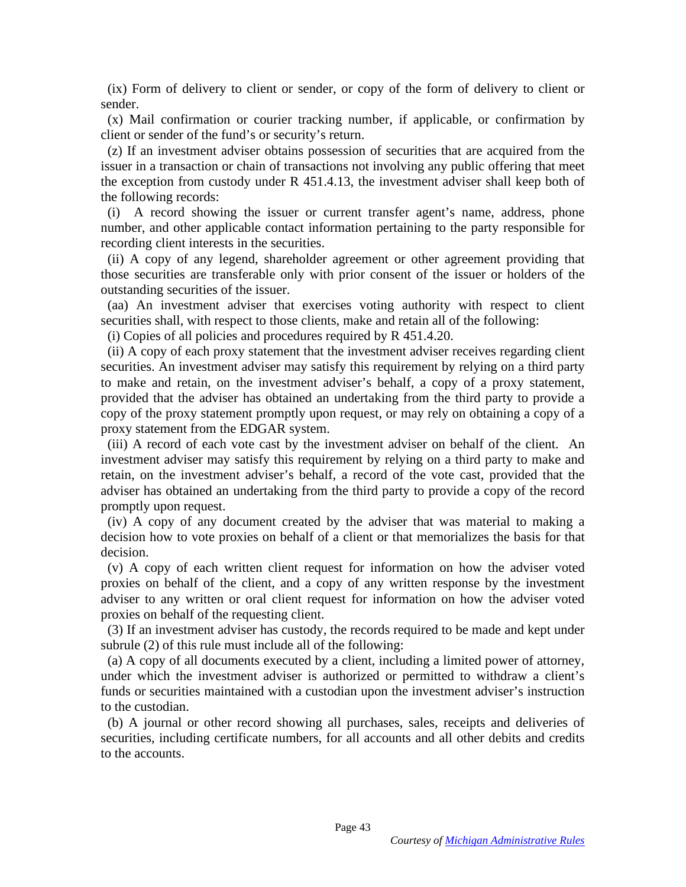(ix) Form of delivery to client or sender, or copy of the form of delivery to client or (ix) Form of delivery to client or sender, or copy of the form of delivery to client or sender.

(x) Mail confirmation or courier tracking number, if applicable, or confirmation by client or sender of the fund's or security's return. sender. (x) Mail confirmation or courier tracking number, if applicable, or confirmation by client or sender of the fund's or security's return.

(z) If an investment adviser obtains possession of securities that are acquired from the issuer in a transaction or chain of transactions not involving any public offering that meet the exception from custody under R 451.4.13, the investment adviser shall keep both of the following records: (z) If an investment adviser obtains possession of securities that are acquired from the issuer in a transaction or chain of transactions not involving any public offering that meet the exception from custody under  $R$  45

(i) A record showing the issuer or current transfer agent's name, address, phone the following records:<br>
(i) A record showing the issuer or current transfer agent's name, address, phone<br>
number, and other applicable contact information pertaining to the party responsible for recording client interests in the securities.

(ii) A copy of any legend, shareholder agreement or other agreement providing that those securities are transferable only with prior consent of the issuer or holders of the outstanding securities of the issuer. (ii) A copy of any legend, shareholder agreement or other agreement providing that<br>those securities are transferable only with prior consent of the issuer or holders of the<br>outstanding securities of the issuer.<br>(aa) An in

(aa) An investment adviser that exercises voting authority with respect to client securities shall, with respect to those clients, make and retain all of the following:

(i) Copies of all policies and procedures required by R 451.4.20.

(ii) A copy of each proxy statement that the investment adviser receives regarding client securities. An investment adviser may satisfy this requirement by relying on a third party to make and retain, on the investment adviser's behalf, a copy of a proxy statement, to make and retain, on the investment adviser's behalf, a copy of a proxy statement, provided that the adviser has obtained an undertaking from the third party to provide a provided that the adviser has obtained an undertaking from the third party to provide a copy of the proxy statement promptly upon request, or may rely on obtaining a copy of a proxy statement from the EDGAR system. proxy statement from the EDGAR system.

(iii) A record of each vote cast by the investment adviser on behalf of the client. An investment adviser may satisfy this requirement by relying on a third party to make and retain, on the investment adviser's behalf, a record of the vote cast, provided that the adviser has obtained an undertaking from the third party to provide a copy of the record promptly upon request. (iii) A record of each vote cast by the investment adviser on behalf of the client. An investment adviser may satisfy this requirement by relying on a third party to make and retain, on the investment adviser's behalf, a r

(iv) A copy of any document created by the adviser that was material to making a decision how to vote proxies on behalf of a client or that memorializes the basis for that decision. decision.<br>(v) A copy of each written client request for information on how the adviser voted

proxies on behalf of the client, and a copy of any written response by the investment adviser to any written or oral client request for information on how the adviser voted proxies on behalf of the requesting client. proxies on behalf of the client, and a copy of any written response by the investment adviser to any written or oral client request for information on how the adviser voted proxies on behalf of the requesting client.

(3) If an investment adviser has custody, the records required to be made and kept under subrule (2) of this rule must include all of the following:

(a) A copy of all documents executed by a client, including a limited power of attorney, under which the investment adviser is authorized or permitted to withdraw a client's (3) If an investment adviser has custody, the records required to be made and kept under<br>subrule (2) of this rule must include all of the following:<br>(a) A copy of all documents executed by a client, including a limited pow to the custodian. to the custodian.

(b) A journal or other record showing all purchases, sales, receipts and deliveries of securities, including certificate numbers, for all accounts and all other debits and credits to the accounts. securities, including certificate numbers, for all accounts and all other debits and credits to the accounts.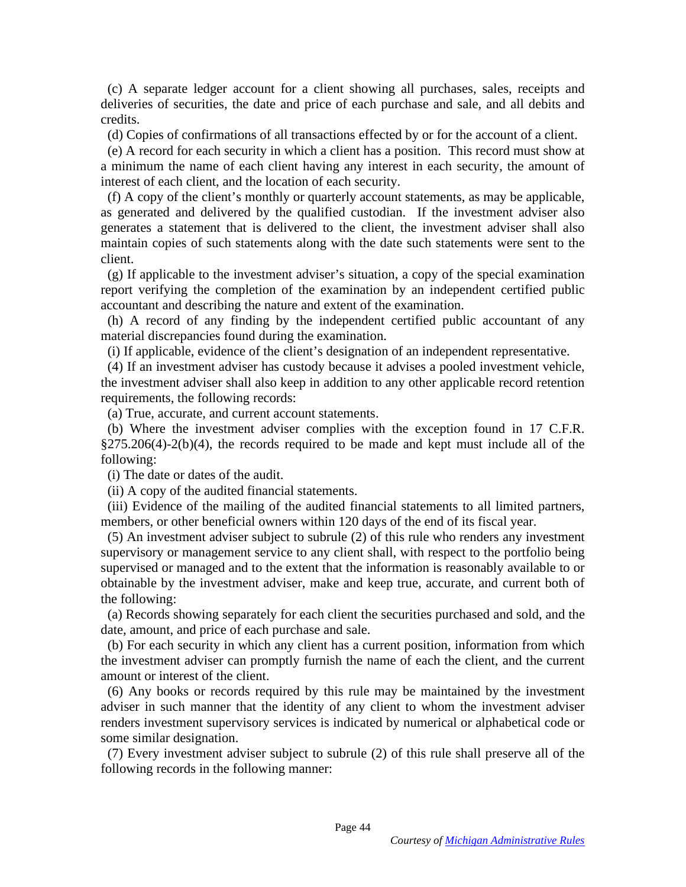(c) A separate ledger account for a client showing all purchases, sales, receipts and (c) A separate ledger account for a client showing all purchases, sales, receipts and deliveries of securities, the date and price of each purchase and sale, and all debits and credits. deliveries of securities, the date and price of each purchase and sale, and all debits and<br>credits.<br>(d) Copies of confirmations of all transactions effected by or for the account of a client.<br>(e) A record for each security

(d) Copies of confirmations of all transactions effected by or for the account of a client.

(e) A record for each security in which a client has a position. This record must show at a minimum the name of each client having any interest in each security, the amount of interest of each client, and the location of each security.

(f) A copy of the client's monthly or quarterly account statements, as may be applicable, as generated and delivered by the qualified custodian. If the investment adviser also generates a statement that is delivered to the client, the investment adviser shall also maintain copies of such statements along with the date such statements were sent to the maintain copies of such statements along with the date such statements were sent to the client. interest of each client, and the location of each security.<br>
(f) A copy of the client's monthly or quarterly account statements, as may be applicable,<br>
as generated and delivered by the qualified custodian. If the investme

(g) If applicable to the investment adviser's situation, a copy of the special examination report verifying the completion of the examination by an independent certified public accountant and describing the nature and extent of the examination. client.<br>
(g) If applicable to the investment adviser's situation, a copy of the special examination<br>
report verifying the completion of the examination by an independent certified public<br>
accountant and describing the natu

(h) A record of any finding by the independent certified public accountant of any material discrepancies found during the examination. (h) A record of any finding by the independent certified public accountant of any<br>material discrepancies found during the examination.<br>(i) If applicable, evidence of the client's designation of an independent representativ

(i) If applicable, evidence of the client's designation of an independent representative.

(4) If an investment adviser has custody because it advises a pooled investment vehicle, requirements, the following records:

(a) True, accurate, and current account statements.

(b) Where the investment adviser complies with the exception found in 17 C.F.R.  $\S275.206(4)-2(b)(4)$ , the records required to be made and kept must include all of the following: (a) True, accurate, and current account statements.<br>
(b) Where the investment adviser complies with the exception found in 17 C.F.R.<br>
§275.206(4)-2(b)(4), the records required to be made and kept must include all of the<br>

(i) The date or dates of the audit.

(ii) A copy of the audited financial statements.

(iii) Evidence of the mailing of the audited financial statements to all limited partners, members, or other beneficial owners within 120 days of the end of its fiscal year.

(5) An investment adviser subject to subrule (2) of this rule who renders any investment supervisory or management service to any client shall, with respect to the portfolio being supervisory or management service to any client shall, with respect to the portfolio being supervised or managed and to the extent that the information is reasonably available to or supervised or managed and to the extent that the information is reasonably available to or obtainable by the investment adviser, make and keep true, accurate, and current both of the following:

the following:<br>(a) Records showing separately for each client the securities purchased and sold, and the date, amount, and price of each purchase and sale.

(b) For each security in which any client has a current position, information from which the investment adviser can promptly furnish the name of each the client, and the current amount or interest of the client. date, amount, and price of each purchase and sale.<br>
(b) For each security in which any client has a current position, information from which<br>
the investment adviser can promptly furnish the name of each the client, and the

(6) Any books or records required by this rule may be maintained by the investment (6) Any books or records required by this rule may be maintained by the investment adviser in such manner that the identity of any client to whom the investment adviser adviser in such manner that the identity of any client to whom the investment adviser renders investment supervisory services is indicated by numerical or alphabetical code or some similar designation. renders investment supervisory services is indicated by numerical or alphabetical code or some similar designation.<br>(7) Every investment adviser subject to subrule (2) of this rule shall preserve all of the following recor

(7) Every investment adviser subject to subrule (2) of this rule shall preserve all of the following records in the following manner: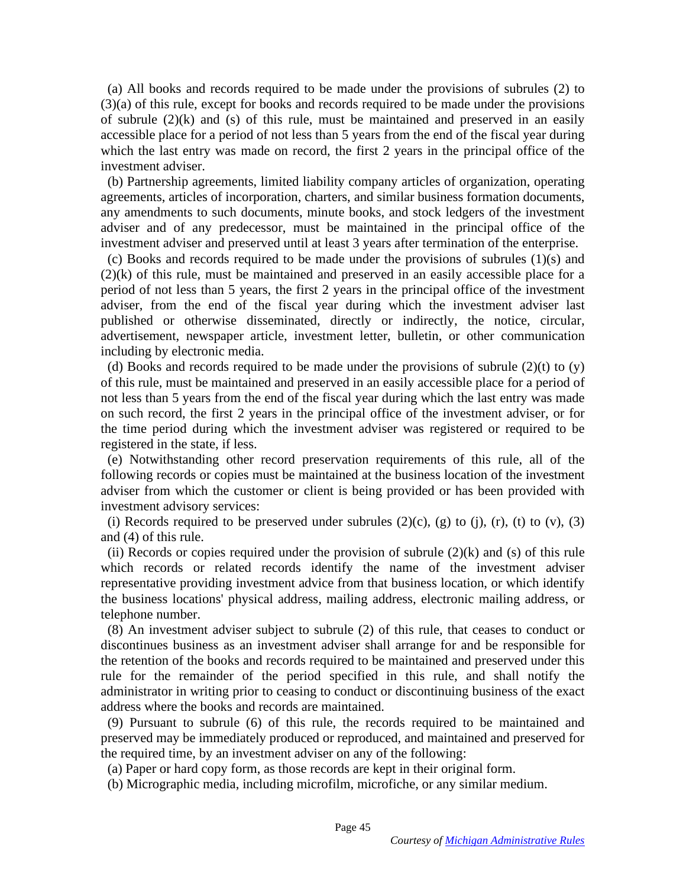(a) All books and records required to be made under the provisions of subrules (2) to (a) All books and records required to be made under the provisions of subrules (2) to (3)(a) of this rule, except for books and records required to be made under the provisions of subrule  $(2)(k)$  and  $(s)$  of this rule, must be maintained and preserved in an easily accessible place for a period of not less than 5 years from the end of the fiscal year during which the last entry was made on record, the first 2 years in the principal office of the investment adviser. (3)(a) of this rule, except for books and records required to be made under the provisions<br>of subrule  $(2)(k)$  and (s) of this rule, must be maintained and preserved in an easily<br>accessible place for a period of not less t

(b) Partnership agreements, limited liability company articles of organization, operating agreements, articles of incorporation, charters, and similar business formation documents, any amendments to such documents, minute books, and stock ledgers of the investment adviser and of any predecessor, must be maintained in the principal office of the investment adviser and preserved until at least 3 years after termination of the enterprise.

(c) Books and records required to be made under the provisions of subrules (1)(s) and (2)(k) of this rule, must be maintained and preserved in an easily accessible place for a period of not less than 5 years, the first 2 years in the principal office of the investment adviser, from the end of the fiscal year during which the investment adviser last published or otherwise disseminated, directly or indirectly, the notice, circular, advertisement, newspaper article, investment letter, bulletin, or other communication including by electronic media. (c) Books and records required to be made under the provisions of subrules  $(1)(s)$  and  $(2)(k)$  of this rule, must be maintained and preserved in an easily accessible place for a period of not less than 5 years, the first

(d) Books and records required to be made under the provisions of subrule  $(2)(t)$  to  $(y)$ of this rule, must be maintained and preserved in an easily accessible place for a period of not less than 5 years from the end of the fiscal year during which the last entry was made not less than 5 years from the end of the fiscal year during which the last entry was made on such record, the first 2 years in the principal office of the investment adviser, or for the time period during which the investment adviser was registered or required to be registered in the state, if less. on such record, the first 2 years in the principal office of the investment adviser, or for the time period during which the investment adviser was registered or required to be registered in the state, if less.

(e) Notwithstanding other record preservation requirements of this rule, all of the following records or copies must be maintained at the business location of the investment adviser from which the customer or client is being provided or has been provided with investment advisory services: (e) Notwithstanding other record preservation requirements of this rule, all of the following records or copies must be maintained at the business location of the investment adviser from which the customer or client is be

(i) Records required to be preserved under subrules  $(2)(c)$ ,  $(g)$  to  $(i)$ ,  $(r)$ ,  $(t)$  to  $(v)$ ,  $(3)$ and (4) of this rule.

(ii) Records or copies required under the provision of subrule  $(2)(k)$  and (s) of this rule which records or related records identify the name of the investment adviser representative providing investment advice from that business location, or which identify the business locations' physical address, mailing address, electronic mailing address, or telephone number.

(8) An investment adviser subject to subrule (2) of this rule, that ceases to conduct or discontinues business as an investment adviser shall arrange for and be responsible for the retention of the books and records required to be maintained and preserved under this rule for the remainder of the period specified in this rule, and shall notify the administrator in writing prior to ceasing to conduct or discontinuing business of the exact address where the books and records are maintained. which records or related records identify the name of the investment adviser<br>representative providing investment advice from that business location, or which identify<br>the business locations' physical address, mailing addre

(9) Pursuant to subrule (6) of this rule, the records required to be maintained and preserved may be immediately produced or reproduced, and maintained and preserved for the required time, by an investment adviser on any of the following: address where the books and records are maintained.<br>
(9) Pursuant to subrule (6) of this rule, the records required to be maintained and<br>
preserved may be immediately produced or reproduced, and maintained and preserved fo

(a) Paper or hard copy form, as those records are kept in their original form.

(b) Micrographic media, including microfilm, microfiche, or any similar medium.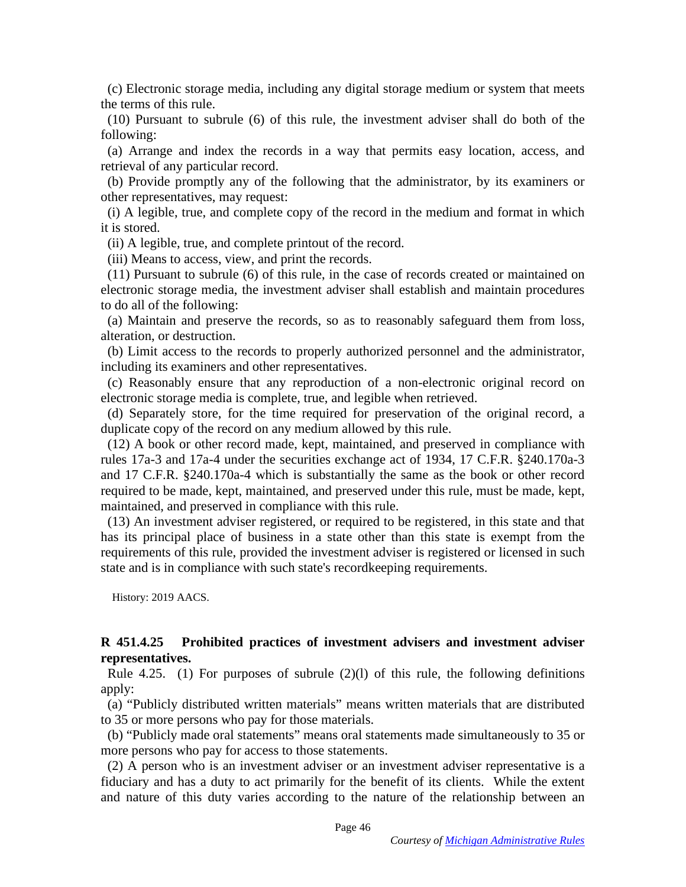(c) Electronic storage media, including any digital storage medium or system that meets (c) Electronic storage media, including any digital storage medium or system that meets the terms of this rule.

(10) Pursuant to subrule (6) of this rule, the investment adviser shall do both of the following:

(a) Arrange and index the records in a way that permits easy location, access, and retrieval of any particular record. the terms of this rule.<br>
(10) Pursuant to subrule (6) of this rule, the investment adviser shall do both of the<br>
following:<br>
(a) Arrange and index the records in a way that permits easy location, access, and<br>
retrieval of

(b) Provide promptly any of the following that the administrator, by its examiners or other representatives, may request:

(i) A legible, true, and complete copy of the record in the medium and format in which it is stored.

(ii) A legible, true, and complete printout of the record. (ii) A legible, true, and complete printout of the record.

(iii) Means to access, view, and print the records.

(11) Pursuant to subrule (6) of this rule, in the case of records created or maintained on electronic storage media, the investment adviser shall establish and maintain procedures to do all of the following: (iii) Means to access, view, and print the records.<br>
(11) Pursuant to subrule (6) of this rule, in the case of records created or maintained on<br>
electronic storage media, the investment adviser shall establish and maintain

(a) Maintain and preserve the records, so as to reasonably safeguard them from loss, alteration, or destruction.

(b) Limit access to the records to properly authorized personnel and the administrator, including its examiners and other representatives.

(c) Reasonably ensure that any reproduction of a non-electronic original record on electronic storage media is complete, true, and legible when retrieved.

(d) Separately store, for the time required for preservation of the original record, a duplicate copy of the record on any medium allowed by this rule.

(12) A book or other record made, kept, maintained, and preserved in compliance with rules 17a-3 and 17a-4 under the securities exchange act of 1934, 17 C.F.R. §240.170a-3 and 17 C.F.R. §240.170a-4 which is substantially the same as the book or other record required to be made, kept, maintained, and preserved under this rule, must be made, kept, maintained, and preserved in compliance with this rule. (d) Separately store, for the time required for preservation of the original record, a duplicate copy of the record on any medium allowed by this rule.<br>
(12) A book or other record made, kept, maintained, and preserved in

(13) An investment adviser registered, or required to be registered, in this state and that has its principal place of business in a state other than this state is exempt from the requirements of this rule, provided the investment adviser is registered or licensed in such state and is in compliance with such state's recordkeeping requirements. state and is in compliance with such state's recordkeeping requirements.

History: 2019 AACS. History: 2019 AACS.

#### R 451.4.25 Prohibited practices of investment advisers and investment adviser representatives. representatives.

Rule 4.25. (1) For purposes of subrule  $(2)(1)$  of this rule, the following definitions apply: Rule 4.25. (1) For purposes of subrule (2)(1) of this rule, the following definitions<br>apply:<br>(a) "Publicly distributed written materials" means written materials that are distributed<br>to 35 or more persons who pay for those

(a) "Publicly distributed written materials" means written materials that are distributed to 35 or more persons who pay for those materials.

more persons who pay for access to those statements.

(2) A person who is an investment adviser or an investment adviser representative is a fiduciary and has a duty to act primarily for the benefit of its clients. While the extent more persons who pay for access to those statements.<br>
(2) A person who is an investment adviser or an investment adviser representative is a<br>
fiduciary and has a duty to act primarily for the benefit of its clients. While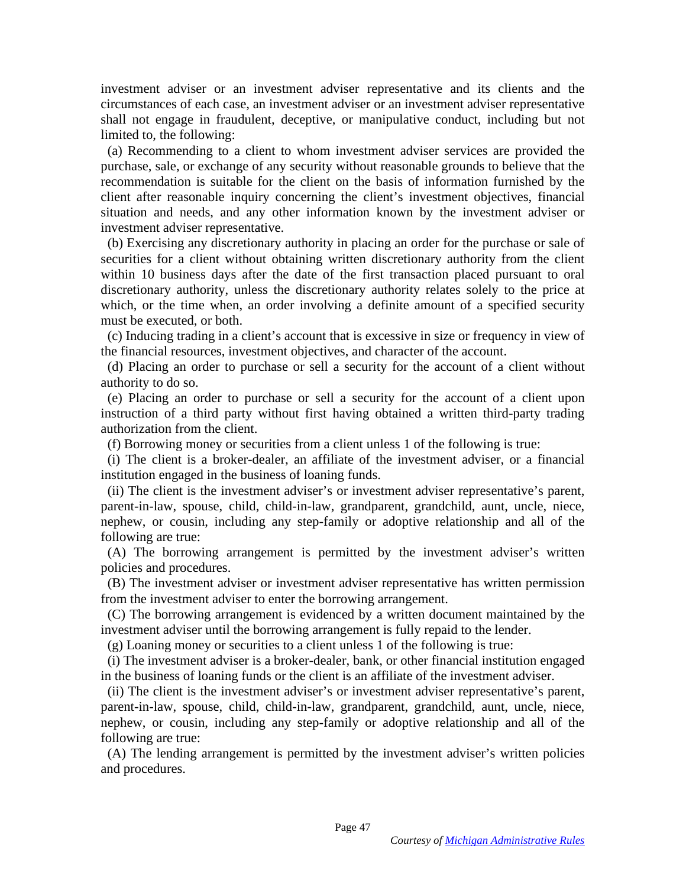investment adviser or an investment adviser representative and its clients and the investment adviser or an investment adviser representative and its clients and the circumstances of each case, an investment adviser or an investment adviser representative shall not engage in fraudulent, deceptive, or manipulative conduct, including but not limited to, the following:

(a) Recommending to a client to whom investment adviser services are provided the purchase, sale, or exchange of any security without reasonable grounds to believe that the recommendation is suitable for the client on the basis of information furnished by the client after reasonable inquiry concerning the client's investment objectives, financial situation and needs, and any other information known by the investment adviser or investment adviser representative. circumstances of each case, an investment adviser or an investment adviser representative<br>shall not engage in fraudulent, deceptive, or manipulative conduct, including but not<br>limited to, the following:<br>(a) Recommending to

(b) Exercising any discretionary authority in placing an order for the purchase or sale of (b) Exercising any discretionary authority in placing an order for the purchase or sale of securities for a client without obtaining written discretionary authority from the client within 10 business days after the date of the first transaction placed pursuant to oral discretionary authority, unless the discretionary authority relates solely to the price at which, or the time when, an order involving a definite amount of a specified security must be executed, or both. securities for a client without obtaining written discretionary authority from the client within 10 business days after the date of the first transaction placed pursuant to oral discretionary authority, unless the discreti

(c) Inducing trading in a client's account that is excessive in size or frequency in view of the financial resources, investment objectives, and character of the account. (c) Inducing trading in a client's account that is excessive in size or frequency in view of the financial resources, investment objectives, and character of the account.<br>(d) Placing an order to purchase or sell a security

(d) Placing an order to purchase or sell a security for the account of a client without authority to do so.

(e) Placing an order to purchase or sell a security for the account of a client upon (e) Placing an order to purchase or sell a security for the account of a client upon instruction of a third party without first having obtained a written third-party trading authorization from the client.

(f) Borrowing money or securities from a client unless 1 of the following is true:

(i) The client is a broker-dealer, an affiliate of the investment adviser, or a financial institution engaged in the business of loaning funds.

(ii) The client is the investment adviser's or investment adviser representative's parent, parent-in-law, spouse, child, child-in-law, grandparent, grandchild, aunt, uncle, niece, nephew, or cousin, including any step-family or adoptive relationship and all of the following are true: instruction of a third party without first having obtained a written third-party trading<br>authorization from the client.<br>(f) Borrowing money or securities from a client unless 1 of the following is true:<br>(i) The client is a

(A) The borrowing arrangement is permitted by the investment adviser's written (A) The borrowing arrangement is permitted by the investment adviser's written policies and procedures.

(B) The investment adviser or investment adviser representative has written permission from the investment adviser to enter the borrowing arrangement. policies and procedures.<br>
(B) The investment adviser or investment adviser representative has written permission<br>
from the investment adviser to enter the borrowing arrangement.<br>
(C) The borrowing arrangement is evidenced

investment adviser until the borrowing arrangement is fully repaid to the lender. investment adviser until the borrowing arrangement is fully repaid to the lender.

(g) Loaning money or securities to a client unless 1 of the following is true:

(i) The investment adviser is a broker-dealer, bank, or other financial institution engaged in the business of loaning funds or the client is an affiliate of the investment adviser. (g) Loaning money or securities to a client unless 1 of the following is true:<br>
(i) The investment adviser is a broker-dealer, bank, or other financial institution engaged<br>
in the business of loaning funds or the client is

(ii) The client is the investment adviser's or investment adviser representative's parent, parent-in-law, spouse, child, child-in-law, grandparent, grandchild, aunt, uncle, niece, parent-in-law, spouse, child, child-in-law, grandparent, grandchild, aunt, uncle, niece, nephew, or cousin, including any step-family or adoptive relationship and all of the following are true:<br>(A) The lending arrangement is permitted by the investment adviser's written policies and procedures. following are true:

(A) The lending arrangement is permitted by the investment adviser's written policies and procedures.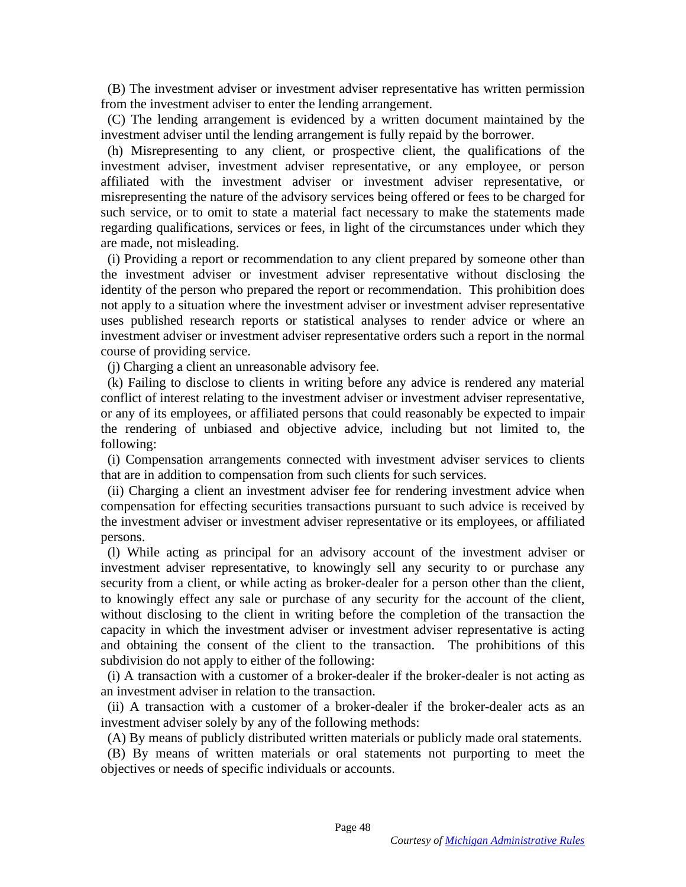(B) The investment adviser or investment adviser representative has written permission (B) The investment adviser or investment adviser representative has written permission from the investment adviser to enter the lending arrangement.

(C) The lending arrangement is evidenced by a written document maintained by the investment adviser until the lending arrangement is fully repaid by the borrower.

(h) Misrepresenting to any client, or prospective client, the qualifications of the investment adviser, investment adviser representative, or any employee, or person affiliated with the investment adviser or investment adviser representative, or misrepresenting the nature of the advisory services being offered or fees to be charged for such service, or to omit to state a material fact necessary to make the statements made regarding qualifications, services or fees, in light of the circumstances under which they are made, not misleading. from the investment adviser to enter the lending arrangement.<br>
(C) The lending arrangement is evidenced by a written document maintained by the<br>
investment adviser until the lending arrangement is fully repaid by the borro

(i) Providing a report or recommendation to any client prepared by someone other than the investment adviser or investment adviser representative without disclosing the identity of the person who prepared the report or recommendation. This prohibition does not apply to a situation where the investment adviser or investment adviser representative uses published research reports or statistical analyses to render advice or where an investment adviser or investment adviser representative orders such a report in the normal course of providing service. are made, not misleading.<br>
(i) Providing a report or recommendation to any client prepared by someone other than<br>
the investment adviser or investment adviser representative without disclosing the<br>
identity of the person w

(j) Charging a client an unreasonable advisory fee.

(k) Failing to disclose to clients in writing before any advice is rendered any material conflict of interest relating to the investment adviser or investment adviser representative, or any of its employees, or affiliated persons that could reasonably be expected to impair the rendering of unbiased and objective advice, including but not limited to, the following: or any of its employees, or affiliated persons that could reasonably be expected to impair<br>the rendering of unbiased and objective advice, including but not limited to, the<br>following:<br>(i) Compensation arrangements connecte

(i) Compensation arrangements connected with investment adviser services to clients that are in addition to compensation from such clients for such services.

(ii) Charging a client an investment adviser fee for rendering investment advice when compensation for effecting securities transactions pursuant to such advice is received by (ii) Charging a client an investment adviser fee for rendering investment advice when<br>compensation for effecting securities transactions pursuant to such advice is received by<br>the investment adviser or investment adviser r persons. persons.

(1) While acting as principal for an advisory account of the investment adviser or (l) While acting as principal for an advisory account of the investment adviser or investment adviser representative, to knowingly sell any security to or purchase any security from a client, or while acting as broker-dealer for a person other than the client, to knowingly effect any sale or purchase of security from a client, or while acting as broker-dealer for a person other than the client, to knowingly effect any sale or purchase of any security for the account of the client, without disclosing to the client in writing before the completion of the transaction the capacity in which the investment adviser or investment adviser representative is acting and obtaining the consent of the client to the transaction. The prohibitions of this subdivision do not apply to either of the following: capacity in which the investment adviser or investment adviser representative is acting<br>and obtaining the consent of the client to the transaction. The prohibitions of this<br>subdivision do not apply to either of the followi

(i) A transaction with a customer of a broker-dealer if the broker-dealer is not acting as an investment adviser in relation to the transaction.

(ii) A transaction with a customer of a broker-dealer if the broker-dealer acts as an (ii) A transaction with a customer of a broker-dealer if the broker-dealer acts as an investment adviser solely by any of the following methods: investment adviser solely by any of the following methods:<br>(A) By means of publicly distributed written materials or publicly made oral statements.

(B) By means of written materials or oral statements not purporting to meet the (B) By means of written materials or oral statements not purporting to meet the objectives or needs of specific individuals or accounts. objectives or needs of specific individuals or accounts.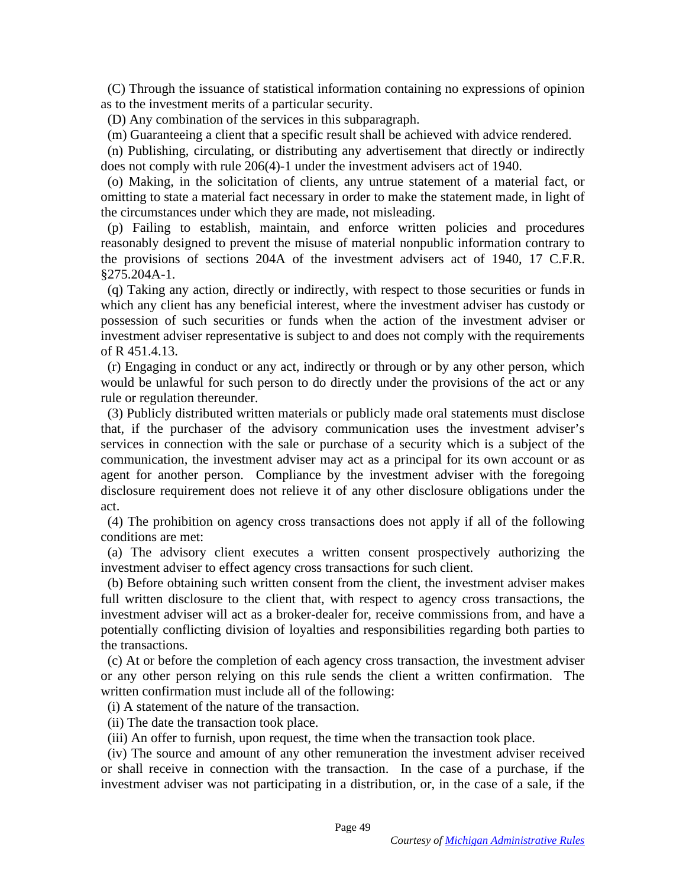(C) Through the issuance of statistical information containing no expressions of opinion as to the investment merits of a particular security. (C) Through the issuance of statistical information containing no expressions of opinion<br>as to the investment merits of a particular security.<br>(D) Any combination of the services in this subparagraph.<br>(m) Guaranteeing a cl

(D) Any combination of the services in this subparagraph.

(n) Publishing, circulating, or distributing any advertisement that directly or indirectly does not comply with rule 206(4)-1 under the investment advisers act of 1940.

(o) Making, in the solicitation of clients, any untrue statement of a material fact, or omitting to state a material fact necessary in order to make the statement made, in light of the circumstances under which they are made, not misleading. (n) Publishing, circulating, or distributing any advertisement that directly or indirectly<br>does not comply with rule  $206(4)-1$  under the investment advisers act of 1940.<br>(o) Making, in the solicitation of clients, any unt

(p) Failing to establish, maintain, and enforce written policies and procedures reasonably designed to prevent the misuse of material nonpublic information contrary to reasonably designed to prevent the misuse of material nonpublic information contrary to the provisions of sections 204A of the investment advisers act of 1940, 17 C.F.R. §275.204A-1.

(q) Taking any action, directly or indirectly, with respect to those securities or funds in which any client has any beneficial interest, where the investment adviser has custody or possession of such securities or funds when the action of the investment adviser or investment adviser representative is subject to and does not comply with the requirements of R 451.4.13. the provisions of sections 204A of the investment advisers act of 1940, 17 C.F.R. §275.204A-1.<br>§275.204A-1.<br>(q) Taking any action, directly or indirectly, with respect to those securities or funds in which any client has a

(r) Engaging in conduct or any act, indirectly or through or by any other person, which would be unlawful for such person to do directly under the provisions of the act or any rule or regulation thereunder.

(3) Publicly distributed written materials or publicly made oral statements must disclose that, if the purchaser of the advisory communication uses the investment adviser's services in connection with the sale or purchase of a security which is a subject of the communication, the investment adviser may act as a principal for its own account or as agent for another person. Compliance by the investment adviser with the foregoing disclosure requirement does not relieve it of any other disclosure obligations under the act. (3) Publicly distributed written materials or publicly made oral statements must disclose that, if the purchaser of the advisory communication uses the investment adviser's services in connection with the sale or purchase

(4) The prohibition on agency cross transactions does not apply if all of the following conditions are met:

(a) The advisory client executes a written consent prospectively authorizing the (a) The advisory client executes a written consent prospectively authorizing the investment adviser to effect agency cross transactions for such client. investment adviser to effect agency cross transactions for such client.

(b) Before obtaining such written consent from the client, the investment adviser makes full written disclosure to the client that, with respect to agency cross transactions, the investment adviser will act as a broker-dealer for, receive commissions from, and have a potentially conflicting division of loyalties and responsibilities regarding both parties to the transactions. (b) Before obtaining such written consent from the client, the investment adviser makes full written disclosure to the client that, with respect to agency cross transactions, the investment adviser will act as a broker-dea

(c) At or before the completion of each agency cross transaction, the investment adviser or any other person relying on this rule sends the client a written confirmation. The written confirmation must include all of the following: potentially conflicting division of loyalties and responsibilities regarding both parties to<br>the transactions.<br>(c) At or before the completion of each agency cross transaction, the investment adviser<br>or any other person re

(i) A statement of the nature of the transaction.

(ii) The date the transaction took place.

(iii) An offer to furnish, upon request, the time when the transaction took place.

(ii) The date the transaction took place.<br>(iii) An offer to furnish, upon request, the time when the transaction took place.<br>(iv) The source and amount of any other remuneration the investment adviser received or shall receive in connection with the transaction. In the case of a purchase, if the investment adviser was not participating in a distribution, or, in the case of a sale, if the investment adviser was not participating in a distribution, or, in the case of a sale, if the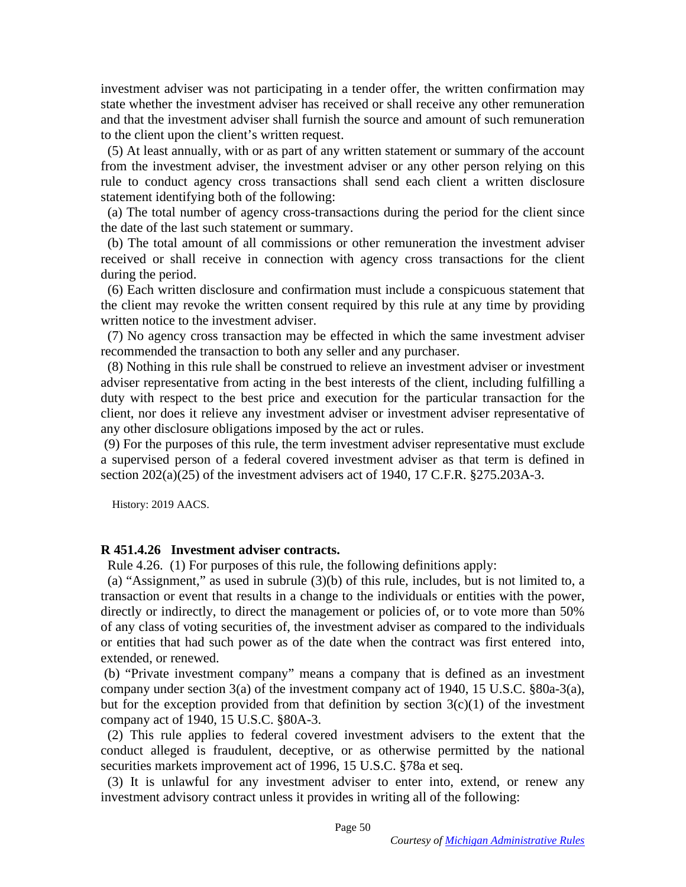investment adviser was not participating in a tender offer, the written confirmation may state whether the investment adviser has received or shall receive any other remuneration and that the investment adviser shall furnish the source and amount of such remuneration to the client upon the client's written request. investment adviser was not participating in a tender offer, the written confirmation may<br>state whether the investment adviser has received or shall receive any other remuneration<br>and that the investment adviser shall furni

(5) At least annually, with or as part of any written statement or summary of the account from the investment adviser, the investment adviser or any other person relying on this rule to conduct agency cross transactions shall send each client a written disclosure statement identifying both of the following:

(a) The total number of agency cross-transactions during the period for the client since the date of the last such statement or summary.

(b) The total amount of all commissions or other remuneration the investment adviser (b) The total amount of all commissions or other remuneration the investment adviser received or shall receive in connection with agency cross transactions for the client during the period. during the period.

(6) Each written disclosure and confirmation must include a conspicuous statement that the client may revoke the written consent required by this rule at any time by providing written notice to the investment adviser. (6) Each written disclosure and confirmation must include a conspicuous statement that the client may revoke the written consent required by this rule at any time by providing written notice to the investment adviser.

(7) No agency cross transaction may be effected in which the same investment adviser recommended the transaction to both any seller and any purchaser. recommended the transaction to both any seller and any purchaser.

(8) Nothing in this rule shall be construed to relieve an investment adviser or investment adviser representative from acting in the best interests of the client, including fulfilling a duty with respect to the best price and execution for the particular transaction for the client, nor does it relieve any investment adviser or investment adviser representative of any other disclosure obligations imposed by the act or rules. any other disclosure obligations imposed by the act or rules. (8) Nothing in this rule shall be construed to relieve an investment adviser or investment<br>adviser representative from acting in the best interests of the client, including fulfilling a<br>duty with respect to the best price

(9) For the purposes of this rule, the term investment adviser representative must exclude a supervised person of a federal covered investment adviser as that term is defined in section  $202(a)(25)$  of the investment advisers act of 1940, 17 C.F.R.  $\S 275.203A-3$ . (9) For the purposes of this rule, the term investment adviser representative must exclude a supervised person of a federal covered investment adviser as that term is defined in section  $202(a)(25)$  of the investment advise

History: 2019 AACS. History: 2019 AACS.

### R 451.4.26 Investment adviser contracts. **R 451.4.26 Investment adviser contracts.**

Rule 4.26. (1) For purposes of this rule, the following definitions apply:

Rule 4.26. (1) For purposes of this rule, the following definitions apply:<br>(a) "Assignment," as used in subrule  $(3)(b)$  of this rule, includes, but is not limited to, a transaction or event that results in a change to the individuals or entities with the power, transaction or event that results in a change to the individuals or entities with the power, directly or indirectly, to direct the management or policies of, or to vote more than 50% of any class of voting securities of, the investment adviser as compared to the individuals or entities that had such power as of the date when the contract was first entered into, extended, or renewed. directly or indirectly, to direct the management or policies of, or to vote more than 50% of any class of voting securities of, the investment adviser as compared to the individuals or entities that had such power as of th

(b) "Private investment company" means a company that is defined as an investment (b) "Private investment company" means a company that is defined as an investment company under section 3(a) of the investment company act of 1940, 15 U.S.C. §80a-3(a), but for the exception provided from that definition by section  $3(c)(1)$  of the investment company act of 1940, 15 U.S.C. §80A-3. company under section 3(a) of the investment company act of 1940, 15 U.S.C. §80a-3(a),<br>but for the exception provided from that definition by section 3(c)(1) of the investment<br>company act of 1940, 15 U.S.C. §80A-3.<br>(2) Th

(2) This rule applies to federal covered investment advisers to the extent that the conduct alleged is fraudulent, deceptive, or as otherwise permitted by the national securities markets improvement act of 1996, 15 U.S.C. §78a et seq.<br>(3) It is unlawful for any investment adviser to enter into, extend, or securities markets improvement act of 1996, 15 U.S.C. §78a et seq.

(3) It is unlawful for any investment adviser to enter into, extend, or renew any investment advisory contract unless it provides in writing all of the following: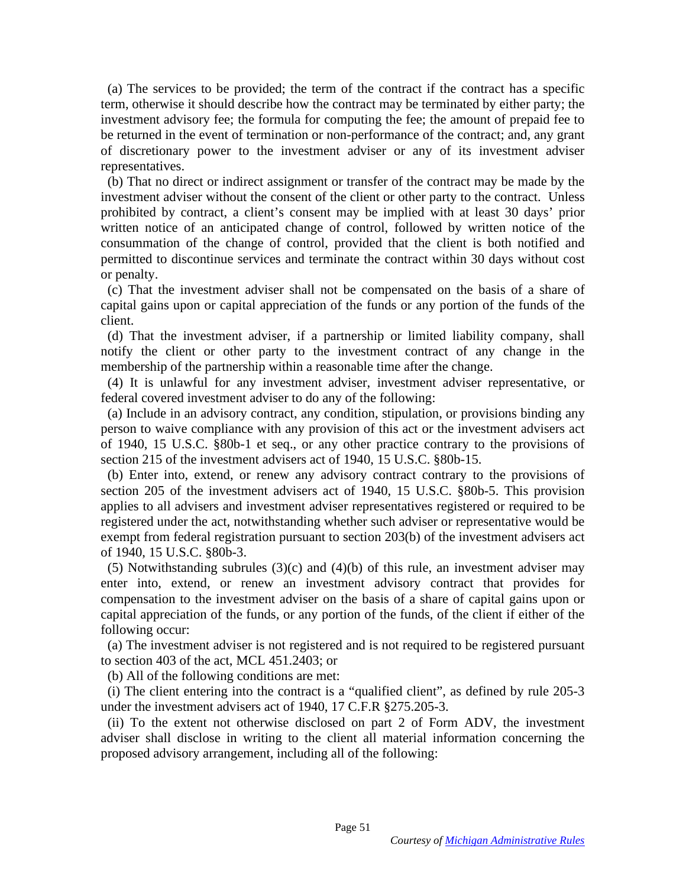(a) The services to be provided; the term of the contract if the contract has a specific (a) The services to be provided; the term of the contract if the contract has a specific term, otherwise it should describe how the contract may be terminated by either party; the investment advisory fee; the formula for computing the fee; the amount of prepaid fee to be returned in the event of termination or non-performance of the contract; and, any grant of discretionary power to the investment adviser or any of its investment adviser representatives. term, otherwise it should describe how the contract may be terminated by either party; the<br>investment advisory fee; the formula for computing the fee; the amount of prepaid fee to<br>be returned in the event of termination or

(b) That no direct or indirect assignment or transfer of the contract may be made by the investment adviser without the consent of the client or other party to the contract. Unless prohibited by contract, a client's consent may be implied with at least 30 days' prior written notice of an anticipated change of control, followed by written notice of the consummation of the change of control, provided that the client is both notified and consummation of the change of control, provided that the client is both notified and permitted to discontinue services and terminate the contract within 30 days without cost<br>or penalty.<br>(c) That the investment adviser shall not be compensated on the basis of a share of or penalty.

(c) That the investment adviser shall not be compensated on the basis of a share of capital gains upon or capital appreciation of the funds or any portion of the funds of the client.

(d) That the investment adviser, if a partnership or limited liability company, shall notify the client or other party to the investment contract of any change in the membership of the partnership within a reasonable time after the change. capital gains upon or capital appreciation of the funds or any portion of the funds of the<br>client.<br>(d) That the investment adviser, if a partnership or limited liability company, shall<br>notify the client or other party to t

(4) It is unlawful for any investment adviser, investment adviser representative, or federal covered investment adviser to do any of the following: federal covered investment adviser to do any of the following:

(a) Include in an advisory contract, any condition, stipulation, or provisions binding any person to waive compliance with any provision of this act or the investment advisers act of 1940, 15 U.S.C. §80b-1 et seq., or any other practice contrary to the provisions of section 215 of the investment advisers act of 1940, 15 U.S.C. §80b-15. (a) Include in an advisory contract, any condition, stipulation, or provisions binding any person to waive compliance with any provision of this act or the investment advisers act of 1940, 15 U.S.C. §80b-1 et seq., or any

section 215 of the investment advisers act of 1940, 15 U.S.C. §80b-15.<br>(b) Enter into, extend, or renew any advisory contract contrary to the provisions of section 205 of the investment advisers act of 1940, 15 U.S.C. §80b-5. This provision<br>applies to all advisers and investment adviser representatives registered or required to be<br>registered under the act, notwithstanding whe applies to all advisers and investment adviser representatives registered or required to be registered under the act, notwithstanding whether such adviser or representative would be exempt from federal registration pursuant to section 203(b) of the investment advisers act of 1940, 15 U.S.C. §80b-3. of 1940, 15 U.S.C. §80b-3.

(5) Notwithstanding subrules (3)(c) and (4)(b) of this rule, an investment adviser may enter into, extend, or renew an investment advisory contract that provides for compensation to the investment adviser on the basis of a share of capital gains upon or capital appreciation of the funds, or any portion of the funds, of the client if either of the following occur: following occur: (5) Notwithstanding subrules  $(3)(c)$  and  $(4)(b)$  of this rule, an investment adviser may<br>enter into, extend, or renew an investment advisory contract that provides for<br>compensation to the investment adviser on the basis o

(a) The investment adviser is not registered and is not required to be registered pursuant to section 403 of the act, MCL 451.2403; or (a) The investment adviser is not registered and is not required to be registered pursuant<br>to section 403 of the act, MCL 451.2403; or<br>(b) All of the following conditions are met:<br>(i) The client entering into the contract

(b) All of the following conditions are met:

under the investment advisers act of 1940, 17 C.F.R §275.205-3. under the investment advisers act of 1940, 17 C.F.R §275.205-3.

(ii) To the extent not otherwise disclosed on part 2 of Form ADV, the investment adviser shall disclose in writing to the client all material information concerning the proposed advisory arrangement, including all of the following: (ii) To the extent not otherwise disclosed on part 2 of Form ADV, the investment adviser shall disclose in writing to the client all material information concerning the proposed advisory arrangement, including all of the f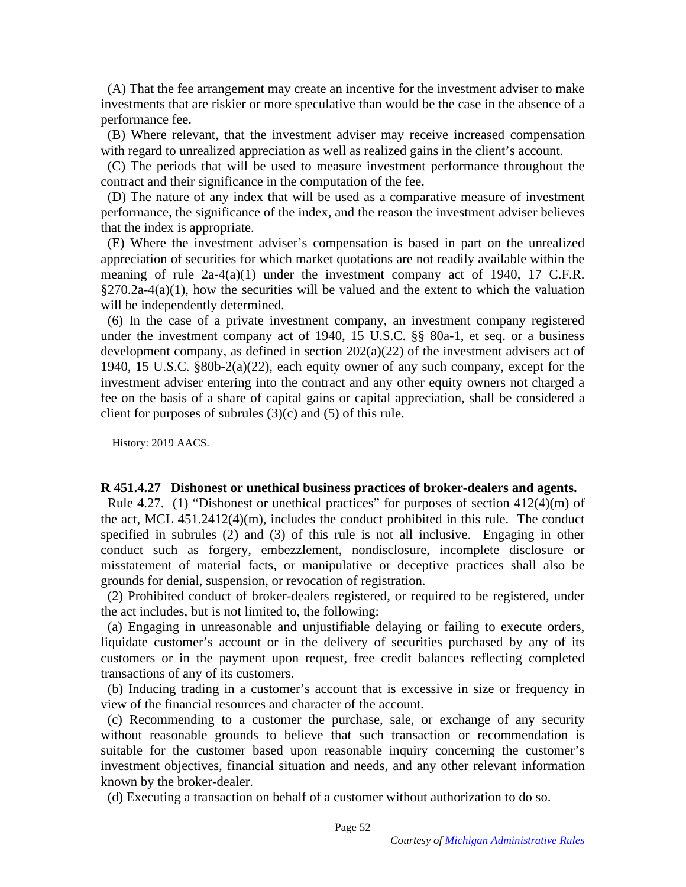(A) That the fee arrangement may create an incentive for the investment adviser to make (A) That the fee arrangement may create an incentive for the investment adviser to make investments that are riskier or more speculative than would be the case in the absence of a performance fee.

(B) Where relevant, that the investment adviser may receive increased compensation with regard to unrealized appreciation as well as realized gains in the client's account.

(C) The periods that will be used to measure investment performance throughout the contract and their significance in the computation of the fee.

(D) The nature of any index that will be used as a comparative measure of investment performance, the significance of the index, and the reason the investment adviser believes that the index is appropriate. investments that are riskier or more speculative than would be the case in the absence of a<br>performance fee.<br>(B) Where relevant, that the investment adviser may receive increased compensation<br>with regard to unrealized appr

(E) Where the investment adviser's compensation is based in part on the unrealized (E) Where the investment adviser's compensation is based in part on the unrealized appreciation of securities for which market quotations are not readily available within the meaning of rule  $2a-4(a)(1)$  under the investment company act of 1940, 17 C.F.R.  $\S270.2a-4(a)(1)$ , how the securities will be valued and the extent to which the valuation will be independently determined. appreciation of securities for which market quotations are not readily available within the<br>meaning of rule  $2a-4(a)(1)$  under the investment company act of 1940, 17 C.F.R.<br>§270.2a-4(a)(1), how the securities will be valued

(6) In the case of a private investment company, an investment company registered under the investment company act of 1940, 15 U.S.C. §§ 80a-1, et seq. or a business development company, as defined in section 202(a)(22) of the investment advisers act of 1940, 15 U.S.C. §80b-2(a)(22), each equity owner of any such company, except for the 1940, 15 U.S.C.  $$80b-2(a)(22)$ , each equity owner of any such company, except for the investment adviser entering into the contract and any other equity owners not charged a fee on the basis of a share of capital gains or capital appreciation, shall be considered a fee on the basis of a share of capital gains or capital appreciation, shall be considered a client for purposes of subrules  $(3)(c)$  and  $(5)$  of this rule.

History: 2019 AACS. History: 2019 AACS.

### R 451.4.27 Dishonest or unethical business practices of broker-dealers and agents. **R 451.4.27 Dishonest or unethical business practices of broker-dealers and agents.**

Rule 4.27. (1) "Dishonest or unethical practices" for purposes of section 412(4)(m) of the act, MCL 451.2412(4)(m), includes the conduct prohibited in this rule. The conduct the act, MCL 451.2412(4)(m), includes the conduct prohibited in this rule. The conduct specified in subrules (2) and (3) of this rule is not all inclusive. Engaging in other conduct such as forgery, embezzlement, nondisclosure, incomplete disclosure or misstatement of material facts, or manipulative or deceptive practices shall also be grounds for denial, suspension, or revocation of registration. specified in subrules (2) and (3) of this rule is not all inclusive. Engaging in other conduct such as forgery, embezzlement, nondisclosure, incomplete disclosure or misstatement of material facts, or manipulative or decep

(2) Prohibited conduct of broker-dealers registered, or required to be registered, under (2) Prohibited conduct of broker-dealers registered, or required to be registered, under the act includes, but is not limited to, the following:

(a) Engaging in unreasonable and unjustifiable delaying or failing to execute orders, liquidate customer's account or in the delivery of securities purchased by any of its the act includes, but is not limited to, the following:<br>
(a) Engaging in unreasonable and unjustifiable delaying or failing to execute orders,<br>
liquidate customer's account or in the delivery of securities purchased by any transactions of any of its customers. transactions of any of its customers.

(b) Inducing trading in a customer's account that is excessive in size or frequency in view of the financial resources and character of the account. view of the financial resources and character of the account.

(c) Recommending to a customer the purchase, sale, or exchange of any security (c) Recommending to a customer the purchase, sale, or exchange of any security without reasonable grounds to believe that such transaction or recommendation is suitable for the customer based upon reasonable inquiry concerning the customer's investment objectives, financial situation and needs, and any other relevant information known by the broker-dealer. suitable for the customer based upon reasonable inquiry concerning the customer's<br>investment objectives, financial situation and needs, and any other relevant information<br>known by the broker-dealer.<br>(d) Executing a transac

(d) Executing a transaction on behalf of a customer without authorization to do so.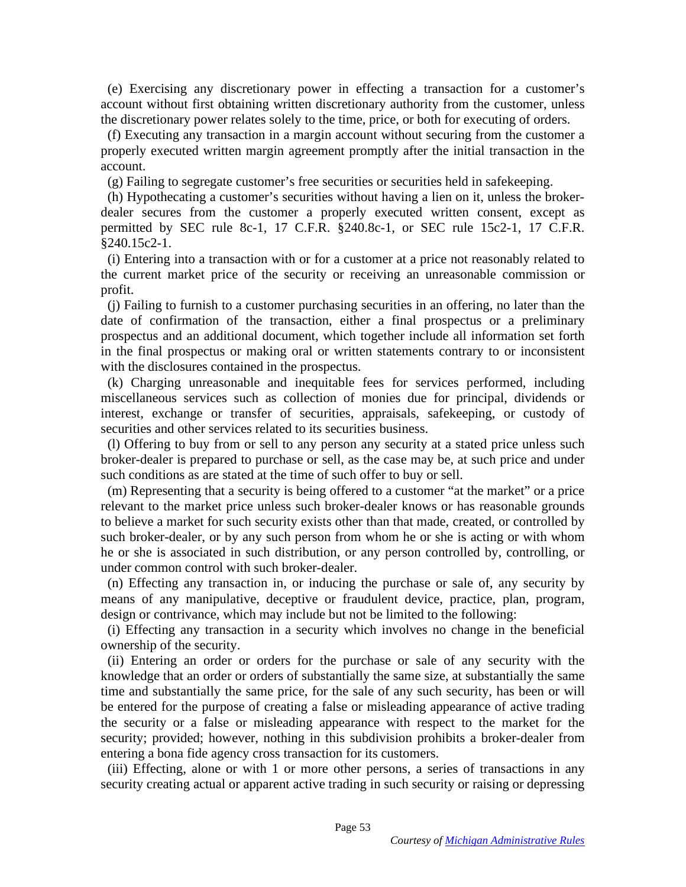(e) Exercising any discretionary power in effecting a transaction for a customer's (e) Exercising any discretionary power in effecting a transaction for a customer's account without first obtaining written discretionary authority from the customer, unless the discretionary power relates solely to the time, price, or both for executing of orders.

(f) Executing any transaction in a margin account without securing from the customer a properly executed written margin agreement promptly after the initial transaction in the account. account without first obtaining written discretionary authority from the customer, unless<br>the discretionary power relates solely to the time, price, or both for executing of orders.<br>(f) Executing any transaction in a margi

(g) Failing to segregate customer's free securities or securities held in safekeeping.

dealer secures from the customer a properly executed written consent, except as permitted by SEC rule 8c-1, 17 C.F.R. §240.8c-1, or SEC rule 15c2-1, 17 C.F.R. §240.15c2-1.

(i) Entering into a transaction with or for a customer at a price not reasonably related to the current market price of the security or receiving an unreasonable commission or profit.

(j) Failing to furnish to a customer purchasing securities in an offering, no later than the date of confirmation of the transaction, either a final prospectus or a preliminary prospectus and an additional document, which together include all information set forth in the final prospectus or making oral or written statements contrary to or inconsistent with the disclosures contained in the prospectus. dealer secures from the customer a properly executed written consent, except as<br>permitted by SEC rule 8c-1, 17 C.F.R. §240.8c-1, or SEC rule 15c2-1, 17 C.F.R.<br>§240.15c2-1.<br>(i) Entering into a transaction with or for a cust

(k) Charging unreasonable and inequitable fees for services performed, including miscellaneous services such as collection of monies due for principal, dividends or miscellaneous services such as collection of monies due for principal, dividends or interest, exchange or transfer of securities, appraisals, safekeeping, or custody of securities and other services related to its securities business.

(1) Offering to buy from or sell to any person any security at a stated price unless such broker-dealer is prepared to purchase or sell, as the case may be, at such price and under such conditions as are stated at the time of such offer to buy or sell. interest, exchange or transfer of securities, appraisals, safekeeping, or custody of securities and other services related to its securities business.<br>(1) Offering to buy from or sell to any person any security at a stated

(m) Representing that a security is being offered to a customer "at the market" or a price relevant to the market price unless such broker-dealer knows or has reasonable grounds to believe a market for such security exists other than that made, created, or controlled by such broker-dealer, or by any such person from whom he or she is acting or with whom he or she is associated in such distribution, or any person controlled by, controlling, or under common control with such broker-dealer. (m) Representing that a security is being offered to a customer "at the market" or a price<br>relevant to the market price unless such broker-dealer knows or has reasonable grounds<br>to believe a market for such security exists

(n) Effecting any transaction in, or inducing the purchase or sale of, any security by means of any manipulative, deceptive or fraudulent device, practice, plan, program, design or contrivance, which may include but not be limited to the following: under common control with such broker-dealer.<br>
(n) Effecting any transaction in, or inducing the purchase or sale of, any security by<br>
means of any manipulative, deceptive or fraudulent device, practice, plan, program,<br>
de

(i) Effecting any transaction in a security which involves no change in the beneficial ownership of the security.

(ii) Entering an order or orders for the purchase or sale of any security with the knowledge that an order or orders of substantially the same size, at substantially the same time and substantially the same price, for the sale of any such security, has been or will be entered for the purpose of creating a false or misleading appearance of active trading be entered for the purpose of creating a false or misleading appearance of active trading the security or a false or misleading appearance with respect to the market for the security; provided; however, nothing in this subdivision prohibits a broker-dealer from entering a bona fide agency cross transaction for its customers. the security or a false or misleading appearance with respect to the market for the security; provided; however, nothing in this subdivision prohibits a broker-dealer from entering a bona fide agency cross transaction for (i) Effecting any transaction in a security which involves no change in the beneficial<br>ownership of the security.<br>(ii) Entering an order or orders for the purchase or sale of any security with the<br>knowledge that an order o

security creating actual or apparent active trading in such security or raising or depressing security creating actual or apparent active trading in such security or raising or depressing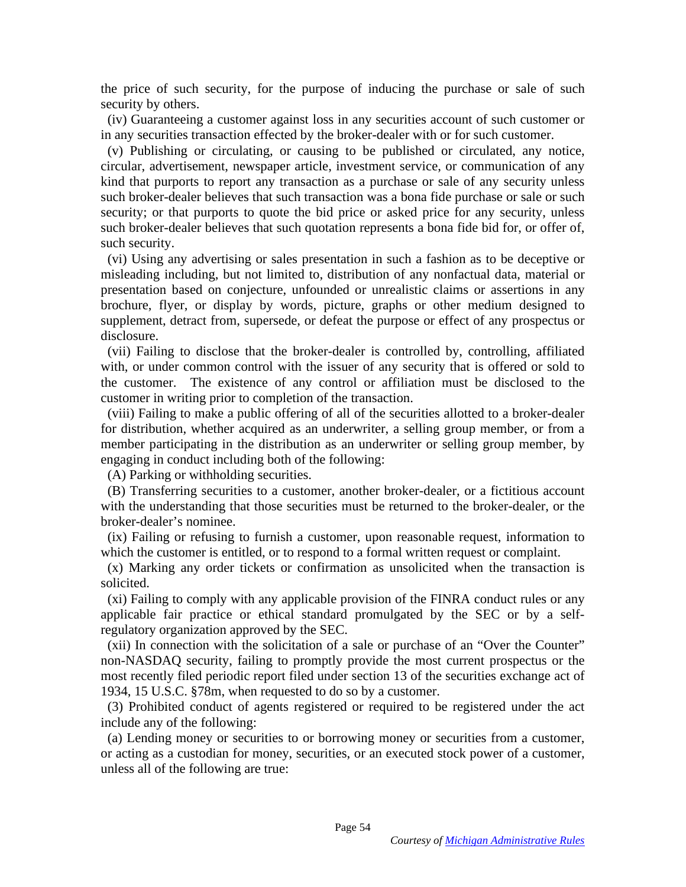the price of such security, for the purpose of inducing the purchase or sale of such security by others.

(iv) Guaranteeing a customer against loss in any securities account of such customer or in any securities transaction effected by the broker-dealer with or for such customer.

(v) Publishing or circulating, or causing to be published or circulated, any notice, circular, advertisement, newspaper article, investment service, or communication of any kind that purports to report any transaction as a purchase or sale of any security unless such broker-dealer believes that such transaction was a bona fide purchase or sale or such security; or that purports to quote the bid price or asked price for any security, unless such broker-dealer believes that such quotation represents a bona fide bid for, or offer of, such security. such security. security by others.<br>(iv) Guaranteeing a customer against loss in any securities account of such customer or<br>in any securities transaction effected by the broker-dealer with or for such customer.<br>(v) Publishing or circulati

(vi) Using any advertising or sales presentation in such a fashion as to be deceptive or misleading including, but not limited to, distribution of any nonfactual data, material or presentation based on conjecture, unfounded or unrealistic claims or assertions in any brochure, flyer, or display by words, picture, graphs or other medium designed to supplement, detract from, supersede, or defeat the purpose or effect of any prospectus or disclosure. (vi) Using any advertising or sales presentation in such a fashion as to be deceptive or misleading including, but not limited to, distribution of any nonfactual data, material or presentation based on conjecture, unfounde

(vii) Failing to disclose that the broker-dealer is controlled by, controlling, affiliated with, or under common control with the issuer of any security that is offered or sold to the customer. The existence of any control or affiliation must be disclosed to the customer in writing prior to completion of the transaction. customer in writing prior to completion of the transaction.

(viii) Failing to make a public offering of all of the securities allotted to a broker-dealer for distribution, whether acquired as an underwriter, a selling group member, or from a member participating in the distribution as an underwriter or selling group member, by engaging in conduct including both of the following: (viii) Failing to make a public offering of all of the securities allotted to a broker-dealer<br>for distribution, whether acquired as an underwriter, a selling group member, or from a<br>member participating in the distribution

(A) Parking or withholding securities.

(B) Transferring securities to a customer, another broker-dealer, or a fictitious account with the understanding that those securities must be returned to the broker-dealer, or the broker-dealer's nominee.

(ix) Failing or refusing to furnish a customer, upon reasonable request, information to (ix) Failing or refusing to furnish a customer, upon reasonable request, information to which the customer is entitled, or to respond to a formal written request or complaint. which the customer is entitled, or to respond to a formal written request or complaint.

(x) Marking any order tickets or confirmation as unsolicited when the transaction is (x) Marking any order tickets or confirmation as unsolicited when the transaction is solicited. solicited.

(xi) Failing to comply with any applicable provision of the FINRA conduct rules or any (xi) Failing to comply with any applicable provision of the FINRA conduct rules or any applicable fair practice or ethical standard promulgated by the SEC or by a selfregulatory organization approved by the SEC. regulatory organization approved by the SEC.

(xii) In connection with the solicitation of a sale or purchase of an "Over the Counter" (xii) In connection with the solicitation of a sale or purchase of an "Over the Counter" non-NASDAQ security, failing to promptly provide the most current prospectus or the most recently filed periodic report filed under section 13 of the securities exchange act of most recently filed periodic report filed under section 13 of the securities exchange act of 1934, 15 U.S.C. §78m, when requested to do so by a customer. 1934, 15 U.S.C. §78m, when requested to do so by a customer.

(3) Prohibited conduct of agents registered or required to be registered under the act (3) Prohibited conduct of agents registered or required to be registered under the act include any of the following:

(a) Lending money or securities to or borrowing money or securities from a customer, or acting as a custodian for money, securities, or an executed stock power of a customer, unless all of the following are true: include any of the following:<br>
(a) Lending money or securities to or borrowing money or securities from a customer,<br>
or acting as a custodian for money, securities, or an executed stock power of a customer,<br>
unless all of